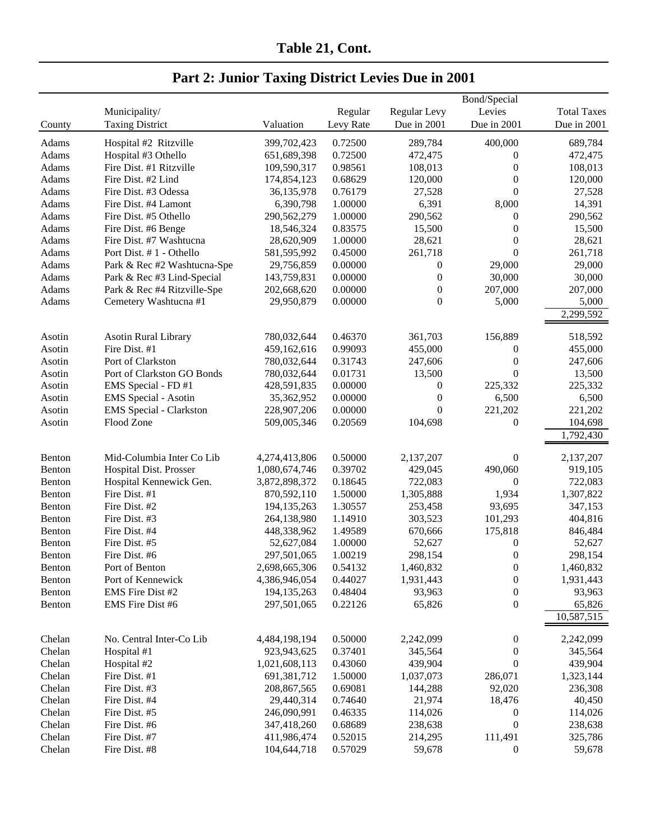| Table 21, Cont. |  |
|-----------------|--|
|                 |  |

#### Bond/Special Municipality/ Regular Regular Levy Levies Total Taxes County Taxing District Valuation Levy Rate Due in 2001 Due in 2001 Due in 2001 Adams Hospital #2 Ritzville 399,702,423 0.72500 289,784 400,000 689,784 Adams Hospital #3 Othello 651,689,398 0.72500 472,475 0 472,475 Adams Fire Dist. #1 Ritzville 109,590,317 0.98561 108,013 0 108,013 Adams Fire Dist. #2 Lind 174,854,123 0.68629 120,000 0 120,000 Adams Fire Dist. #3 Odessa 36,135,978 0.76179 27,528 0 27,528 Adams Fire Dist. #4 Lamont 6,390,798 1.00000 6,391 8,000 14,391 Adams Fire Dist. #5 Othello 290,562,279 1.00000 290,562 0 290,562 Adams Fire Dist. #6 Benge 18,546,324 0.83575 15,500 0 15,500 Adams Fire Dist. #7 Washtucna 28,620,909 1.00000 28,621 0 28,621 Adams Port Dist. # 1 - Othello 581,595,992 0.45000 261,718 0 261,718 Adams Park & Rec #2 Washtucna-Spe 29,756,859 0.00000 0 29,000 29,000 29,000 Adams Park & Rec #3 Lind-Special 143,759,831 0.00000 0 30,000 30,000 30,000 Adams Park & Rec #4 Ritzville-Spe 202,668,620 0.00000 0 207,000 207,000 207,000 Adams Cemetery Washtucna #1 29,950,879 0.00000 0 5,000 5,000 5,000 2,299,592 Asotin Asotin Rural Library 780,032,644 0.46370 361,703 156,889 518,592 Asotin Fire Dist. #1 459,162,616 0.99093 455,000 0 455,000 Asotin Port of Clarkston 780,032,644 0.31743 247,606 0 247,606 Asotin Port of Clarkston GO Bonds 780,032,644 0.01731 13,500 0 13,500 Asotin EMS Special - FD #1 428,591,835 0.00000 0 225,332 225,332 Asotin EMS Special - Asotin 35,362,952 0.00000 0 6,500 6,500 6,500 Asotin EMS Special - Clarkston 228,907,206 0.00000 0 221,202 221,202 Asotin Flood Zone 509,005,346 0.20569 104,698 0 104,698 1,792,430 Benton Mid-Columbia Inter Co Lib 4,274,413,806 0.50000 2,137,207 0 2,137,207 Benton Hospital Dist. Prosser 1,080,674,746 0.39702 429,045 490,060 919,105 Benton Hospital Kennewick Gen. 3,872,898,372 0.18645 722,083 0 722,083 Benton Fire Dist. #1 870,592,110 1.50000 1,305,888 1,934 1,307,822 Benton Fire Dist. #2 194,135,263 1.30557 253,458 93,695 347,153 Benton Fire Dist. #3 264,138,980 1.14910 303,523 101,293 404,816 Benton Fire Dist. #4 448,338,962 1.49589 670,666 175,818 846,484 Benton Fire Dist. #5 52,627,084 1.00000 52,627 0 52,627 Benton Fire Dist. #6 297,501,065 1.00219 298,154 0 298,154 Benton Port of Benton 2,698,665,306 0.54132 1,460,832 0 1,460,832 Benton Port of Kennewick 4,386,946,054 0.44027 1,931,443 0 1,931,443 Benton EMS Fire Dist #2 194,135,263 0.48404 93,963 0 93,963 Benton EMS Fire Dist #6 297,501,065 0.22126 65,826 0 65,826 10,587,515 Chelan No. Central Inter-Co Lib 4,484,198,194 0.50000 2,242,099 0 2,242,099 Chelan Hospital #1 923,943,625 0.37401 345,564 0 345,564 Chelan Hospital #2 1,021,608,113 0.43060 439,904 0 439,904 Chelan Fire Dist. #1 691,381,712 1.50000 1,037,073 286,071 1,323,144 Chelan Fire Dist. #3 208,867,565 0.69081 144,288 92,020 236,308 Chelan Fire Dist. #4 29,440,314 0.74640 21,974 18,476 40,450 Chelan Fire Dist. #5 246,090,991 0.46335 114,026 0 114,026 Chelan Fire Dist. #6 347,418,260 0.68689 238,638 0 238,638 Chelan Fire Dist. #7 411,986,474 0.52015 214,295 111,491 325,786

Chelan Fire Dist. #8 104,644,718 0.57029 59,678 0 59,678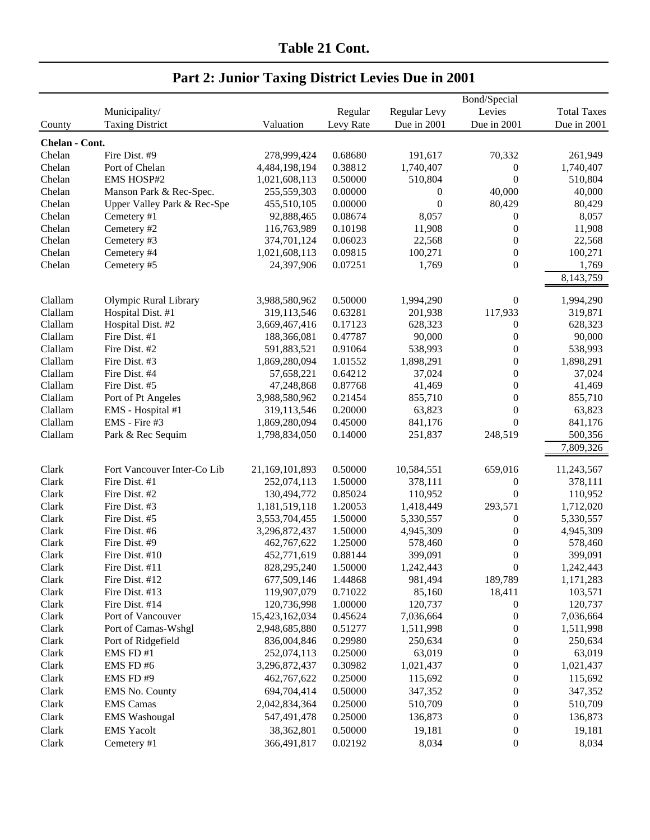|                |                                  |                               |                    |                      | Bond/Special                         |                        |
|----------------|----------------------------------|-------------------------------|--------------------|----------------------|--------------------------------------|------------------------|
|                | Municipality/                    |                               | Regular            | Regular Levy         | Levies                               | <b>Total Taxes</b>     |
| County         | <b>Taxing District</b>           | Valuation                     | Levy Rate          | Due in 2001          | Due in 2001                          | Due in 2001            |
| Chelan - Cont. |                                  |                               |                    |                      |                                      |                        |
| Chelan         | Fire Dist. #9                    | 278,999,424                   | 0.68680            | 191,617              | 70,332                               | 261,949                |
| Chelan         | Port of Chelan                   | 4,484,198,194                 | 0.38812            | 1,740,407            | $\boldsymbol{0}$                     | 1,740,407              |
| Chelan         | <b>EMS HOSP#2</b>                | 1,021,608,113                 | 0.50000            | 510,804              | $\boldsymbol{0}$                     | 510,804                |
| Chelan         | Manson Park & Rec-Spec.          | 255,559,303                   | 0.00000            | 0                    | 40,000                               | 40,000                 |
| Chelan         | Upper Valley Park & Rec-Spe      | 455,510,105                   | 0.00000            | $\boldsymbol{0}$     | 80,429                               | 80,429                 |
| Chelan         | Cemetery #1                      | 92,888,465                    | 0.08674            | 8,057                | $\boldsymbol{0}$                     | 8,057                  |
| Chelan         | Cemetery #2                      | 116,763,989                   | 0.10198            | 11,908               | $\boldsymbol{0}$                     | 11,908                 |
| Chelan         | Cemetery #3                      | 374,701,124                   | 0.06023            | 22,568               | $\boldsymbol{0}$                     | 22,568                 |
| Chelan         | Cemetery #4                      | 1,021,608,113                 | 0.09815            | 100,271              | $\boldsymbol{0}$                     | 100,271                |
| Chelan         | Cemetery #5                      | 24,397,906                    | 0.07251            | 1,769                | $\boldsymbol{0}$                     | 1,769                  |
|                |                                  |                               |                    |                      |                                      | 8,143,759              |
|                |                                  |                               |                    |                      |                                      |                        |
| Clallam        | Olympic Rural Library            | 3,988,580,962                 | 0.50000            | 1,994,290            | $\boldsymbol{0}$                     | 1,994,290              |
| Clallam        | Hospital Dist. #1                | 319,113,546                   | 0.63281            | 201,938              | 117,933                              | 319,871                |
| Clallam        | Hospital Dist. #2                | 3,669,467,416                 | 0.17123            | 628,323              | $\boldsymbol{0}$                     | 628,323                |
| Clallam        | Fire Dist. #1                    | 188,366,081                   | 0.47787            | 90,000               | $\boldsymbol{0}$                     | 90,000                 |
| Clallam        | Fire Dist. #2                    | 591,883,521                   | 0.91064            | 538,993              | $\boldsymbol{0}$                     | 538,993                |
| Clallam        | Fire Dist. #3                    | 1,869,280,094                 | 1.01552            | 1,898,291            | 0                                    | 1,898,291              |
| Clallam        | Fire Dist. #4                    | 57,658,221                    | 0.64212            | 37,024               | 0                                    | 37,024                 |
| Clallam        | Fire Dist. #5                    | 47,248,868                    | 0.87768            | 41,469               | 0                                    | 41,469                 |
| Clallam        | Port of Pt Angeles               | 3,988,580,962                 | 0.21454            | 855,710              | $\boldsymbol{0}$                     | 855,710                |
| Clallam        | EMS - Hospital #1                | 319,113,546                   | 0.20000            | 63,823               | $\boldsymbol{0}$                     | 63,823                 |
| Clallam        | EMS - Fire #3                    | 1,869,280,094                 | 0.45000            | 841,176              | $\boldsymbol{0}$                     | 841,176                |
| Clallam        | Park & Rec Sequim                | 1,798,834,050                 | 0.14000            | 251,837              | 248,519                              | 500,356                |
|                |                                  |                               |                    |                      |                                      | 7,809,326              |
|                |                                  |                               |                    |                      |                                      |                        |
| Clark          | Fort Vancouver Inter-Co Lib      | 21,169,101,893                | 0.50000            | 10,584,551           | 659,016                              | 11,243,567             |
| Clark          | Fire Dist. #1                    | 252,074,113                   | 1.50000            | 378,111              | $\boldsymbol{0}$                     | 378,111                |
| Clark          | Fire Dist. #2                    | 130,494,772                   | 0.85024            | 110,952              | $\boldsymbol{0}$                     | 110,952                |
| Clark          | Fire Dist. #3                    | 1,181,519,118                 | 1.20053            | 1,418,449            | 293,571                              | 1,712,020              |
| Clark          | Fire Dist. #5                    | 3,553,704,455                 | 1.50000            | 5,330,557            | $\boldsymbol{0}$                     | 5,330,557              |
| Clark          | Fire Dist. #6<br>Fire Dist. #9   | 3,296,872,437                 | 1.50000            | 4,945,309            | $\boldsymbol{0}$                     | 4,945,309              |
| Clark          |                                  | 462,767,622                   | 1.25000            | 578,460              | $\boldsymbol{0}$                     | 578,460                |
| Clark          | Fire Dist. #10                   | 452,771,619                   | 0.88144<br>1.50000 | 399,091              | $\boldsymbol{0}$                     | 399,091                |
| Clark          | Fire Dist. #11                   | 828,295,240                   |                    | 1,242,443<br>981,494 | $\boldsymbol{0}$<br>189,789          | 1,242,443              |
| Clark          | Fire Dist. #12<br>Fire Dist. #13 | 677,509,146                   | 1.44868            | 85,160               |                                      | 1,171,283              |
| Clark          |                                  | 119,907,079                   | 0.71022            |                      | 18,411                               | 103,571                |
| Clark<br>Clark | Fire Dist. #14                   | 120,736,998<br>15,423,162,034 | 1.00000            | 120,737<br>7,036,664 | $\boldsymbol{0}$                     | 120,737                |
| Clark          | Port of Vancouver                |                               | 0.45624<br>0.51277 | 1,511,998            | $\boldsymbol{0}$                     | 7,036,664<br>1,511,998 |
| Clark          | Port of Camas-Wshgl              | 2,948,685,880<br>836,004,846  | 0.29980            | 250,634              | $\boldsymbol{0}$                     | 250,634                |
| Clark          | Port of Ridgefield<br>EMS FD#1   |                               | 0.25000            |                      | $\boldsymbol{0}$                     |                        |
| Clark          | EMS FD#6                         | 252,074,113<br>3,296,872,437  | 0.30982            | 63,019               | $\boldsymbol{0}$<br>$\boldsymbol{0}$ | 63,019                 |
|                |                                  |                               |                    | 1,021,437            |                                      | 1,021,437              |
| Clark          | EMS FD#9                         | 462,767,622                   | 0.25000            | 115,692              | $\boldsymbol{0}$                     | 115,692                |
| Clark          | EMS No. County                   | 694,704,414                   | 0.50000            | 347,352              | $\boldsymbol{0}$                     | 347,352                |
| Clark          | <b>EMS</b> Camas                 | 2,042,834,364                 | 0.25000            | 510,709              | $\boldsymbol{0}$                     | 510,709                |
| Clark          | <b>EMS</b> Washougal             | 547,491,478                   | 0.25000            | 136,873              | $\boldsymbol{0}$                     | 136,873                |
| Clark          | <b>EMS</b> Yacolt                | 38,362,801                    | 0.50000            | 19,181               | $\boldsymbol{0}$                     | 19,181                 |
| Clark          | Cemetery #1                      | 366,491,817                   | 0.02192            | 8,034                | $\boldsymbol{0}$                     | 8,034                  |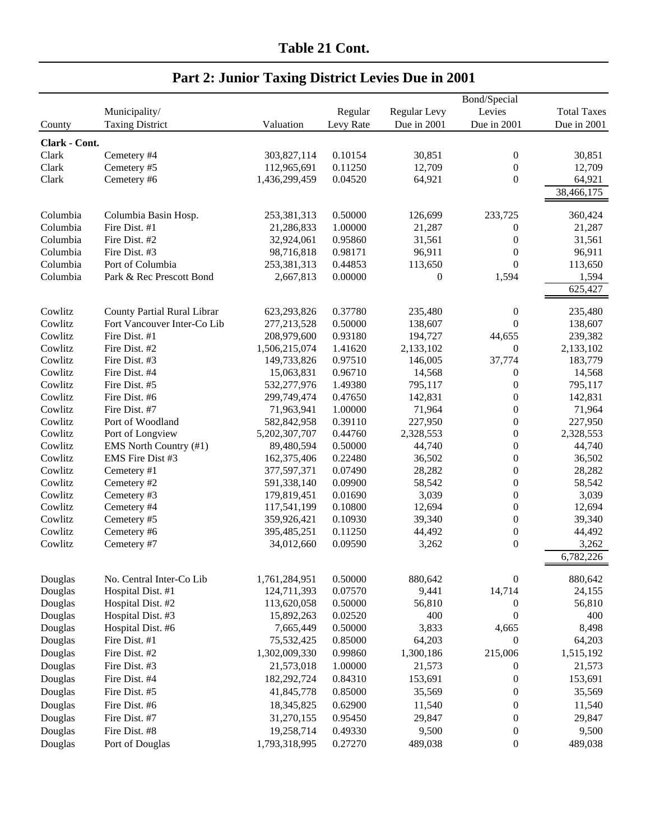|               |                             |               |           |              | Bond/Special     |                    |
|---------------|-----------------------------|---------------|-----------|--------------|------------------|--------------------|
|               | Municipality/               |               | Regular   | Regular Levy | Levies           | <b>Total Taxes</b> |
| County        | <b>Taxing District</b>      | Valuation     | Levy Rate | Due in 2001  | Due in 2001      | Due in 2001        |
| Clark - Cont. |                             |               |           |              |                  |                    |
| Clark         | Cemetery #4                 | 303,827,114   | 0.10154   | 30,851       | $\boldsymbol{0}$ | 30,851             |
| Clark         | Cemetery #5                 | 112,965,691   | 0.11250   | 12,709       | $\theta$         | 12,709             |
| Clark         | Cemetery #6                 | 1,436,299,459 | 0.04520   | 64,921       | $\overline{0}$   | 64,921             |
|               |                             |               |           |              |                  | 38,466,175         |
| Columbia      | Columbia Basin Hosp.        | 253,381,313   | 0.50000   | 126,699      | 233,725          | 360,424            |
| Columbia      | Fire Dist. #1               | 21,286,833    | 1.00000   | 21,287       | $\boldsymbol{0}$ | 21,287             |
| Columbia      | Fire Dist. #2               | 32,924,061    | 0.95860   | 31,561       | $\boldsymbol{0}$ | 31,561             |
| Columbia      | Fire Dist. #3               | 98,716,818    | 0.98171   | 96,911       | $\theta$         | 96,911             |
| Columbia      | Port of Columbia            | 253,381,313   | 0.44853   | 113,650      | $\Omega$         | 113,650            |
| Columbia      | Park & Rec Prescott Bond    | 2,667,813     | 0.00000   | $\theta$     | 1,594            | 1,594              |
|               |                             |               |           |              |                  | 625,427            |
| Cowlitz       | County Partial Rural Librar | 623,293,826   | 0.37780   | 235,480      | $\boldsymbol{0}$ | 235,480            |
| Cowlitz       | Fort Vancouver Inter-Co Lib | 277,213,528   | 0.50000   | 138,607      | $\overline{0}$   | 138,607            |
| Cowlitz       | Fire Dist. #1               | 208,979,600   | 0.93180   | 194,727      | 44,655           | 239,382            |
| Cowlitz       | Fire Dist. #2               | 1,506,215,074 | 1.41620   | 2,133,102    | $\overline{0}$   | 2,133,102          |
| Cowlitz       | Fire Dist. #3               | 149,733,826   | 0.97510   | 146,005      | 37,774           | 183,779            |
| Cowlitz       | Fire Dist. #4               | 15,063,831    | 0.96710   | 14,568       | $\theta$         | 14,568             |
| Cowlitz       | Fire Dist. #5               | 532,277,976   | 1.49380   | 795,117      | $\overline{0}$   | 795,117            |
| Cowlitz       | Fire Dist. #6               | 299,749,474   | 0.47650   | 142,831      | $\theta$         | 142,831            |
| Cowlitz       | Fire Dist. #7               | 71,963,941    | 1.00000   | 71,964       | $\overline{0}$   | 71,964             |
| Cowlitz       | Port of Woodland            | 582,842,958   | 0.39110   | 227,950      | $\mathbf{0}$     | 227,950            |
| Cowlitz       | Port of Longview            | 5,202,307,707 | 0.44760   | 2,328,553    | $\overline{0}$   | 2,328,553          |
| Cowlitz       | EMS North Country (#1)      | 89,480,594    | 0.50000   | 44,740       | $\boldsymbol{0}$ | 44,740             |
| Cowlitz       | EMS Fire Dist #3            | 162,375,406   | 0.22480   | 36,502       | $\boldsymbol{0}$ | 36,502             |
| Cowlitz       | Cemetery #1                 | 377,597,371   | 0.07490   | 28,282       | $\boldsymbol{0}$ | 28,282             |
| Cowlitz       | Cemetery #2                 | 591,338,140   | 0.09900   | 58,542       | $\boldsymbol{0}$ | 58,542             |
| Cowlitz       | Cemetery #3                 | 179,819,451   | 0.01690   | 3,039        | $\overline{0}$   | 3,039              |
| Cowlitz       | Cemetery #4                 | 117,541,199   | 0.10800   | 12,694       | $\theta$         | 12,694             |
| Cowlitz       | Cemetery #5                 | 359,926,421   | 0.10930   | 39,340       | $\theta$         | 39,340             |
| Cowlitz       | Cemetery #6                 | 395,485,251   | 0.11250   | 44,492       | $\overline{0}$   | 44,492             |
| Cowlitz       | Cemetery #7                 | 34,012,660    | 0.09590   | 3,262        | $\theta$         | 3,262              |
|               |                             |               |           |              |                  | 6,782,226          |
| Douglas       | No. Central Inter-Co Lib    | 1,761,284,951 | 0.50000   | 880,642      | $\boldsymbol{0}$ | 880,642            |
| Douglas       | Hospital Dist. #1           | 124,711,393   | 0.07570   | 9,441        | 14,714           | 24,155             |
| Douglas       | Hospital Dist. #2           | 113,620,058   | 0.50000   | 56,810       | $\mathbf{0}$     | 56,810             |
| Douglas       | Hospital Dist. #3           | 15,892,263    | 0.02520   | 400          | $\boldsymbol{0}$ | 400                |
| Douglas       | Hospital Dist. #6           | 7,665,449     | 0.50000   | 3,833        | 4,665            | 8,498              |
| Douglas       | Fire Dist. #1               | 75,532,425    | 0.85000   | 64,203       | $\theta$         | 64,203             |
| Douglas       | Fire Dist. #2               | 1,302,009,330 | 0.99860   | 1,300,186    | 215,006          | 1,515,192          |
| Douglas       | Fire Dist. #3               | 21,573,018    | 1.00000   | 21,573       | $\boldsymbol{0}$ | 21,573             |
| Douglas       | Fire Dist. #4               | 182,292,724   | 0.84310   | 153,691      | $\boldsymbol{0}$ | 153,691            |
| Douglas       | Fire Dist. #5               | 41,845,778    | 0.85000   | 35,569       | $\boldsymbol{0}$ | 35,569             |
| Douglas       | Fire Dist. #6               | 18,345,825    | 0.62900   | 11,540       | $\boldsymbol{0}$ | 11,540             |
| Douglas       | Fire Dist. #7               | 31,270,155    | 0.95450   | 29,847       | $\boldsymbol{0}$ | 29,847             |
| Douglas       | Fire Dist. #8               | 19,258,714    | 0.49330   | 9,500        | $\boldsymbol{0}$ | 9,500              |
| Douglas       | Port of Douglas             | 1,793,318,995 | 0.27270   | 489,038      | $\boldsymbol{0}$ | 489,038            |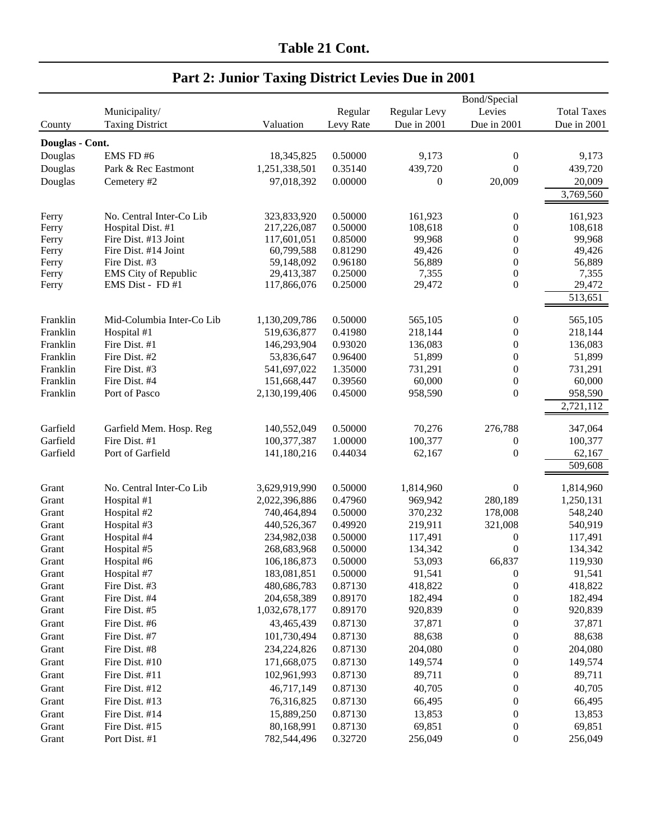|                 |                           |               |           |                  | Bond/Special     |                    |
|-----------------|---------------------------|---------------|-----------|------------------|------------------|--------------------|
|                 | Municipality/             |               | Regular   | Regular Levy     | Levies           | <b>Total Taxes</b> |
| County          | <b>Taxing District</b>    | Valuation     | Levy Rate | Due in 2001      | Due in 2001      | Due in 2001        |
|                 |                           |               |           |                  |                  |                    |
| Douglas - Cont. |                           |               |           |                  |                  |                    |
| Douglas         | EMS FD#6                  | 18,345,825    | 0.50000   | 9,173            | $\boldsymbol{0}$ | 9,173              |
| Douglas         | Park & Rec Eastmont       | 1,251,338,501 | 0.35140   | 439,720          | $\boldsymbol{0}$ | 439,720            |
| Douglas         | Cemetery #2               | 97,018,392    | 0.00000   | $\boldsymbol{0}$ | 20,009           | 20,009             |
|                 |                           |               |           |                  |                  | 3,769,560          |
| Ferry           | No. Central Inter-Co Lib  | 323,833,920   | 0.50000   | 161,923          | $\boldsymbol{0}$ | 161,923            |
| Ferry           | Hospital Dist. #1         | 217,226,087   | 0.50000   | 108,618          | $\boldsymbol{0}$ | 108,618            |
| Ferry           | Fire Dist. #13 Joint      | 117,601,051   | 0.85000   | 99,968           | 0                | 99,968             |
| Ferry           | Fire Dist. #14 Joint      | 60,799,588    | 0.81290   | 49,426           | 0                | 49,426             |
| Ferry           | Fire Dist. #3             | 59,148,092    | 0.96180   | 56,889           | $\boldsymbol{0}$ | 56,889             |
| Ferry           | EMS City of Republic      | 29,413,387    | 0.25000   | 7,355            | $\boldsymbol{0}$ | 7,355              |
| Ferry           | EMS Dist - FD #1          | 117,866,076   | 0.25000   | 29,472           | $\boldsymbol{0}$ | 29,472             |
|                 |                           |               |           |                  |                  | 513,651            |
|                 |                           |               |           |                  |                  |                    |
| Franklin        | Mid-Columbia Inter-Co Lib | 1,130,209,786 | 0.50000   | 565,105          | $\boldsymbol{0}$ | 565,105            |
| Franklin        | Hospital #1               | 519,636,877   | 0.41980   | 218,144          | 0                | 218,144            |
| Franklin        | Fire Dist. #1             | 146,293,904   | 0.93020   | 136,083          | $\boldsymbol{0}$ | 136,083            |
| Franklin        | Fire Dist. #2             | 53,836,647    | 0.96400   | 51,899           | $\boldsymbol{0}$ | 51,899             |
| Franklin        | Fire Dist. #3             | 541,697,022   | 1.35000   | 731,291          | $\boldsymbol{0}$ | 731,291            |
| Franklin        | Fire Dist. #4             | 151,668,447   | 0.39560   | 60,000           | $\boldsymbol{0}$ | 60,000             |
| Franklin        | Port of Pasco             | 2,130,199,406 | 0.45000   | 958,590          | $\boldsymbol{0}$ | 958,590            |
|                 |                           |               |           |                  |                  | 2,721,112          |
|                 |                           |               |           |                  |                  |                    |
| Garfield        | Garfield Mem. Hosp. Reg   | 140,552,049   | 0.50000   | 70,276           | 276,788          | 347,064            |
| Garfield        | Fire Dist. #1             | 100,377,387   | 1.00000   | 100,377          | 0                | 100,377            |
| Garfield        | Port of Garfield          | 141,180,216   | 0.44034   | 62,167           | $\boldsymbol{0}$ | 62,167             |
|                 |                           |               |           |                  |                  | 509,608            |
|                 | No. Central Inter-Co Lib  | 3,629,919,990 | 0.50000   | 1,814,960        | $\boldsymbol{0}$ | 1,814,960          |
| Grant           | Hospital #1               |               | 0.47960   |                  | 280,189          |                    |
| Grant           |                           | 2,022,396,886 |           | 969,942          | 178,008          | 1,250,131          |
| Grant           | Hospital #2               | 740,464,894   | 0.50000   | 370,232          |                  | 548,240            |
| Grant           | Hospital #3               | 440,526,367   | 0.49920   | 219,911          | 321,008          | 540,919            |
| Grant           | Hospital #4               | 234,982,038   | 0.50000   | 117,491          | 0                | 117,491            |
| Grant           | Hospital #5               | 268,683,968   | 0.50000   | 134,342          | $\boldsymbol{0}$ | 134,342            |
| Grant           | Hospital #6               | 106,186,873   | 0.50000   | 53,093           | 66,837           | 119,930            |
| Grant           | Hospital #7               | 183,081,851   | 0.50000   | 91,541           | $\boldsymbol{0}$ | 91,541             |
| Grant           | Fire Dist. #3             | 480,686,783   | 0.87130   | 418,822          | $\boldsymbol{0}$ | 418,822            |
| Grant           | Fire Dist. #4             | 204,658,389   | 0.89170   | 182,494          | $\boldsymbol{0}$ | 182,494            |
| Grant           | Fire Dist. #5             | 1,032,678,177 | 0.89170   | 920,839          | $\boldsymbol{0}$ | 920,839            |
| Grant           | Fire Dist. #6             | 43,465,439    | 0.87130   | 37,871           | $\boldsymbol{0}$ | 37,871             |
| Grant           | Fire Dist. #7             | 101,730,494   | 0.87130   | 88,638           | $\boldsymbol{0}$ | 88,638             |
| Grant           | Fire Dist. #8             | 234,224,826   | 0.87130   | 204,080          | $\boldsymbol{0}$ | 204,080            |
| Grant           | Fire Dist. #10            | 171,668,075   | 0.87130   | 149,574          | $\boldsymbol{0}$ | 149,574            |
| Grant           | Fire Dist. #11            | 102,961,993   | 0.87130   | 89,711           | $\boldsymbol{0}$ | 89,711             |
| Grant           | Fire Dist. #12            | 46,717,149    | 0.87130   | 40,705           | $\boldsymbol{0}$ | 40,705             |
| Grant           | Fire Dist. #13            | 76,316,825    | 0.87130   | 66,495           | $\boldsymbol{0}$ | 66,495             |
| Grant           | Fire Dist. #14            | 15,889,250    | 0.87130   | 13,853           | $\boldsymbol{0}$ | 13,853             |
| Grant           | Fire Dist. #15            | 80,168,991    | 0.87130   | 69,851           | $\boldsymbol{0}$ | 69,851             |
| Grant           | Port Dist. #1             | 782,544,496   | 0.32720   | 256,049          | $\boldsymbol{0}$ | 256,049            |
|                 |                           |               |           |                  |                  |                    |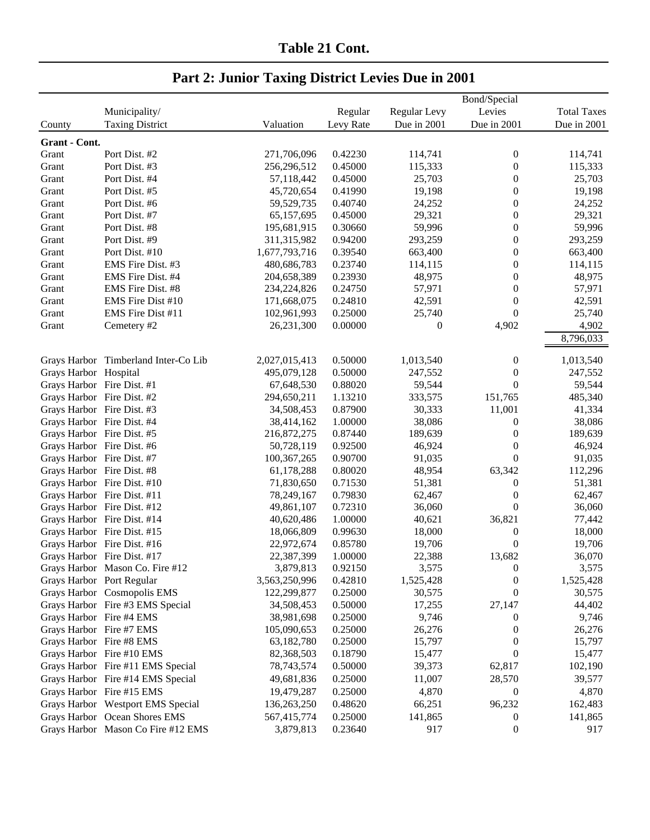|                            |                                      |               |           |              | Bond/Special     |                    |
|----------------------------|--------------------------------------|---------------|-----------|--------------|------------------|--------------------|
|                            | Municipality/                        |               | Regular   | Regular Levy | Levies           | <b>Total Taxes</b> |
| County                     | <b>Taxing District</b>               | Valuation     | Levy Rate | Due in 2001  | Due in 2001      | Due in 2001        |
| Grant - Cont.              |                                      |               |           |              |                  |                    |
| Grant                      | Port Dist. #2                        | 271,706,096   | 0.42230   | 114,741      | $\boldsymbol{0}$ | 114,741            |
| Grant                      | Port Dist. #3                        | 256,296,512   | 0.45000   | 115,333      | 0                | 115,333            |
| Grant                      | Port Dist. #4                        | 57,118,442    | 0.45000   | 25,703       | $\boldsymbol{0}$ | 25,703             |
| Grant                      | Port Dist. #5                        | 45,720,654    | 0.41990   | 19,198       | $\boldsymbol{0}$ | 19,198             |
| Grant                      | Port Dist. #6                        | 59,529,735    | 0.40740   | 24,252       | $\boldsymbol{0}$ | 24,252             |
| Grant                      | Port Dist. #7                        | 65,157,695    | 0.45000   | 29,321       | $\boldsymbol{0}$ | 29,321             |
| Grant                      | Port Dist. #8                        | 195,681,915   | 0.30660   | 59,996       | $\boldsymbol{0}$ | 59,996             |
| Grant                      | Port Dist. #9                        | 311,315,982   | 0.94200   | 293,259      | $\boldsymbol{0}$ | 293,259            |
| Grant                      | Port Dist. #10                       | 1,677,793,716 | 0.39540   | 663,400      | $\boldsymbol{0}$ | 663,400            |
| Grant                      | EMS Fire Dist. #3                    | 480,686,783   | 0.23740   | 114,115      | 0                | 114,115            |
| Grant                      | EMS Fire Dist. #4                    | 204,658,389   | 0.23930   | 48,975       | 0                | 48,975             |
|                            | EMS Fire Dist. #8                    | 234,224,826   | 0.24750   | 57,971       | $\boldsymbol{0}$ | 57,971             |
| Grant<br>Grant             | EMS Fire Dist #10                    | 171,668,075   | 0.24810   | 42,591       | $\boldsymbol{0}$ | 42,591             |
|                            | EMS Fire Dist #11                    |               | 0.25000   |              | $\boldsymbol{0}$ | 25,740             |
| Grant                      |                                      | 102,961,993   |           | 25,740       |                  |                    |
| Grant                      | Cemetery #2                          | 26,231,300    | 0.00000   | $\mathbf{0}$ | 4,902            | 4,902              |
|                            |                                      |               |           |              |                  | 8,796,033          |
|                            | Grays Harbor Timberland Inter-Co Lib | 2,027,015,413 | 0.50000   | 1,013,540    | $\boldsymbol{0}$ | 1,013,540          |
| Grays Harbor Hospital      |                                      | 495,079,128   | 0.50000   | 247,552      | $\boldsymbol{0}$ | 247,552            |
| Grays Harbor Fire Dist. #1 |                                      | 67,648,530    | 0.88020   | 59,544       | $\boldsymbol{0}$ | 59,544             |
| Grays Harbor Fire Dist. #2 |                                      | 294,650,211   | 1.13210   | 333,575      | 151,765          | 485,340            |
| Grays Harbor Fire Dist. #3 |                                      | 34,508,453    | 0.87900   | 30,333       | 11,001           | 41,334             |
| Grays Harbor Fire Dist. #4 |                                      | 38,414,162    | 1.00000   | 38,086       | 0                | 38,086             |
| Grays Harbor Fire Dist. #5 |                                      | 216,872,275   | 0.87440   | 189,639      | $\boldsymbol{0}$ | 189,639            |
| Grays Harbor Fire Dist. #6 |                                      | 50,728,119    | 0.92500   | 46,924       | $\boldsymbol{0}$ | 46,924             |
| Grays Harbor Fire Dist. #7 |                                      | 100, 367, 265 | 0.90700   | 91,035       | $\boldsymbol{0}$ | 91,035             |
| Grays Harbor Fire Dist. #8 |                                      | 61,178,288    | 0.80020   | 48,954       | 63,342           | 112,296            |
|                            | Grays Harbor Fire Dist. #10          | 71,830,650    | 0.71530   | 51,381       | $\boldsymbol{0}$ | 51,381             |
|                            | Grays Harbor Fire Dist. #11          | 78,249,167    | 0.79830   | 62,467       | $\boldsymbol{0}$ | 62,467             |
|                            | Grays Harbor Fire Dist. #12          | 49,861,107    | 0.72310   | 36,060       | $\boldsymbol{0}$ | 36,060             |
|                            | Grays Harbor Fire Dist. #14          | 40,620,486    | 1.00000   | 40,621       | 36,821           | 77,442             |
|                            | Grays Harbor Fire Dist. #15          | 18,066,809    | 0.99630   | 18,000       | $\boldsymbol{0}$ | 18,000             |
|                            | Grays Harbor Fire Dist. #16          | 22,972,674    | 0.85780   | 19,706       | $\boldsymbol{0}$ | 19,706             |
|                            | Grays Harbor Fire Dist. #17          | 22,387,399    | 1.00000   | 22,388       | 13,682           | 36,070             |
|                            | Grays Harbor Mason Co. Fire #12      | 3,879,813     | 0.92150   | 3,575        | $\boldsymbol{0}$ | 3,575              |
| Grays Harbor Port Regular  |                                      | 3,563,250,996 | 0.42810   | 1,525,428    | 0                | 1,525,428          |
|                            | Grays Harbor Cosmopolis EMS          | 122,299,877   | 0.25000   | 30,575       | $\boldsymbol{0}$ | 30,575             |
|                            | Grays Harbor Fire #3 EMS Special     | 34,508,453    | 0.50000   | 17,255       | 27,147           | 44,402             |
| Grays Harbor Fire #4 EMS   |                                      | 38,981,698    | 0.25000   | 9,746        | $\boldsymbol{0}$ | 9,746              |
| Grays Harbor Fire #7 EMS   |                                      | 105,090,653   | 0.25000   | 26,276       | $\mathbf{0}$     | 26,276             |
| Grays Harbor Fire #8 EMS   |                                      | 63,182,780    | 0.25000   | 15,797       | $\boldsymbol{0}$ | 15,797             |
|                            | Grays Harbor Fire #10 EMS            | 82,368,503    | 0.18790   | 15,477       | $\boldsymbol{0}$ | 15,477             |
|                            | Grays Harbor Fire #11 EMS Special    | 78, 743, 574  | 0.50000   | 39,373       | 62,817           | 102,190            |
|                            | Grays Harbor Fire #14 EMS Special    | 49,681,836    | 0.25000   | 11,007       | 28,570           | 39,577             |
|                            | Grays Harbor Fire #15 EMS            | 19,479,287    | 0.25000   | 4,870        | $\boldsymbol{0}$ | 4,870              |
|                            | Grays Harbor Westport EMS Special    | 136,263,250   | 0.48620   | 66,251       | 96,232           | 162,483            |
|                            | Grays Harbor Ocean Shores EMS        | 567,415,774   | 0.25000   | 141,865      | $\boldsymbol{0}$ | 141,865            |
|                            | Grays Harbor Mason Co Fire #12 EMS   | 3,879,813     | 0.23640   | 917          | $\boldsymbol{0}$ | 917                |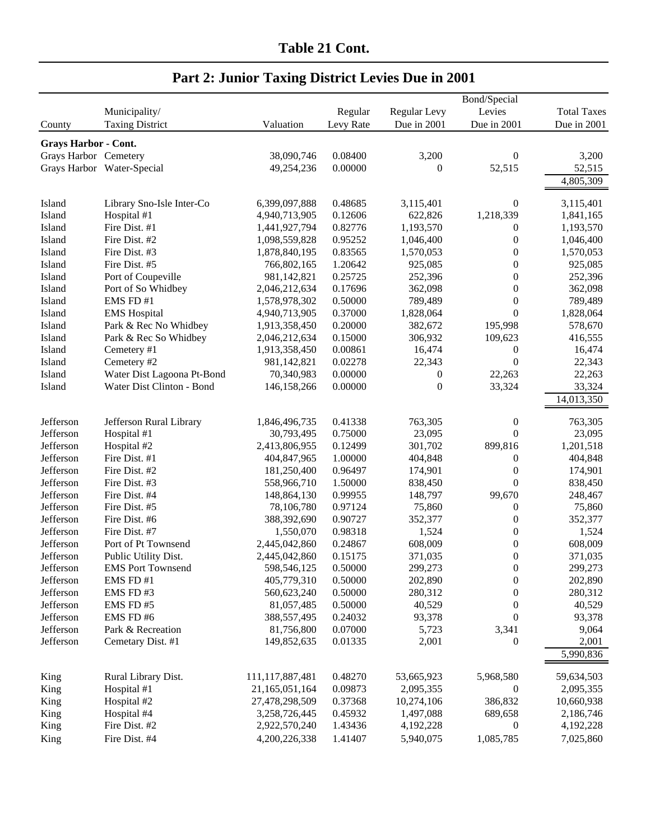|                             |                            |                 |           |                | Bond/Special     |                    |
|-----------------------------|----------------------------|-----------------|-----------|----------------|------------------|--------------------|
|                             | Municipality/              |                 | Regular   | Regular Levy   | Levies           | <b>Total Taxes</b> |
| County                      | <b>Taxing District</b>     | Valuation       | Levy Rate | Due in 2001    | Due in 2001      | Due in 2001        |
| <b>Grays Harbor - Cont.</b> |                            |                 |           |                |                  |                    |
| Grays Harbor Cemetery       |                            | 38,090,746      | 0.08400   | 3,200          | $\boldsymbol{0}$ | 3,200              |
|                             | Grays Harbor Water-Special | 49,254,236      | 0.00000   | $\mathbf{0}$   | 52,515           | 52,515             |
|                             |                            |                 |           |                |                  | 4,805,309          |
|                             |                            |                 |           |                |                  |                    |
| Island                      | Library Sno-Isle Inter-Co  | 6,399,097,888   | 0.48685   | 3,115,401      | $\mathbf{0}$     | 3,115,401          |
| Island                      | Hospital #1                | 4,940,713,905   | 0.12606   | 622,826        | 1,218,339        | 1,841,165          |
| Island                      | Fire Dist. #1              | 1,441,927,794   | 0.82776   | 1,193,570      | $\boldsymbol{0}$ | 1,193,570          |
| Island                      | Fire Dist. #2              | 1,098,559,828   | 0.95252   | 1,046,400      | $\boldsymbol{0}$ | 1,046,400          |
| Island                      | Fire Dist. #3              | 1,878,840,195   | 0.83565   | 1,570,053      | $\boldsymbol{0}$ | 1,570,053          |
| Island                      | Fire Dist. #5              | 766,802,165     | 1.20642   | 925,085        | $\boldsymbol{0}$ | 925,085            |
| Island                      | Port of Coupeville         | 981,142,821     | 0.25725   | 252,396        | $\boldsymbol{0}$ | 252,396            |
| Island                      | Port of So Whidbey         | 2,046,212,634   | 0.17696   | 362,098        | $\boldsymbol{0}$ | 362,098            |
| Island                      | EMS FD #1                  | 1,578,978,302   | 0.50000   | 789,489        | $\boldsymbol{0}$ | 789,489            |
| Island                      | <b>EMS</b> Hospital        | 4,940,713,905   | 0.37000   | 1,828,064      | $\overline{0}$   | 1,828,064          |
| Island                      | Park & Rec No Whidbey      | 1,913,358,450   | 0.20000   | 382,672        | 195,998          | 578,670            |
| Island                      | Park & Rec So Whidbey      | 2,046,212,634   | 0.15000   | 306,932        | 109,623          | 416,555            |
| Island                      | Cemetery #1                | 1,913,358,450   | 0.00861   | 16,474         | $\boldsymbol{0}$ | 16,474             |
| Island                      | Cemetery #2                | 981,142,821     | 0.02278   | 22,343         | $\boldsymbol{0}$ | 22,343             |
| Island                      | Water Dist Lagoona Pt-Bond | 70,340,983      | 0.00000   | 0              | 22,263           | 22,263             |
|                             | Water Dist Clinton - Bond  | 146, 158, 266   | 0.00000   | $\overline{0}$ | 33,324           | 33,324             |
| Island                      |                            |                 |           |                |                  |                    |
|                             |                            |                 |           |                |                  | 14,013,350         |
| Jefferson                   | Jefferson Rural Library    | 1,846,496,735   | 0.41338   | 763,305        | $\boldsymbol{0}$ | 763,305            |
| Jefferson                   | Hospital #1                | 30,793,495      | 0.75000   | 23,095         | $\boldsymbol{0}$ | 23,095             |
| Jefferson                   | Hospital #2                | 2,413,806,955   | 0.12499   | 301,702        | 899,816          | 1,201,518          |
| Jefferson                   | Fire Dist. #1              | 404,847,965     | 1.00000   | 404,848        | $\boldsymbol{0}$ | 404,848            |
| Jefferson                   | Fire Dist. #2              | 181,250,400     | 0.96497   | 174,901        | $\boldsymbol{0}$ | 174,901            |
| Jefferson                   | Fire Dist. #3              | 558,966,710     | 1.50000   | 838,450        | $\boldsymbol{0}$ | 838,450            |
| Jefferson                   | Fire Dist. #4              | 148,864,130     | 0.99955   | 148,797        | 99,670           | 248,467            |
| Jefferson                   | Fire Dist. #5              | 78,106,780      | 0.97124   | 75,860         | $\boldsymbol{0}$ | 75,860             |
| Jefferson                   | Fire Dist. #6              | 388,392,690     | 0.90727   | 352,377        | $\boldsymbol{0}$ | 352,377            |
| Jefferson                   | Fire Dist. #7              | 1,550,070       | 0.98318   | 1,524          | $\boldsymbol{0}$ | 1,524              |
| Jefferson                   | Port of Pt Townsend        | 2,445,042,860   | 0.24867   | 608,009        | $\boldsymbol{0}$ | 608,009            |
| Jefferson                   | Public Utility Dist.       | 2,445,042,860   | 0.15175   | 371,035        | $\boldsymbol{0}$ | 371,035            |
| Jefferson                   | <b>EMS</b> Port Townsend   | 598,546,125     | 0.50000   | 299,273        | $\boldsymbol{0}$ | 299,273            |
| Jefferson                   | EMS FD #1                  | 405,779,310     | 0.50000   | 202,890        | $\boldsymbol{0}$ | 202,890            |
| Jefferson                   | EMS FD#3                   | 560,623,240     | 0.50000   | 280,312        | $\boldsymbol{0}$ | 280,312            |
| Jefferson                   | EMS FD#5                   | 81,057,485      | 0.50000   | 40,529         | $\boldsymbol{0}$ | 40,529             |
| Jefferson                   | EMS FD#6                   | 388,557,495     | 0.24032   | 93,378         | $\boldsymbol{0}$ | 93,378             |
| Jefferson                   | Park & Recreation          | 81,756,800      | 0.07000   | 5,723          | 3,341            | 9,064              |
| Jefferson                   | Cemetary Dist. #1          | 149,852,635     | 0.01335   | 2,001          | $\boldsymbol{0}$ | 2,001              |
|                             |                            |                 |           |                |                  | 5,990,836          |
|                             |                            |                 |           |                |                  |                    |
| King                        | Rural Library Dist.        | 111,117,887,481 | 0.48270   | 53,665,923     | 5,968,580        | 59,634,503         |
| King                        | Hospital #1                | 21,165,051,164  | 0.09873   | 2,095,355      | $\boldsymbol{0}$ | 2,095,355          |
| King                        | Hospital #2                | 27,478,298,509  | 0.37368   | 10,274,106     | 386,832          | 10,660,938         |
| King                        | Hospital #4                | 3,258,726,445   | 0.45932   | 1,497,088      | 689,658          | 2,186,746          |
| King                        | Fire Dist. #2              | 2,922,570,240   | 1.43436   | 4,192,228      | $\boldsymbol{0}$ | 4,192,228          |
| King                        | Fire Dist. #4              | 4,200,226,338   | 1.41407   | 5,940,075      | 1,085,785        | 7,025,860          |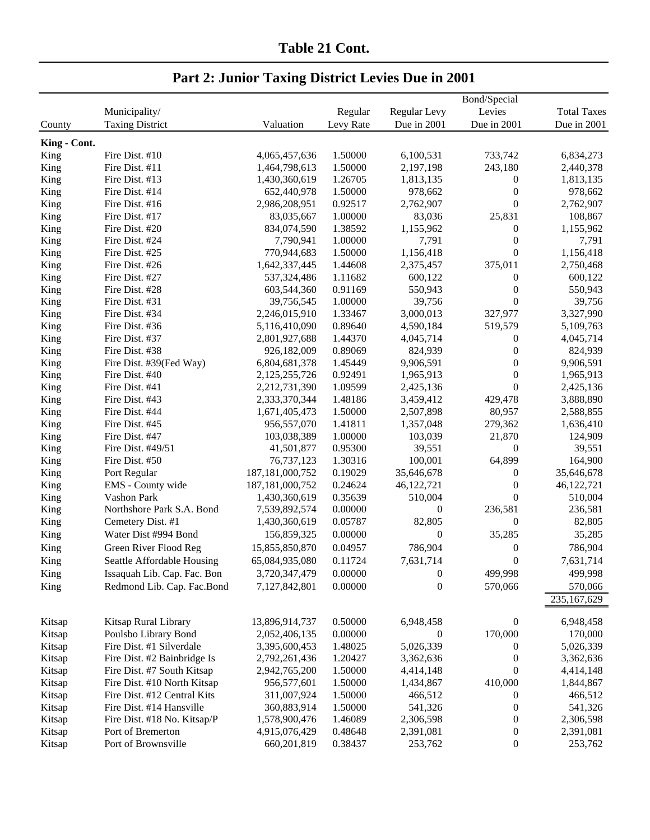|              |                             |                    |           |              | Bond/Special     |                    |
|--------------|-----------------------------|--------------------|-----------|--------------|------------------|--------------------|
|              | Municipality/               |                    | Regular   | Regular Levy | Levies           | <b>Total Taxes</b> |
| County       | <b>Taxing District</b>      | Valuation          | Levy Rate | Due in 2001  | Due in 2001      | Due in 2001        |
| King - Cont. |                             |                    |           |              |                  |                    |
| King         | Fire Dist. #10              | 4,065,457,636      | 1.50000   | 6,100,531    | 733,742          | 6,834,273          |
| King         | Fire Dist. #11              | 1,464,798,613      | 1.50000   | 2,197,198    | 243,180          | 2,440,378          |
| King         | Fire Dist. #13              | 1,430,360,619      | 1.26705   | 1,813,135    | $\boldsymbol{0}$ | 1,813,135          |
| King         | Fire Dist. #14              | 652,440,978        | 1.50000   | 978,662      | $\boldsymbol{0}$ | 978,662            |
| King         | Fire Dist. #16              | 2,986,208,951      | 0.92517   | 2,762,907    | $\theta$         | 2,762,907          |
| King         | Fire Dist. #17              | 83,035,667         | 1.00000   | 83,036       | 25,831           | 108,867            |
| King         | Fire Dist. #20              | 834,074,590        | 1.38592   | 1,155,962    | $\theta$         | 1,155,962          |
| King         | Fire Dist. #24              | 7,790,941          | 1.00000   | 7,791        | $\boldsymbol{0}$ | 7,791              |
| King         | Fire Dist. #25              | 770,944,683        | 1.50000   | 1,156,418    | $\theta$         | 1,156,418          |
| King         | Fire Dist. #26              | 1,642,337,445      | 1.44608   | 2,375,457    | 375,011          | 2,750,468          |
| King         | Fire Dist. #27              | 537,324,486        | 1.11682   | 600,122      | $\boldsymbol{0}$ | 600,122            |
| King         | Fire Dist. #28              | 603,544,360        | 0.91169   | 550,943      | $\mathbf{0}$     | 550,943            |
| King         | Fire Dist. #31              | 39,756,545         | 1.00000   | 39,756       | $\boldsymbol{0}$ | 39,756             |
| King         | Fire Dist. #34              | 2,246,015,910      | 1.33467   | 3,000,013    | 327,977          | 3,327,990          |
| King         | Fire Dist. #36              | 5,116,410,090      | 0.89640   | 4,590,184    | 519,579          | 5,109,763          |
| King         | Fire Dist. #37              | 2,801,927,688      | 1.44370   | 4,045,714    | $\boldsymbol{0}$ | 4,045,714          |
| King         | Fire Dist. #38              | 926,182,009        | 0.89069   | 824,939      | $\boldsymbol{0}$ | 824,939            |
| King         | Fire Dist. #39(Fed Way)     | 6,804,681,378      | 1.45449   | 9,906,591    | $\boldsymbol{0}$ | 9,906,591          |
| King         | Fire Dist. #40              | 2,125,255,726      | 0.92491   | 1,965,913    | $\theta$         | 1,965,913          |
| King         | Fire Dist. #41              | 2,212,731,390      | 1.09599   | 2,425,136    | $\theta$         | 2,425,136          |
| King         | Fire Dist. #43              | 2,333,370,344      | 1.48186   | 3,459,412    | 429,478          | 3,888,890          |
| King         | Fire Dist. #44              | 1,671,405,473      | 1.50000   | 2,507,898    | 80,957           | 2,588,855          |
| King         | Fire Dist. #45              | 956,557,070        | 1.41811   | 1,357,048    | 279,362          | 1,636,410          |
| King         | Fire Dist. #47              | 103,038,389        | 1.00000   | 103,039      | 21,870           | 124,909            |
| King         | Fire Dist. #49/51           | 41,501,877         | 0.95300   | 39,551       | $\mathbf{0}$     | 39,551             |
| King         | Fire Dist. #50              | 76,737,123         | 1.30316   | 100,001      | 64,899           | 164,900            |
| King         | Port Regular                | 187, 181, 000, 752 | 0.19029   | 35,646,678   | $\boldsymbol{0}$ | 35,646,678         |
| King         | EMS - County wide           | 187, 181, 000, 752 | 0.24624   | 46,122,721   | $\boldsymbol{0}$ | 46,122,721         |
| King         | Vashon Park                 | 1,430,360,619      | 0.35639   | 510,004      | $\theta$         | 510,004            |
| King         | Northshore Park S.A. Bond   | 7,539,892,574      | 0.00000   | $\theta$     | 236,581          | 236,581            |
| King         | Cemetery Dist. #1           | 1,430,360,619      | 0.05787   | 82,805       | $\theta$         | 82,805             |
| King         | Water Dist #994 Bond        | 156,859,325        | 0.00000   | $\theta$     | 35,285           | 35,285             |
| King         | Green River Flood Reg       | 15,855,850,870     | 0.04957   | 786,904      | $\boldsymbol{0}$ | 786,904            |
| King         | Seattle Affordable Housing  | 65,084,935,080     | 0.11724   | 7,631,714    | $\theta$         | 7,631,714          |
| King         | Issaquah Lib. Cap. Fac. Bon | 3,720,347,479      | 0.00000   | $\theta$     | 499,998          | 499,998            |
|              | Redmond Lib. Cap. Fac.Bond  |                    | 0.00000   |              | 570,066          |                    |
| King         |                             | 7,127,842,801      |           | $\mathbf{0}$ |                  | 570,066            |
|              |                             |                    |           |              |                  | 235,167,629        |
| Kitsap       | Kitsap Rural Library        | 13,896,914,737     | 0.50000   | 6,948,458    | $\boldsymbol{0}$ | 6,948,458          |
| Kitsap       | Poulsbo Library Bond        | 2,052,406,135      | 0.00000   | $\theta$     | 170,000          | 170,000            |
| Kitsap       | Fire Dist. #1 Silverdale    | 3,395,600,453      | 1.48025   | 5,026,339    | 0                | 5,026,339          |
| Kitsap       | Fire Dist. #2 Bainbridge Is | 2,792,261,436      | 1.20427   | 3,362,636    | $\mathbf{0}$     | 3,362,636          |
| Kitsap       | Fire Dist. #7 South Kitsap  | 2,942,765,200      | 1.50000   | 4,414,148    | $\boldsymbol{0}$ | 4,414,148          |
| Kitsap       | Fire Dist. #10 North Kitsap | 956,577,601        | 1.50000   | 1,434,867    | 410,000          | 1,844,867          |
| Kitsap       | Fire Dist. #12 Central Kits | 311,007,924        | 1.50000   | 466,512      | 0                | 466,512            |
| Kitsap       | Fire Dist. #14 Hansville    | 360,883,914        | 1.50000   | 541,326      | 0                | 541,326            |
| Kitsap       | Fire Dist. #18 No. Kitsap/P | 1,578,900,476      | 1.46089   | 2,306,598    | 0                | 2,306,598          |
| Kitsap       | Port of Bremerton           | 4,915,076,429      | 0.48648   | 2,391,081    | $\boldsymbol{0}$ | 2,391,081          |
| Kitsap       | Port of Brownsville         | 660, 201, 819      | 0.38437   | 253,762      | $\boldsymbol{0}$ | 253,762            |
|              |                             |                    |           |              |                  |                    |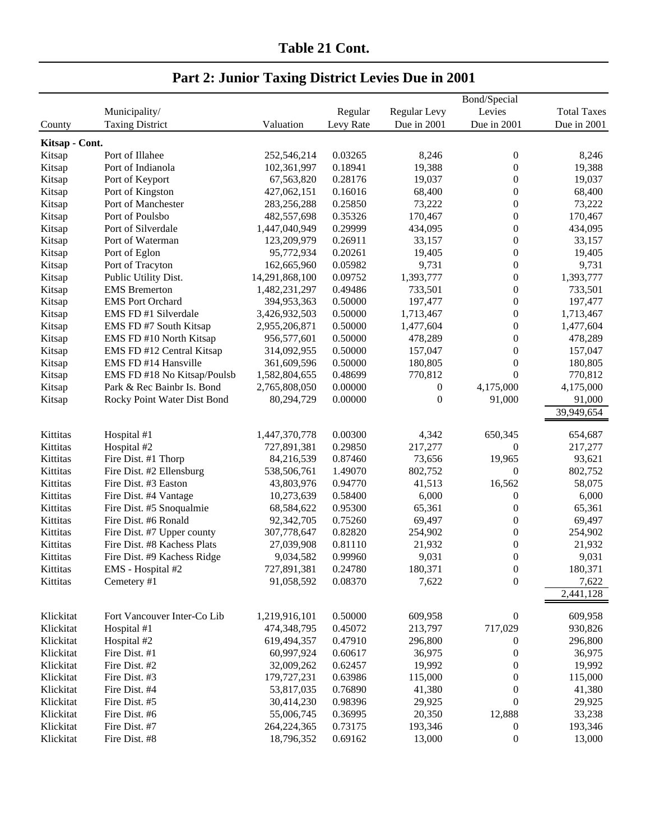#### Bond/Special Municipality/ Regular Regular Levy Levies Total Taxes County Taxing District Valuation Levy Rate Due in 2001 Due in 2001 Due in 2001 **Kitsap - Cont.** Kitsap Port of Illahee 252,546,214 0.03265 8,246 0 8,246 Kitsap Port of Indianola 102,361,997 0.18941 19,388 0 19,388 Kitsap Port of Keyport 67,563,820 0.28176 19,037 0 19,037 Kitsap Port of Kingston 427,062,151 0.16016 68,400 0 68,400 Kitsap Port of Manchester 283,256,288 0.25850 73,222 0 73,222 Kitsap Port of Poulsbo 482,557,698 0.35326 170,467 0 170,467 Kitsap Port of Silverdale 1,447,040,949 0.29999 434,095 0 434,095 Kitsap Port of Waterman 123,209,979 0.26911 33,157 0 33,157 Kitsap Port of Eglon 95,772,934 0.20261 19,405 0 19,405 Kitsap Port of Tracyton 162,665,960 0.05982 9,731 0 9,731 Kitsap Public Utility Dist. 14,291,868,100 0.09752 1,393,777 0 1,393,777 Kitsap EMS Bremerton 1,482,231,297 0.49486 733,501 0 733,501 Kitsap EMS Port Orchard 394,953,363 0.50000 197,477 0 197,477 Kitsap EMS FD #1 Silverdale 3,426,932,503 0.50000 1,713,467 0 1,713,467 Kitsap EMS FD #7 South Kitsap 2,955,206,871 0.50000 1,477,604 0 1,477,604 Kitsap EMS FD #10 North Kitsap 956,577,601 0.50000 478,289 0 478,289 Kitsap EMS FD #12 Central Kitsap 314,092,955 0.50000 157,047 0 157,047 Kitsap EMS FD #14 Hansville 361,609,596 0.50000 180,805 0 180,805 Kitsap EMS FD #18 No Kitsap/Poulsb 1,582,804,655 0,48699 770,812 0 770,812 Kitsap Park & Rec Bainbr Is. Bond 2,765,808,050 0.00000 0 4,175,000 4,175,000 4,175,000 Kitsap Rocky Point Water Dist Bond 80,294,729 0.00000 0 91,000 91,000 91,000 39,949,654 Kittitas Hospital #1 1,447,370,778 0.00300 4,342 650,345 654,687 Kittitas Hospital #2 727,891,381 0.29850 217,277 0 217,277 Kittitas Fire Dist. #1 Thorp 84,216,539 0.87460 73,656 19,965 93,621 Kittitas Fire Dist. #2 Ellensburg 538,506,761 1.49070 802,752 0 802,752 Kittitas Fire Dist. #3 Easton 43,803,976 0.94770 41,513 16,562 58,075 Kittitas Fire Dist. #4 Vantage 10,273,639 0.58400 6,000 0 6,000 6,000 Kittitas Fire Dist. #5 Snoqualmie 68,584,622 0.95300 65,361 0 65,361 Kittitas Fire Dist. #6 Ronald 92,342,705 0.75260 69,497 0 69,497 Kittitas Fire Dist. #7 Upper county 307,778,647 0.82820 254,902 0 254,902 Kittitas Fire Dist. #8 Kachess Plats 27,039,908 0.81110 21,932 0 21,932 Kittitas Fire Dist. #9 Kachess Ridge 9,034,582 0,99960 9,031 0 9,031 Kittitas EMS - Hospital #2 727,891,381 0.24780 180,371 0 180,371 Kittitas Cemetery #1 91,058,592 0.08370 7,622 0 7,622 2,441,128 Klickitat Fort Vancouver Inter-Co Lib 1,219,916,101 0.50000 609,958 0 609,958 Klickitat Hospital #1 474,348,795 0.45072 213,797 717,029 930,826 Klickitat Hospital #2 619,494,357 0.47910 296,800 0 296,800 Klickitat Fire Dist. #1 60,997,924 0.60617 36,975 0 36,975 Klickitat Fire Dist. #2 32,009,262 0.62457 19,992 0 19,992 Klickitat Fire Dist. #3 179,727,231 0.63986 115,000 0 115,000 Klickitat Fire Dist. #4 53,817,035 0.76890 41,380 0 41,380 Klickitat Fire Dist. #5 30,414,230 0.98396 29,925 0 29,925 Klickitat Fire Dist. #6 55,006,745 0.36995 20,350 12,888 33,238 Klickitat Fire Dist. #7 264,224,365 0.73175 193,346 0 193,346 Klickitat Fire Dist. #8 18,796,352 0.69162 13,000 0 13,000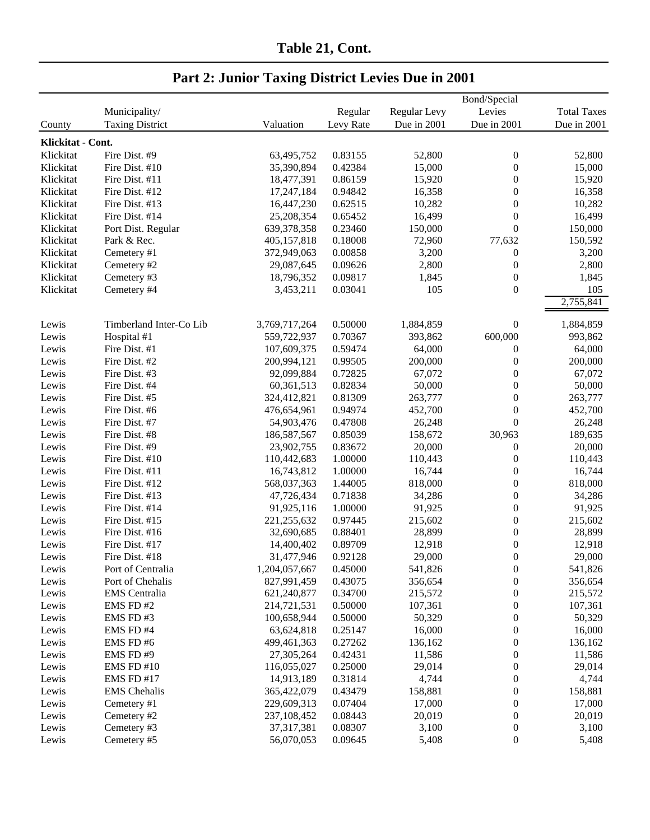| Table 21, Cont. |  |
|-----------------|--|
|                 |  |

|                   |                         |               |           |              | Bond/Special     |                    |
|-------------------|-------------------------|---------------|-----------|--------------|------------------|--------------------|
|                   | Municipality/           |               | Regular   | Regular Levy | Levies           | <b>Total Taxes</b> |
| County            | <b>Taxing District</b>  | Valuation     | Levy Rate | Due in 2001  | Due in 2001      | Due in 2001        |
| Klickitat - Cont. |                         |               |           |              |                  |                    |
| Klickitat         | Fire Dist. #9           | 63,495,752    | 0.83155   | 52,800       | $\boldsymbol{0}$ | 52,800             |
| Klickitat         | Fire Dist. #10          | 35,390,894    | 0.42384   | 15,000       | $\boldsymbol{0}$ | 15,000             |
| Klickitat         | Fire Dist. #11          | 18,477,391    | 0.86159   | 15,920       | $\boldsymbol{0}$ | 15,920             |
| Klickitat         | Fire Dist. #12          | 17,247,184    | 0.94842   | 16,358       | $\boldsymbol{0}$ | 16,358             |
| Klickitat         | Fire Dist. #13          | 16,447,230    | 0.62515   | 10,282       | $\boldsymbol{0}$ | 10,282             |
| Klickitat         | Fire Dist. #14          | 25,208,354    | 0.65452   | 16,499       | $\boldsymbol{0}$ | 16,499             |
| Klickitat         | Port Dist. Regular      | 639,378,358   | 0.23460   | 150,000      | $\boldsymbol{0}$ | 150,000            |
| Klickitat         | Park & Rec.             | 405,157,818   | 0.18008   | 72,960       | 77,632           | 150,592            |
| Klickitat         | Cemetery #1             | 372,949,063   | 0.00858   | 3,200        | $\boldsymbol{0}$ | 3,200              |
| Klickitat         | Cemetery #2             | 29,087,645    | 0.09626   | 2,800        | $\boldsymbol{0}$ | 2,800              |
| Klickitat         | Cemetery #3             | 18,796,352    | 0.09817   | 1,845        | $\boldsymbol{0}$ | 1,845              |
| Klickitat         | Cemetery #4             | 3,453,211     | 0.03041   | 105          | $\boldsymbol{0}$ | 105                |
|                   |                         |               |           |              |                  | 2,755,841          |
|                   |                         |               |           |              |                  |                    |
| Lewis             | Timberland Inter-Co Lib | 3,769,717,264 | 0.50000   | 1,884,859    | $\boldsymbol{0}$ | 1,884,859          |
| Lewis             | Hospital #1             | 559,722,937   | 0.70367   | 393,862      | 600,000          | 993,862            |
| Lewis             | Fire Dist. #1           | 107,609,375   | 0.59474   | 64,000       | $\boldsymbol{0}$ | 64,000             |
| Lewis             | Fire Dist. #2           | 200,994,121   | 0.99505   | 200,000      | $\boldsymbol{0}$ | 200,000            |
| Lewis             | Fire Dist. #3           | 92,099,884    | 0.72825   | 67,072       | $\boldsymbol{0}$ | 67,072             |
| Lewis             | Fire Dist. #4           | 60,361,513    | 0.82834   | 50,000       | $\boldsymbol{0}$ | 50,000             |
| Lewis             | Fire Dist. #5           | 324,412,821   | 0.81309   | 263,777      | $\boldsymbol{0}$ | 263,777            |
| Lewis             | Fire Dist. #6           | 476,654,961   | 0.94974   | 452,700      | $\boldsymbol{0}$ | 452,700            |
| Lewis             | Fire Dist. #7           | 54,903,476    | 0.47808   | 26,248       | $\overline{0}$   | 26,248             |
| Lewis             | Fire Dist. #8           | 186,587,567   | 0.85039   | 158,672      | 30,963           | 189,635            |
| Lewis             | Fire Dist. #9           | 23,902,755    | 0.83672   | 20,000       | $\boldsymbol{0}$ | 20,000             |
| Lewis             | Fire Dist. #10          | 110,442,683   | 1.00000   | 110,443      | $\boldsymbol{0}$ | 110,443            |
| Lewis             | Fire Dist. #11          | 16,743,812    | 1.00000   | 16,744       | $\boldsymbol{0}$ | 16,744             |
| Lewis             | Fire Dist. #12          | 568,037,363   | 1.44005   | 818,000      | $\boldsymbol{0}$ | 818,000            |
| Lewis             | Fire Dist. #13          | 47,726,434    | 0.71838   | 34,286       | $\boldsymbol{0}$ | 34,286             |
| Lewis             | Fire Dist. #14          | 91,925,116    | 1.00000   | 91,925       | $\boldsymbol{0}$ | 91,925             |
| Lewis             | Fire Dist. #15          | 221,255,632   | 0.97445   | 215,602      | $\boldsymbol{0}$ | 215,602            |
| Lewis             | Fire Dist. #16          | 32,690,685    | 0.88401   | 28,899       | $\boldsymbol{0}$ | 28,899             |
| Lewis             | Fire Dist. #17          | 14,400,402    | 0.89709   | 12,918       | $\boldsymbol{0}$ | 12,918             |
| Lewis             | Fire Dist. #18          | 31,477,946    | 0.92128   | 29,000       | $\boldsymbol{0}$ | 29,000             |
| Lewis             | Port of Centralia       | 1,204,057,667 | 0.45000   | 541,826      | $\boldsymbol{0}$ | 541,826            |
| Lewis             | Port of Chehalis        | 827,991,459   | 0.43075   | 356,654      | $\boldsymbol{0}$ | 356,654            |
| Lewis             | <b>EMS</b> Centralia    | 621,240,877   | 0.34700   | 215,572      | 0                | 215,572            |
| Lewis             | EMS FD#2                | 214,721,531   | 0.50000   | 107,361      | 0                | 107,361            |
| Lewis             | EMS FD#3                | 100,658,944   | 0.50000   | 50,329       | 0                | 50,329             |
| Lewis             | EMS FD#4                | 63,624,818    | 0.25147   | 16,000       | 0                | 16,000             |
| Lewis             | EMS FD#6                | 499,461,363   | 0.27262   | 136,162      | 0                | 136,162            |
| Lewis             | EMS FD#9                | 27,305,264    | 0.42431   | 11,586       | $\boldsymbol{0}$ | 11,586             |
| Lewis             | EMS FD #10              | 116,055,027   | 0.25000   | 29,014       | $\boldsymbol{0}$ | 29,014             |
| Lewis             | EMS FD #17              | 14,913,189    | 0.31814   | 4,744        | $\boldsymbol{0}$ | 4,744              |
| Lewis             | <b>EMS</b> Chehalis     | 365,422,079   | 0.43479   | 158,881      | $\boldsymbol{0}$ | 158,881            |
| Lewis             | Cemetery #1             | 229,609,313   | 0.07404   | 17,000       | $\boldsymbol{0}$ | 17,000             |
| Lewis             | Cemetery #2             | 237,108,452   | 0.08443   | 20,019       | $\boldsymbol{0}$ | 20,019             |
| Lewis             | Cemetery #3             | 37,317,381    | 0.08307   | 3,100        | 0                | 3,100              |
| Lewis             | Cemetery #5             | 56,070,053    | 0.09645   | 5,408        | $\boldsymbol{0}$ | 5,408              |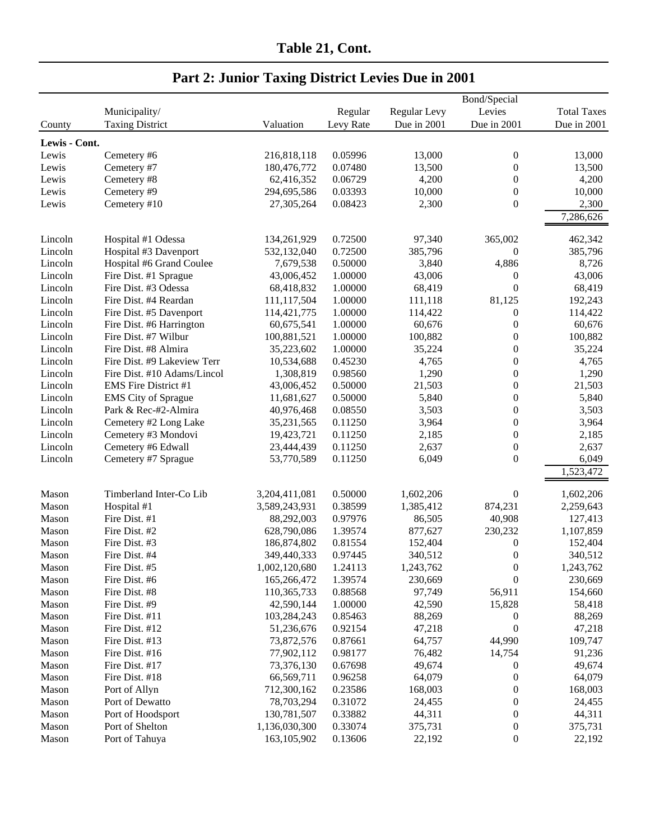|               |                             |               |           |              | Bond/Special     |                    |
|---------------|-----------------------------|---------------|-----------|--------------|------------------|--------------------|
|               | Municipality/               |               | Regular   | Regular Levy | Levies           | <b>Total Taxes</b> |
| County        | <b>Taxing District</b>      | Valuation     | Levy Rate | Due in 2001  | Due in 2001      | Due in 2001        |
|               |                             |               |           |              |                  |                    |
| Lewis - Cont. |                             |               |           |              |                  |                    |
| Lewis         | Cemetery #6                 | 216,818,118   | 0.05996   | 13,000       | $\boldsymbol{0}$ | 13,000             |
| Lewis         | Cemetery #7                 | 180,476,772   | 0.07480   | 13,500       | $\theta$         | 13,500             |
| Lewis         | Cemetery #8                 | 62,416,352    | 0.06729   | 4,200        | $\overline{0}$   | 4,200              |
| Lewis         | Cemetery #9                 | 294,695,586   | 0.03393   | 10,000       | $\theta$         | 10,000             |
| Lewis         | Cemetery #10                | 27,305,264    | 0.08423   | 2,300        | $\theta$         | 2,300              |
|               |                             |               |           |              |                  | 7,286,626          |
| Lincoln       | Hospital #1 Odessa          | 134,261,929   | 0.72500   | 97,340       | 365,002          | 462,342            |
| Lincoln       | Hospital #3 Davenport       | 532,132,040   | 0.72500   | 385,796      | $\boldsymbol{0}$ | 385,796            |
| Lincoln       | Hospital #6 Grand Coulee    | 7,679,538     | 0.50000   | 3,840        | 4,886            | 8,726              |
| Lincoln       | Fire Dist. #1 Sprague       | 43,006,452    | 1.00000   | 43,006       | $\mathbf{0}$     | 43,006             |
| Lincoln       | Fire Dist. #3 Odessa        | 68,418,832    | 1.00000   | 68,419       | $\boldsymbol{0}$ | 68,419             |
| Lincoln       | Fire Dist. #4 Reardan       | 111,117,504   | 1.00000   | 111,118      | 81,125           | 192,243            |
| Lincoln       | Fire Dist. #5 Davenport     | 114,421,775   | 1.00000   | 114,422      | $\boldsymbol{0}$ | 114,422            |
| Lincoln       | Fire Dist. #6 Harrington    | 60,675,541    | 1.00000   | 60,676       | $\boldsymbol{0}$ | 60,676             |
| Lincoln       | Fire Dist. #7 Wilbur        | 100,881,521   | 1.00000   | 100,882      | $\boldsymbol{0}$ | 100,882            |
| Lincoln       | Fire Dist. #8 Almira        | 35,223,602    | 1.00000   | 35,224       | $\boldsymbol{0}$ | 35,224             |
| Lincoln       | Fire Dist. #9 Lakeview Terr | 10,534,688    | 0.45230   | 4,765        | $\boldsymbol{0}$ | 4,765              |
| Lincoln       | Fire Dist. #10 Adams/Lincol | 1,308,819     | 0.98560   | 1,290        | $\boldsymbol{0}$ | 1,290              |
| Lincoln       | <b>EMS</b> Fire District #1 | 43,006,452    | 0.50000   | 21,503       | $\boldsymbol{0}$ | 21,503             |
| Lincoln       | <b>EMS</b> City of Sprague  | 11,681,627    | 0.50000   | 5,840        | $\boldsymbol{0}$ | 5,840              |
| Lincoln       | Park & Rec-#2-Almira        | 40,976,468    | 0.08550   | 3,503        | $\boldsymbol{0}$ | 3,503              |
| Lincoln       | Cemetery #2 Long Lake       | 35,231,565    | 0.11250   | 3,964        | $\boldsymbol{0}$ | 3,964              |
| Lincoln       | Cemetery #3 Mondovi         | 19,423,721    | 0.11250   | 2,185        | $\boldsymbol{0}$ | 2,185              |
| Lincoln       | Cemetery #6 Edwall          | 23,444,439    | 0.11250   | 2,637        | $\boldsymbol{0}$ | 2,637              |
| Lincoln       | Cemetery #7 Sprague         |               | 0.11250   | 6,049        | $\boldsymbol{0}$ | 6,049              |
|               |                             | 53,770,589    |           |              |                  | 1,523,472          |
|               |                             |               |           |              |                  |                    |
| Mason         | Timberland Inter-Co Lib     | 3,204,411,081 | 0.50000   | 1,602,206    | $\mathbf{0}$     | 1,602,206          |
| Mason         | Hospital #1                 | 3,589,243,931 | 0.38599   | 1,385,412    | 874,231          | 2,259,643          |
| Mason         | Fire Dist. #1               | 88,292,003    | 0.97976   | 86,505       | 40,908           | 127,413            |
| Mason         | Fire Dist. #2               | 628,790,086   | 1.39574   | 877,627      | 230,232          | 1,107,859          |
| Mason         | Fire Dist. #3               | 186,874,802   | 0.81554   | 152,404      | 0                | 152,404            |
| Mason         | Fire Dist. #4               | 349,440,333   | 0.97445   | 340,512      | $\boldsymbol{0}$ | 340,512            |
| Mason         | Fire Dist. #5               | 1,002,120,680 | 1.24113   | 1,243,762    | $\boldsymbol{0}$ | 1,243,762          |
| Mason         | Fire Dist. #6               | 165,266,472   | 1.39574   | 230,669      | $\boldsymbol{0}$ | 230,669            |
| Mason         | Fire Dist. #8               | 110,365,733   | 0.88568   | 97,749       | 56,911           | 154,660            |
| Mason         | Fire Dist. #9               | 42,590,144    | 1.00000   | 42,590       | 15,828           | 58,418             |
| Mason         | Fire Dist. #11              | 103,284,243   | 0.85463   | 88,269       | $\boldsymbol{0}$ | 88,269             |
| Mason         | Fire Dist. #12              | 51,236,676    | 0.92154   | 47,218       | $\boldsymbol{0}$ | 47,218             |
| Mason         | Fire Dist. #13              | 73,872,576    | 0.87661   | 64,757       | 44,990           | 109,747            |
| Mason         | Fire Dist. #16              | 77,902,112    | 0.98177   | 76,482       | 14,754           | 91,236             |
| Mason         | Fire Dist. #17              | 73,376,130    | 0.67698   | 49,674       | 0                | 49,674             |
| Mason         | Fire Dist. #18              | 66,569,711    | 0.96258   | 64,079       | $\boldsymbol{0}$ | 64,079             |
| Mason         | Port of Allyn               | 712,300,162   | 0.23586   | 168,003      | 0                | 168,003            |
| Mason         | Port of Dewatto             | 78,703,294    | 0.31072   | 24,455       | 0                | 24,455             |
| Mason         | Port of Hoodsport           | 130,781,507   | 0.33882   | 44,311       | 0                | 44,311             |
| Mason         | Port of Shelton             | 1,136,030,300 | 0.33074   | 375,731      | $\boldsymbol{0}$ | 375,731            |
| Mason         | Port of Tahuya              | 163,105,902   | 0.13606   | 22,192       | $\boldsymbol{0}$ | 22,192             |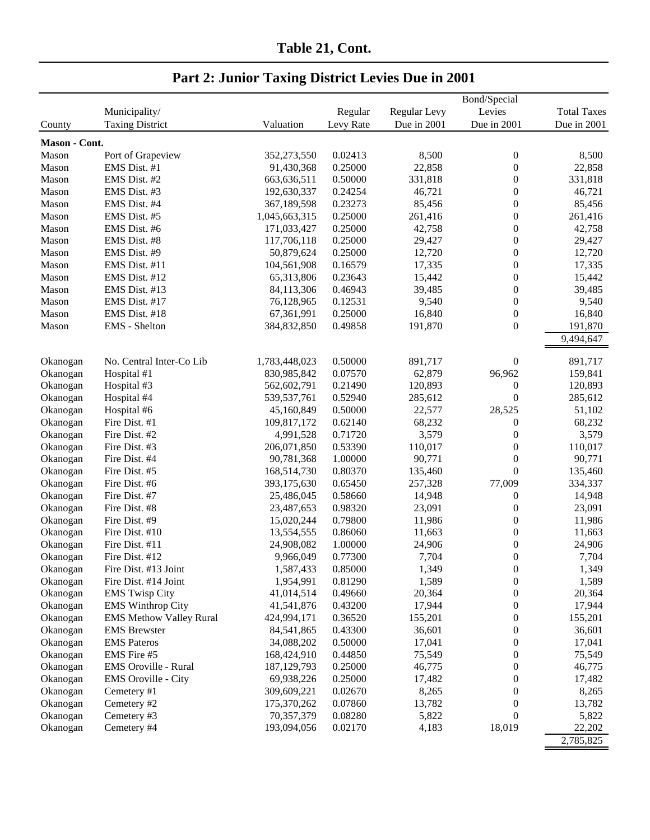| Table 21, Cont. |  |
|-----------------|--|
|                 |  |

|               |                                |               |           |              | Bond/Special     |                    |
|---------------|--------------------------------|---------------|-----------|--------------|------------------|--------------------|
|               | Municipality/                  |               | Regular   | Regular Levy | Levies           | <b>Total Taxes</b> |
| County        | <b>Taxing District</b>         | Valuation     | Levy Rate | Due in 2001  | Due in 2001      | Due in 2001        |
| Mason - Cont. |                                |               |           |              |                  |                    |
| Mason         | Port of Grapeview              | 352,273,550   | 0.02413   | 8,500        | $\boldsymbol{0}$ | 8,500              |
| Mason         | EMS Dist. #1                   | 91,430,368    | 0.25000   | 22,858       | $\boldsymbol{0}$ | 22,858             |
| Mason         | EMS Dist. #2                   | 663,636,511   | 0.50000   | 331,818      | $\boldsymbol{0}$ | 331,818            |
| Mason         | EMS Dist. #3                   | 192,630,337   | 0.24254   | 46,721       | $\boldsymbol{0}$ | 46,721             |
| Mason         | EMS Dist. #4                   | 367,189,598   | 0.23273   | 85,456       | $\boldsymbol{0}$ | 85,456             |
| Mason         | EMS Dist. #5                   | 1,045,663,315 | 0.25000   | 261,416      | $\boldsymbol{0}$ | 261,416            |
| Mason         | EMS Dist. #6                   | 171,033,427   | 0.25000   | 42,758       | $\boldsymbol{0}$ | 42,758             |
| Mason         | EMS Dist. #8                   | 117,706,118   | 0.25000   | 29,427       | $\boldsymbol{0}$ | 29,427             |
| Mason         | EMS Dist. #9                   | 50,879,624    | 0.25000   | 12,720       | $\boldsymbol{0}$ | 12,720             |
| Mason         | EMS Dist. #11                  | 104,561,908   | 0.16579   | 17,335       | $\boldsymbol{0}$ | 17,335             |
| Mason         | EMS Dist. #12                  | 65,313,806    | 0.23643   | 15,442       | $\boldsymbol{0}$ | 15,442             |
| Mason         | EMS Dist. #13                  | 84,113,306    | 0.46943   | 39,485       | $\boldsymbol{0}$ | 39,485             |
| Mason         | EMS Dist. #17                  |               | 0.12531   | 9,540        | $\boldsymbol{0}$ | 9,540              |
|               |                                | 76,128,965    |           |              |                  |                    |
| Mason         | EMS Dist. #18                  | 67,361,991    | 0.25000   | 16,840       | $\boldsymbol{0}$ | 16,840             |
| Mason         | EMS - Shelton                  | 384,832,850   | 0.49858   | 191,870      | $\boldsymbol{0}$ | 191,870            |
|               |                                |               |           |              |                  | 9,494,647          |
| Okanogan      | No. Central Inter-Co Lib       | 1,783,448,023 | 0.50000   | 891,717      | $\boldsymbol{0}$ | 891,717            |
| Okanogan      | Hospital #1                    | 830,985,842   | 0.07570   | 62,879       | 96,962           | 159,841            |
| Okanogan      | Hospital #3                    | 562,602,791   | 0.21490   | 120,893      | $\boldsymbol{0}$ | 120,893            |
| Okanogan      | Hospital #4                    | 539, 537, 761 | 0.52940   | 285,612      | $\boldsymbol{0}$ | 285,612            |
| Okanogan      | Hospital #6                    | 45,160,849    | 0.50000   | 22,577       | 28,525           | 51,102             |
| Okanogan      | Fire Dist. #1                  | 109,817,172   | 0.62140   | 68,232       | $\boldsymbol{0}$ | 68,232             |
| Okanogan      | Fire Dist. #2                  | 4,991,528     | 0.71720   | 3,579        | $\boldsymbol{0}$ | 3,579              |
| Okanogan      | Fire Dist. #3                  | 206,071,850   | 0.53390   | 110,017      | $\boldsymbol{0}$ | 110,017            |
| Okanogan      | Fire Dist. #4                  | 90,781,368    | 1.00000   | 90,771       | $\boldsymbol{0}$ | 90,771             |
| Okanogan      | Fire Dist. #5                  | 168,514,730   | 0.80370   | 135,460      | $\boldsymbol{0}$ | 135,460            |
| Okanogan      | Fire Dist. #6                  | 393,175,630   | 0.65450   | 257,328      | 77,009           | 334,337            |
| Okanogan      | Fire Dist. #7                  | 25,486,045    | 0.58660   | 14,948       | $\boldsymbol{0}$ | 14,948             |
| Okanogan      | Fire Dist. #8                  | 23,487,653    | 0.98320   | 23,091       | $\boldsymbol{0}$ | 23,091             |
| Okanogan      | Fire Dist. #9                  | 15,020,244    | 0.79800   | 11,986       | $\boldsymbol{0}$ | 11,986             |
| Okanogan      | Fire Dist. #10                 | 13,554,555    | 0.86060   | 11,663       | $\boldsymbol{0}$ | 11,663             |
| Okanogan      | Fire Dist. #11                 | 24,908,082    | 1.00000   | 24,906       | $\boldsymbol{0}$ | 24,906             |
| Okanogan      | Fire Dist. #12                 | 9,966,049     | 0.77300   | 7,704        | $\boldsymbol{0}$ | 7,704              |
| Okanogan      | Fire Dist. #13 Joint           | 1,587,433     | 0.85000   | 1,349        | 0                | 1,349              |
| Okanogan      | Fire Dist. #14 Joint           | 1,954,991     | 0.81290   | 1,589        | $\boldsymbol{0}$ | 1,589              |
| Okanogan      | <b>EMS Twisp City</b>          | 41,014,514    | 0.49660   | 20,364       | 0                | 20,364             |
| Okanogan      | <b>EMS Winthrop City</b>       | 41,541,876    | 0.43200   | 17,944       | 0                | 17,944             |
| Okanogan      | <b>EMS Methow Valley Rural</b> | 424,994,171   | 0.36520   | 155,201      | 0                | 155,201            |
| Okanogan      | <b>EMS</b> Brewster            | 84,541,865    | 0.43300   | 36,601       | 0                | 36,601             |
| Okanogan      | <b>EMS</b> Pateros             | 34,088,202    | 0.50000   | 17,041       | $\boldsymbol{0}$ | 17,041             |
| Okanogan      | EMS Fire #5                    | 168,424,910   | 0.44850   | 75,549       | $\boldsymbol{0}$ | 75,549             |
| Okanogan      | EMS Oroville - Rural           | 187, 129, 793 | 0.25000   | 46,775       | $\boldsymbol{0}$ | 46,775             |
| Okanogan      | <b>EMS</b> Oroville - City     | 69,938,226    | 0.25000   | 17,482       | $\boldsymbol{0}$ | 17,482             |
| Okanogan      | Cemetery #1                    | 309,609,221   | 0.02670   | 8,265        | $\boldsymbol{0}$ | 8,265              |
| Okanogan      | Cemetery #2                    | 175,370,262   | 0.07860   | 13,782       | 0                | 13,782             |
| Okanogan      | Cemetery #3                    | 70,357,379    | 0.08280   | 5,822        | $\boldsymbol{0}$ | 5,822              |
| Okanogan      | Cemetery #4                    | 193,094,056   | 0.02170   | 4,183        | 18,019           | 22,202             |
|               |                                |               |           |              |                  |                    |
|               |                                |               |           |              |                  | 2,785,825          |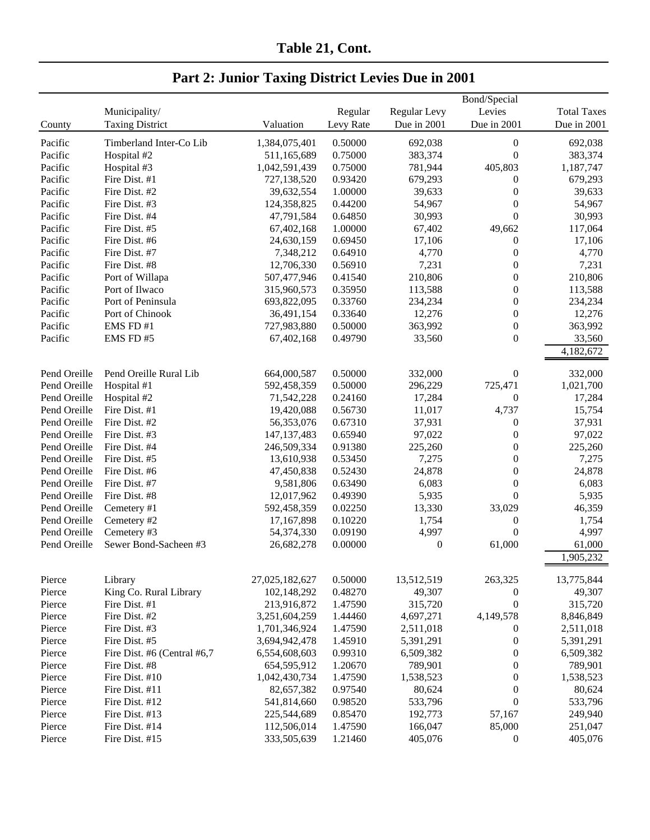| Table 21, Cont. |  |
|-----------------|--|
|                 |  |

| <b>Total Taxes</b><br>Municipality/<br>Regular<br>Regular Levy<br>Levies<br><b>Taxing District</b><br>Valuation<br>Levy Rate<br>Due in 2001<br>Due in 2001<br>Due in 2001<br>County<br>Timberland Inter-Co Lib<br>1,384,075,401<br>0.50000<br>692,038<br>Pacific<br>$\boldsymbol{0}$<br>692,038<br>$\boldsymbol{0}$<br>0.75000<br>383,374<br>383,374<br>Pacific<br>Hospital #2<br>511,165,689<br>1,042,591,439<br>0.75000<br>405,803<br>Pacific<br>Hospital #3<br>781,944<br>1,187,747<br>Pacific<br>Fire Dist. #1<br>727,138,520<br>0.93420<br>679,293<br>0<br>679,293<br>Pacific<br>Fire Dist. #2<br>39,632,554<br>1.00000<br>39,633<br>0<br>39,633<br>Pacific<br>$\boldsymbol{0}$<br>Fire Dist. #3<br>124,358,825<br>0.44200<br>54,967<br>54,967<br>$\boldsymbol{0}$<br>0.64850<br>Pacific<br>Fire Dist. #4<br>47,791,584<br>30,993<br>30,993<br>1.00000<br>49,662<br>Pacific<br>Fire Dist. #5<br>67,402,168<br>67,402<br>117,064<br>Pacific<br>0.69450<br>Fire Dist. #6<br>24,630,159<br>17,106<br>$\boldsymbol{0}$<br>17,106<br>$\boldsymbol{0}$<br>Pacific<br>Fire Dist. #7<br>7,348,212<br>0.64910<br>4,770<br>4,770<br>$\boldsymbol{0}$<br>7,231<br>Pacific<br>Fire Dist. #8<br>12,706,330<br>0.56910<br>7,231<br>507,477,946<br>210,806<br>$\boldsymbol{0}$<br>210,806<br>Pacific<br>Port of Willapa<br>0.41540<br>Port of Ilwaco<br>113,588<br>113,588<br>Pacific<br>315,960,573<br>0.35950<br>0<br>Port of Peninsula<br>0.33760<br>234,234<br>Pacific<br>693,822,095<br>234,234<br>0<br>Port of Chinook<br>0.33640<br>12,276<br>Pacific<br>36,491,154<br>0<br>12,276<br>EMS FD #1<br>0.50000<br>363,992<br>$\boldsymbol{0}$<br>363,992<br>Pacific<br>727,983,880<br>$\boldsymbol{0}$<br>Pacific<br>EMS FD#5<br>67,402,168<br>0.49790<br>33,560<br>33,560<br>4,182,672<br>Pend Oreille<br>Pend Oreille Rural Lib<br>0.50000<br>$\boldsymbol{0}$<br>332,000<br>664,000,587<br>332,000<br>Pend Oreille<br>592,458,359<br>296,229<br>725,471<br>1,021,700<br>Hospital #1<br>0.50000<br>17,284<br>$\boldsymbol{0}$<br>17,284<br>Pend Oreille<br>Hospital #2<br>71,542,228<br>0.24160<br>0.56730<br>11,017<br>4,737<br>15,754<br>Pend Oreille<br>Fire Dist. #1<br>19,420,088<br>Pend Oreille<br>Fire Dist. #2<br>0.67310<br>37,931<br>37,931<br>56,353,076<br>$\boldsymbol{0}$<br>0.65940<br>97,022<br>$\boldsymbol{0}$<br>97,022<br>Pend Oreille<br>Fire Dist. #3<br>147, 137, 483<br>Fire Dist. #4<br>0.91380<br>225,260<br>225,260<br>Pend Oreille<br>246,509,334<br>0<br>7,275<br>Pend Oreille<br>Fire Dist. #5<br>13,610,938<br>0.53450<br>7,275<br>0<br>0.52430<br>24,878<br>24,878<br>Pend Oreille<br>Fire Dist. #6<br>47,450,838<br>0<br>0.63490<br>$\boldsymbol{0}$<br>Pend Oreille<br>Fire Dist. #7<br>6,083<br>6,083<br>9,581,806<br>Pend Oreille<br>Fire Dist. #8<br>$\boldsymbol{0}$<br>12,017,962<br>0.49390<br>5,935<br>5,935<br>Pend Oreille<br>0.02250<br>Cemetery #1<br>592,458,359<br>13,330<br>33,029<br>46,359<br>1,754<br>Pend Oreille<br>17,167,898<br>0.10220<br>1,754<br>0<br>Cemetery #2<br>$\boldsymbol{0}$<br>Pend Oreille<br>4,997<br>4,997<br>Cemetery #3<br>54,374,330<br>0.09190<br>$\boldsymbol{0}$<br>Pend Oreille<br>Sewer Bond-Sacheen #3<br>26,682,278<br>0.00000<br>61,000<br>61,000<br>1,905,232<br>27,025,182,627<br>0.50000<br>13,512,519<br>263,325<br>13,775,844<br>Pierce<br>Library<br>King Co. Rural Library<br>102,148,292<br>0.48270<br>49,307<br>Pierce<br>49,307<br>$\boldsymbol{0}$<br>$\boldsymbol{0}$<br>Fire Dist. #1<br>213,916,872<br>1.47590<br>315,720<br>315,720<br>Pierce<br>4,149,578<br>Fire Dist. #2<br>1.44460<br>4,697,271<br>Pierce<br>3,251,604,259<br>8,846,849<br>Fire Dist. #3<br>1,701,346,924<br>1.47590<br>2,511,018<br>2,511,018<br>Pierce<br>$\boldsymbol{0}$<br>$\boldsymbol{0}$<br>Fire Dist. #5<br>3,694,942,478<br>1.45910<br>5,391,291<br>5,391,291<br>Pierce<br>$\boldsymbol{0}$<br>Fire Dist. #6 (Central #6,7<br>6,554,608,603<br>0.99310<br>6,509,382<br>6,509,382<br>Pierce<br>654,595,912<br>1.20670<br>789,901<br>0<br>789,901<br>Pierce<br>Fire Dist. #8<br>Fire Dist. #10<br>1,042,430,734<br>1.47590<br>1,538,523<br>0<br>1,538,523<br>Pierce<br>Pierce<br>Fire Dist. #11<br>82,657,382<br>0.97540<br>80,624<br>0<br>80,624<br>$\boldsymbol{0}$<br>Pierce<br>541,814,660<br>0.98520<br>533,796<br>533,796<br>Fire Dist. #12<br>225,544,689<br>0.85470<br>192,773<br>57,167<br>249,940<br>Pierce<br>Fire Dist. #13<br>Pierce<br>Fire Dist. #14<br>112,506,014<br>1.47590<br>166,047<br>85,000<br>251,047 |        |                |             |         |         | Bond/Special     |         |
|--------------------------------------------------------------------------------------------------------------------------------------------------------------------------------------------------------------------------------------------------------------------------------------------------------------------------------------------------------------------------------------------------------------------------------------------------------------------------------------------------------------------------------------------------------------------------------------------------------------------------------------------------------------------------------------------------------------------------------------------------------------------------------------------------------------------------------------------------------------------------------------------------------------------------------------------------------------------------------------------------------------------------------------------------------------------------------------------------------------------------------------------------------------------------------------------------------------------------------------------------------------------------------------------------------------------------------------------------------------------------------------------------------------------------------------------------------------------------------------------------------------------------------------------------------------------------------------------------------------------------------------------------------------------------------------------------------------------------------------------------------------------------------------------------------------------------------------------------------------------------------------------------------------------------------------------------------------------------------------------------------------------------------------------------------------------------------------------------------------------------------------------------------------------------------------------------------------------------------------------------------------------------------------------------------------------------------------------------------------------------------------------------------------------------------------------------------------------------------------------------------------------------------------------------------------------------------------------------------------------------------------------------------------------------------------------------------------------------------------------------------------------------------------------------------------------------------------------------------------------------------------------------------------------------------------------------------------------------------------------------------------------------------------------------------------------------------------------------------------------------------------------------------------------------------------------------------------------------------------------------------------------------------------------------------------------------------------------------------------------------------------------------------------------------------------------------------------------------------------------------------------------------------------------------------------------------------------------------------------------------------------------------------------------------------------------------------------------------------------------------------------------------------------------------------------------------------------------------------------------------------------------------------------------------------------------------------------------------------------------------------------------------------------------------------------------------------------------------------------------------------------------------------------------------------------------------------------------------------------------------------------------------------------------------------------------------------------------------------------------------------------------------------------------------------------------------------------------------------------------------------|--------|----------------|-------------|---------|---------|------------------|---------|
|                                                                                                                                                                                                                                                                                                                                                                                                                                                                                                                                                                                                                                                                                                                                                                                                                                                                                                                                                                                                                                                                                                                                                                                                                                                                                                                                                                                                                                                                                                                                                                                                                                                                                                                                                                                                                                                                                                                                                                                                                                                                                                                                                                                                                                                                                                                                                                                                                                                                                                                                                                                                                                                                                                                                                                                                                                                                                                                                                                                                                                                                                                                                                                                                                                                                                                                                                                                                                                                                                                                                                                                                                                                                                                                                                                                                                                                                                                                                                                                                                                                                                                                                                                                                                                                                                                                                                                                                                                                                                                        |        |                |             |         |         |                  |         |
|                                                                                                                                                                                                                                                                                                                                                                                                                                                                                                                                                                                                                                                                                                                                                                                                                                                                                                                                                                                                                                                                                                                                                                                                                                                                                                                                                                                                                                                                                                                                                                                                                                                                                                                                                                                                                                                                                                                                                                                                                                                                                                                                                                                                                                                                                                                                                                                                                                                                                                                                                                                                                                                                                                                                                                                                                                                                                                                                                                                                                                                                                                                                                                                                                                                                                                                                                                                                                                                                                                                                                                                                                                                                                                                                                                                                                                                                                                                                                                                                                                                                                                                                                                                                                                                                                                                                                                                                                                                                                                        |        |                |             |         |         |                  |         |
|                                                                                                                                                                                                                                                                                                                                                                                                                                                                                                                                                                                                                                                                                                                                                                                                                                                                                                                                                                                                                                                                                                                                                                                                                                                                                                                                                                                                                                                                                                                                                                                                                                                                                                                                                                                                                                                                                                                                                                                                                                                                                                                                                                                                                                                                                                                                                                                                                                                                                                                                                                                                                                                                                                                                                                                                                                                                                                                                                                                                                                                                                                                                                                                                                                                                                                                                                                                                                                                                                                                                                                                                                                                                                                                                                                                                                                                                                                                                                                                                                                                                                                                                                                                                                                                                                                                                                                                                                                                                                                        |        |                |             |         |         |                  |         |
|                                                                                                                                                                                                                                                                                                                                                                                                                                                                                                                                                                                                                                                                                                                                                                                                                                                                                                                                                                                                                                                                                                                                                                                                                                                                                                                                                                                                                                                                                                                                                                                                                                                                                                                                                                                                                                                                                                                                                                                                                                                                                                                                                                                                                                                                                                                                                                                                                                                                                                                                                                                                                                                                                                                                                                                                                                                                                                                                                                                                                                                                                                                                                                                                                                                                                                                                                                                                                                                                                                                                                                                                                                                                                                                                                                                                                                                                                                                                                                                                                                                                                                                                                                                                                                                                                                                                                                                                                                                                                                        |        |                |             |         |         |                  |         |
|                                                                                                                                                                                                                                                                                                                                                                                                                                                                                                                                                                                                                                                                                                                                                                                                                                                                                                                                                                                                                                                                                                                                                                                                                                                                                                                                                                                                                                                                                                                                                                                                                                                                                                                                                                                                                                                                                                                                                                                                                                                                                                                                                                                                                                                                                                                                                                                                                                                                                                                                                                                                                                                                                                                                                                                                                                                                                                                                                                                                                                                                                                                                                                                                                                                                                                                                                                                                                                                                                                                                                                                                                                                                                                                                                                                                                                                                                                                                                                                                                                                                                                                                                                                                                                                                                                                                                                                                                                                                                                        |        |                |             |         |         |                  |         |
|                                                                                                                                                                                                                                                                                                                                                                                                                                                                                                                                                                                                                                                                                                                                                                                                                                                                                                                                                                                                                                                                                                                                                                                                                                                                                                                                                                                                                                                                                                                                                                                                                                                                                                                                                                                                                                                                                                                                                                                                                                                                                                                                                                                                                                                                                                                                                                                                                                                                                                                                                                                                                                                                                                                                                                                                                                                                                                                                                                                                                                                                                                                                                                                                                                                                                                                                                                                                                                                                                                                                                                                                                                                                                                                                                                                                                                                                                                                                                                                                                                                                                                                                                                                                                                                                                                                                                                                                                                                                                                        |        |                |             |         |         |                  |         |
|                                                                                                                                                                                                                                                                                                                                                                                                                                                                                                                                                                                                                                                                                                                                                                                                                                                                                                                                                                                                                                                                                                                                                                                                                                                                                                                                                                                                                                                                                                                                                                                                                                                                                                                                                                                                                                                                                                                                                                                                                                                                                                                                                                                                                                                                                                                                                                                                                                                                                                                                                                                                                                                                                                                                                                                                                                                                                                                                                                                                                                                                                                                                                                                                                                                                                                                                                                                                                                                                                                                                                                                                                                                                                                                                                                                                                                                                                                                                                                                                                                                                                                                                                                                                                                                                                                                                                                                                                                                                                                        |        |                |             |         |         |                  |         |
|                                                                                                                                                                                                                                                                                                                                                                                                                                                                                                                                                                                                                                                                                                                                                                                                                                                                                                                                                                                                                                                                                                                                                                                                                                                                                                                                                                                                                                                                                                                                                                                                                                                                                                                                                                                                                                                                                                                                                                                                                                                                                                                                                                                                                                                                                                                                                                                                                                                                                                                                                                                                                                                                                                                                                                                                                                                                                                                                                                                                                                                                                                                                                                                                                                                                                                                                                                                                                                                                                                                                                                                                                                                                                                                                                                                                                                                                                                                                                                                                                                                                                                                                                                                                                                                                                                                                                                                                                                                                                                        |        |                |             |         |         |                  |         |
|                                                                                                                                                                                                                                                                                                                                                                                                                                                                                                                                                                                                                                                                                                                                                                                                                                                                                                                                                                                                                                                                                                                                                                                                                                                                                                                                                                                                                                                                                                                                                                                                                                                                                                                                                                                                                                                                                                                                                                                                                                                                                                                                                                                                                                                                                                                                                                                                                                                                                                                                                                                                                                                                                                                                                                                                                                                                                                                                                                                                                                                                                                                                                                                                                                                                                                                                                                                                                                                                                                                                                                                                                                                                                                                                                                                                                                                                                                                                                                                                                                                                                                                                                                                                                                                                                                                                                                                                                                                                                                        |        |                |             |         |         |                  |         |
|                                                                                                                                                                                                                                                                                                                                                                                                                                                                                                                                                                                                                                                                                                                                                                                                                                                                                                                                                                                                                                                                                                                                                                                                                                                                                                                                                                                                                                                                                                                                                                                                                                                                                                                                                                                                                                                                                                                                                                                                                                                                                                                                                                                                                                                                                                                                                                                                                                                                                                                                                                                                                                                                                                                                                                                                                                                                                                                                                                                                                                                                                                                                                                                                                                                                                                                                                                                                                                                                                                                                                                                                                                                                                                                                                                                                                                                                                                                                                                                                                                                                                                                                                                                                                                                                                                                                                                                                                                                                                                        |        |                |             |         |         |                  |         |
|                                                                                                                                                                                                                                                                                                                                                                                                                                                                                                                                                                                                                                                                                                                                                                                                                                                                                                                                                                                                                                                                                                                                                                                                                                                                                                                                                                                                                                                                                                                                                                                                                                                                                                                                                                                                                                                                                                                                                                                                                                                                                                                                                                                                                                                                                                                                                                                                                                                                                                                                                                                                                                                                                                                                                                                                                                                                                                                                                                                                                                                                                                                                                                                                                                                                                                                                                                                                                                                                                                                                                                                                                                                                                                                                                                                                                                                                                                                                                                                                                                                                                                                                                                                                                                                                                                                                                                                                                                                                                                        |        |                |             |         |         |                  |         |
|                                                                                                                                                                                                                                                                                                                                                                                                                                                                                                                                                                                                                                                                                                                                                                                                                                                                                                                                                                                                                                                                                                                                                                                                                                                                                                                                                                                                                                                                                                                                                                                                                                                                                                                                                                                                                                                                                                                                                                                                                                                                                                                                                                                                                                                                                                                                                                                                                                                                                                                                                                                                                                                                                                                                                                                                                                                                                                                                                                                                                                                                                                                                                                                                                                                                                                                                                                                                                                                                                                                                                                                                                                                                                                                                                                                                                                                                                                                                                                                                                                                                                                                                                                                                                                                                                                                                                                                                                                                                                                        |        |                |             |         |         |                  |         |
|                                                                                                                                                                                                                                                                                                                                                                                                                                                                                                                                                                                                                                                                                                                                                                                                                                                                                                                                                                                                                                                                                                                                                                                                                                                                                                                                                                                                                                                                                                                                                                                                                                                                                                                                                                                                                                                                                                                                                                                                                                                                                                                                                                                                                                                                                                                                                                                                                                                                                                                                                                                                                                                                                                                                                                                                                                                                                                                                                                                                                                                                                                                                                                                                                                                                                                                                                                                                                                                                                                                                                                                                                                                                                                                                                                                                                                                                                                                                                                                                                                                                                                                                                                                                                                                                                                                                                                                                                                                                                                        |        |                |             |         |         |                  |         |
|                                                                                                                                                                                                                                                                                                                                                                                                                                                                                                                                                                                                                                                                                                                                                                                                                                                                                                                                                                                                                                                                                                                                                                                                                                                                                                                                                                                                                                                                                                                                                                                                                                                                                                                                                                                                                                                                                                                                                                                                                                                                                                                                                                                                                                                                                                                                                                                                                                                                                                                                                                                                                                                                                                                                                                                                                                                                                                                                                                                                                                                                                                                                                                                                                                                                                                                                                                                                                                                                                                                                                                                                                                                                                                                                                                                                                                                                                                                                                                                                                                                                                                                                                                                                                                                                                                                                                                                                                                                                                                        |        |                |             |         |         |                  |         |
|                                                                                                                                                                                                                                                                                                                                                                                                                                                                                                                                                                                                                                                                                                                                                                                                                                                                                                                                                                                                                                                                                                                                                                                                                                                                                                                                                                                                                                                                                                                                                                                                                                                                                                                                                                                                                                                                                                                                                                                                                                                                                                                                                                                                                                                                                                                                                                                                                                                                                                                                                                                                                                                                                                                                                                                                                                                                                                                                                                                                                                                                                                                                                                                                                                                                                                                                                                                                                                                                                                                                                                                                                                                                                                                                                                                                                                                                                                                                                                                                                                                                                                                                                                                                                                                                                                                                                                                                                                                                                                        |        |                |             |         |         |                  |         |
|                                                                                                                                                                                                                                                                                                                                                                                                                                                                                                                                                                                                                                                                                                                                                                                                                                                                                                                                                                                                                                                                                                                                                                                                                                                                                                                                                                                                                                                                                                                                                                                                                                                                                                                                                                                                                                                                                                                                                                                                                                                                                                                                                                                                                                                                                                                                                                                                                                                                                                                                                                                                                                                                                                                                                                                                                                                                                                                                                                                                                                                                                                                                                                                                                                                                                                                                                                                                                                                                                                                                                                                                                                                                                                                                                                                                                                                                                                                                                                                                                                                                                                                                                                                                                                                                                                                                                                                                                                                                                                        |        |                |             |         |         |                  |         |
|                                                                                                                                                                                                                                                                                                                                                                                                                                                                                                                                                                                                                                                                                                                                                                                                                                                                                                                                                                                                                                                                                                                                                                                                                                                                                                                                                                                                                                                                                                                                                                                                                                                                                                                                                                                                                                                                                                                                                                                                                                                                                                                                                                                                                                                                                                                                                                                                                                                                                                                                                                                                                                                                                                                                                                                                                                                                                                                                                                                                                                                                                                                                                                                                                                                                                                                                                                                                                                                                                                                                                                                                                                                                                                                                                                                                                                                                                                                                                                                                                                                                                                                                                                                                                                                                                                                                                                                                                                                                                                        |        |                |             |         |         |                  |         |
|                                                                                                                                                                                                                                                                                                                                                                                                                                                                                                                                                                                                                                                                                                                                                                                                                                                                                                                                                                                                                                                                                                                                                                                                                                                                                                                                                                                                                                                                                                                                                                                                                                                                                                                                                                                                                                                                                                                                                                                                                                                                                                                                                                                                                                                                                                                                                                                                                                                                                                                                                                                                                                                                                                                                                                                                                                                                                                                                                                                                                                                                                                                                                                                                                                                                                                                                                                                                                                                                                                                                                                                                                                                                                                                                                                                                                                                                                                                                                                                                                                                                                                                                                                                                                                                                                                                                                                                                                                                                                                        |        |                |             |         |         |                  |         |
|                                                                                                                                                                                                                                                                                                                                                                                                                                                                                                                                                                                                                                                                                                                                                                                                                                                                                                                                                                                                                                                                                                                                                                                                                                                                                                                                                                                                                                                                                                                                                                                                                                                                                                                                                                                                                                                                                                                                                                                                                                                                                                                                                                                                                                                                                                                                                                                                                                                                                                                                                                                                                                                                                                                                                                                                                                                                                                                                                                                                                                                                                                                                                                                                                                                                                                                                                                                                                                                                                                                                                                                                                                                                                                                                                                                                                                                                                                                                                                                                                                                                                                                                                                                                                                                                                                                                                                                                                                                                                                        |        |                |             |         |         |                  |         |
|                                                                                                                                                                                                                                                                                                                                                                                                                                                                                                                                                                                                                                                                                                                                                                                                                                                                                                                                                                                                                                                                                                                                                                                                                                                                                                                                                                                                                                                                                                                                                                                                                                                                                                                                                                                                                                                                                                                                                                                                                                                                                                                                                                                                                                                                                                                                                                                                                                                                                                                                                                                                                                                                                                                                                                                                                                                                                                                                                                                                                                                                                                                                                                                                                                                                                                                                                                                                                                                                                                                                                                                                                                                                                                                                                                                                                                                                                                                                                                                                                                                                                                                                                                                                                                                                                                                                                                                                                                                                                                        |        |                |             |         |         |                  |         |
|                                                                                                                                                                                                                                                                                                                                                                                                                                                                                                                                                                                                                                                                                                                                                                                                                                                                                                                                                                                                                                                                                                                                                                                                                                                                                                                                                                                                                                                                                                                                                                                                                                                                                                                                                                                                                                                                                                                                                                                                                                                                                                                                                                                                                                                                                                                                                                                                                                                                                                                                                                                                                                                                                                                                                                                                                                                                                                                                                                                                                                                                                                                                                                                                                                                                                                                                                                                                                                                                                                                                                                                                                                                                                                                                                                                                                                                                                                                                                                                                                                                                                                                                                                                                                                                                                                                                                                                                                                                                                                        |        |                |             |         |         |                  |         |
|                                                                                                                                                                                                                                                                                                                                                                                                                                                                                                                                                                                                                                                                                                                                                                                                                                                                                                                                                                                                                                                                                                                                                                                                                                                                                                                                                                                                                                                                                                                                                                                                                                                                                                                                                                                                                                                                                                                                                                                                                                                                                                                                                                                                                                                                                                                                                                                                                                                                                                                                                                                                                                                                                                                                                                                                                                                                                                                                                                                                                                                                                                                                                                                                                                                                                                                                                                                                                                                                                                                                                                                                                                                                                                                                                                                                                                                                                                                                                                                                                                                                                                                                                                                                                                                                                                                                                                                                                                                                                                        |        |                |             |         |         |                  |         |
|                                                                                                                                                                                                                                                                                                                                                                                                                                                                                                                                                                                                                                                                                                                                                                                                                                                                                                                                                                                                                                                                                                                                                                                                                                                                                                                                                                                                                                                                                                                                                                                                                                                                                                                                                                                                                                                                                                                                                                                                                                                                                                                                                                                                                                                                                                                                                                                                                                                                                                                                                                                                                                                                                                                                                                                                                                                                                                                                                                                                                                                                                                                                                                                                                                                                                                                                                                                                                                                                                                                                                                                                                                                                                                                                                                                                                                                                                                                                                                                                                                                                                                                                                                                                                                                                                                                                                                                                                                                                                                        |        |                |             |         |         |                  |         |
|                                                                                                                                                                                                                                                                                                                                                                                                                                                                                                                                                                                                                                                                                                                                                                                                                                                                                                                                                                                                                                                                                                                                                                                                                                                                                                                                                                                                                                                                                                                                                                                                                                                                                                                                                                                                                                                                                                                                                                                                                                                                                                                                                                                                                                                                                                                                                                                                                                                                                                                                                                                                                                                                                                                                                                                                                                                                                                                                                                                                                                                                                                                                                                                                                                                                                                                                                                                                                                                                                                                                                                                                                                                                                                                                                                                                                                                                                                                                                                                                                                                                                                                                                                                                                                                                                                                                                                                                                                                                                                        |        |                |             |         |         |                  |         |
|                                                                                                                                                                                                                                                                                                                                                                                                                                                                                                                                                                                                                                                                                                                                                                                                                                                                                                                                                                                                                                                                                                                                                                                                                                                                                                                                                                                                                                                                                                                                                                                                                                                                                                                                                                                                                                                                                                                                                                                                                                                                                                                                                                                                                                                                                                                                                                                                                                                                                                                                                                                                                                                                                                                                                                                                                                                                                                                                                                                                                                                                                                                                                                                                                                                                                                                                                                                                                                                                                                                                                                                                                                                                                                                                                                                                                                                                                                                                                                                                                                                                                                                                                                                                                                                                                                                                                                                                                                                                                                        |        |                |             |         |         |                  |         |
|                                                                                                                                                                                                                                                                                                                                                                                                                                                                                                                                                                                                                                                                                                                                                                                                                                                                                                                                                                                                                                                                                                                                                                                                                                                                                                                                                                                                                                                                                                                                                                                                                                                                                                                                                                                                                                                                                                                                                                                                                                                                                                                                                                                                                                                                                                                                                                                                                                                                                                                                                                                                                                                                                                                                                                                                                                                                                                                                                                                                                                                                                                                                                                                                                                                                                                                                                                                                                                                                                                                                                                                                                                                                                                                                                                                                                                                                                                                                                                                                                                                                                                                                                                                                                                                                                                                                                                                                                                                                                                        |        |                |             |         |         |                  |         |
|                                                                                                                                                                                                                                                                                                                                                                                                                                                                                                                                                                                                                                                                                                                                                                                                                                                                                                                                                                                                                                                                                                                                                                                                                                                                                                                                                                                                                                                                                                                                                                                                                                                                                                                                                                                                                                                                                                                                                                                                                                                                                                                                                                                                                                                                                                                                                                                                                                                                                                                                                                                                                                                                                                                                                                                                                                                                                                                                                                                                                                                                                                                                                                                                                                                                                                                                                                                                                                                                                                                                                                                                                                                                                                                                                                                                                                                                                                                                                                                                                                                                                                                                                                                                                                                                                                                                                                                                                                                                                                        |        |                |             |         |         |                  |         |
|                                                                                                                                                                                                                                                                                                                                                                                                                                                                                                                                                                                                                                                                                                                                                                                                                                                                                                                                                                                                                                                                                                                                                                                                                                                                                                                                                                                                                                                                                                                                                                                                                                                                                                                                                                                                                                                                                                                                                                                                                                                                                                                                                                                                                                                                                                                                                                                                                                                                                                                                                                                                                                                                                                                                                                                                                                                                                                                                                                                                                                                                                                                                                                                                                                                                                                                                                                                                                                                                                                                                                                                                                                                                                                                                                                                                                                                                                                                                                                                                                                                                                                                                                                                                                                                                                                                                                                                                                                                                                                        |        |                |             |         |         |                  |         |
|                                                                                                                                                                                                                                                                                                                                                                                                                                                                                                                                                                                                                                                                                                                                                                                                                                                                                                                                                                                                                                                                                                                                                                                                                                                                                                                                                                                                                                                                                                                                                                                                                                                                                                                                                                                                                                                                                                                                                                                                                                                                                                                                                                                                                                                                                                                                                                                                                                                                                                                                                                                                                                                                                                                                                                                                                                                                                                                                                                                                                                                                                                                                                                                                                                                                                                                                                                                                                                                                                                                                                                                                                                                                                                                                                                                                                                                                                                                                                                                                                                                                                                                                                                                                                                                                                                                                                                                                                                                                                                        |        |                |             |         |         |                  |         |
|                                                                                                                                                                                                                                                                                                                                                                                                                                                                                                                                                                                                                                                                                                                                                                                                                                                                                                                                                                                                                                                                                                                                                                                                                                                                                                                                                                                                                                                                                                                                                                                                                                                                                                                                                                                                                                                                                                                                                                                                                                                                                                                                                                                                                                                                                                                                                                                                                                                                                                                                                                                                                                                                                                                                                                                                                                                                                                                                                                                                                                                                                                                                                                                                                                                                                                                                                                                                                                                                                                                                                                                                                                                                                                                                                                                                                                                                                                                                                                                                                                                                                                                                                                                                                                                                                                                                                                                                                                                                                                        |        |                |             |         |         |                  |         |
|                                                                                                                                                                                                                                                                                                                                                                                                                                                                                                                                                                                                                                                                                                                                                                                                                                                                                                                                                                                                                                                                                                                                                                                                                                                                                                                                                                                                                                                                                                                                                                                                                                                                                                                                                                                                                                                                                                                                                                                                                                                                                                                                                                                                                                                                                                                                                                                                                                                                                                                                                                                                                                                                                                                                                                                                                                                                                                                                                                                                                                                                                                                                                                                                                                                                                                                                                                                                                                                                                                                                                                                                                                                                                                                                                                                                                                                                                                                                                                                                                                                                                                                                                                                                                                                                                                                                                                                                                                                                                                        |        |                |             |         |         |                  |         |
|                                                                                                                                                                                                                                                                                                                                                                                                                                                                                                                                                                                                                                                                                                                                                                                                                                                                                                                                                                                                                                                                                                                                                                                                                                                                                                                                                                                                                                                                                                                                                                                                                                                                                                                                                                                                                                                                                                                                                                                                                                                                                                                                                                                                                                                                                                                                                                                                                                                                                                                                                                                                                                                                                                                                                                                                                                                                                                                                                                                                                                                                                                                                                                                                                                                                                                                                                                                                                                                                                                                                                                                                                                                                                                                                                                                                                                                                                                                                                                                                                                                                                                                                                                                                                                                                                                                                                                                                                                                                                                        |        |                |             |         |         |                  |         |
|                                                                                                                                                                                                                                                                                                                                                                                                                                                                                                                                                                                                                                                                                                                                                                                                                                                                                                                                                                                                                                                                                                                                                                                                                                                                                                                                                                                                                                                                                                                                                                                                                                                                                                                                                                                                                                                                                                                                                                                                                                                                                                                                                                                                                                                                                                                                                                                                                                                                                                                                                                                                                                                                                                                                                                                                                                                                                                                                                                                                                                                                                                                                                                                                                                                                                                                                                                                                                                                                                                                                                                                                                                                                                                                                                                                                                                                                                                                                                                                                                                                                                                                                                                                                                                                                                                                                                                                                                                                                                                        |        |                |             |         |         |                  |         |
|                                                                                                                                                                                                                                                                                                                                                                                                                                                                                                                                                                                                                                                                                                                                                                                                                                                                                                                                                                                                                                                                                                                                                                                                                                                                                                                                                                                                                                                                                                                                                                                                                                                                                                                                                                                                                                                                                                                                                                                                                                                                                                                                                                                                                                                                                                                                                                                                                                                                                                                                                                                                                                                                                                                                                                                                                                                                                                                                                                                                                                                                                                                                                                                                                                                                                                                                                                                                                                                                                                                                                                                                                                                                                                                                                                                                                                                                                                                                                                                                                                                                                                                                                                                                                                                                                                                                                                                                                                                                                                        |        |                |             |         |         |                  |         |
|                                                                                                                                                                                                                                                                                                                                                                                                                                                                                                                                                                                                                                                                                                                                                                                                                                                                                                                                                                                                                                                                                                                                                                                                                                                                                                                                                                                                                                                                                                                                                                                                                                                                                                                                                                                                                                                                                                                                                                                                                                                                                                                                                                                                                                                                                                                                                                                                                                                                                                                                                                                                                                                                                                                                                                                                                                                                                                                                                                                                                                                                                                                                                                                                                                                                                                                                                                                                                                                                                                                                                                                                                                                                                                                                                                                                                                                                                                                                                                                                                                                                                                                                                                                                                                                                                                                                                                                                                                                                                                        |        |                |             |         |         |                  |         |
|                                                                                                                                                                                                                                                                                                                                                                                                                                                                                                                                                                                                                                                                                                                                                                                                                                                                                                                                                                                                                                                                                                                                                                                                                                                                                                                                                                                                                                                                                                                                                                                                                                                                                                                                                                                                                                                                                                                                                                                                                                                                                                                                                                                                                                                                                                                                                                                                                                                                                                                                                                                                                                                                                                                                                                                                                                                                                                                                                                                                                                                                                                                                                                                                                                                                                                                                                                                                                                                                                                                                                                                                                                                                                                                                                                                                                                                                                                                                                                                                                                                                                                                                                                                                                                                                                                                                                                                                                                                                                                        |        |                |             |         |         |                  |         |
|                                                                                                                                                                                                                                                                                                                                                                                                                                                                                                                                                                                                                                                                                                                                                                                                                                                                                                                                                                                                                                                                                                                                                                                                                                                                                                                                                                                                                                                                                                                                                                                                                                                                                                                                                                                                                                                                                                                                                                                                                                                                                                                                                                                                                                                                                                                                                                                                                                                                                                                                                                                                                                                                                                                                                                                                                                                                                                                                                                                                                                                                                                                                                                                                                                                                                                                                                                                                                                                                                                                                                                                                                                                                                                                                                                                                                                                                                                                                                                                                                                                                                                                                                                                                                                                                                                                                                                                                                                                                                                        |        |                |             |         |         |                  |         |
|                                                                                                                                                                                                                                                                                                                                                                                                                                                                                                                                                                                                                                                                                                                                                                                                                                                                                                                                                                                                                                                                                                                                                                                                                                                                                                                                                                                                                                                                                                                                                                                                                                                                                                                                                                                                                                                                                                                                                                                                                                                                                                                                                                                                                                                                                                                                                                                                                                                                                                                                                                                                                                                                                                                                                                                                                                                                                                                                                                                                                                                                                                                                                                                                                                                                                                                                                                                                                                                                                                                                                                                                                                                                                                                                                                                                                                                                                                                                                                                                                                                                                                                                                                                                                                                                                                                                                                                                                                                                                                        |        |                |             |         |         |                  |         |
|                                                                                                                                                                                                                                                                                                                                                                                                                                                                                                                                                                                                                                                                                                                                                                                                                                                                                                                                                                                                                                                                                                                                                                                                                                                                                                                                                                                                                                                                                                                                                                                                                                                                                                                                                                                                                                                                                                                                                                                                                                                                                                                                                                                                                                                                                                                                                                                                                                                                                                                                                                                                                                                                                                                                                                                                                                                                                                                                                                                                                                                                                                                                                                                                                                                                                                                                                                                                                                                                                                                                                                                                                                                                                                                                                                                                                                                                                                                                                                                                                                                                                                                                                                                                                                                                                                                                                                                                                                                                                                        |        |                |             |         |         |                  |         |
|                                                                                                                                                                                                                                                                                                                                                                                                                                                                                                                                                                                                                                                                                                                                                                                                                                                                                                                                                                                                                                                                                                                                                                                                                                                                                                                                                                                                                                                                                                                                                                                                                                                                                                                                                                                                                                                                                                                                                                                                                                                                                                                                                                                                                                                                                                                                                                                                                                                                                                                                                                                                                                                                                                                                                                                                                                                                                                                                                                                                                                                                                                                                                                                                                                                                                                                                                                                                                                                                                                                                                                                                                                                                                                                                                                                                                                                                                                                                                                                                                                                                                                                                                                                                                                                                                                                                                                                                                                                                                                        |        |                |             |         |         |                  |         |
|                                                                                                                                                                                                                                                                                                                                                                                                                                                                                                                                                                                                                                                                                                                                                                                                                                                                                                                                                                                                                                                                                                                                                                                                                                                                                                                                                                                                                                                                                                                                                                                                                                                                                                                                                                                                                                                                                                                                                                                                                                                                                                                                                                                                                                                                                                                                                                                                                                                                                                                                                                                                                                                                                                                                                                                                                                                                                                                                                                                                                                                                                                                                                                                                                                                                                                                                                                                                                                                                                                                                                                                                                                                                                                                                                                                                                                                                                                                                                                                                                                                                                                                                                                                                                                                                                                                                                                                                                                                                                                        |        |                |             |         |         |                  |         |
|                                                                                                                                                                                                                                                                                                                                                                                                                                                                                                                                                                                                                                                                                                                                                                                                                                                                                                                                                                                                                                                                                                                                                                                                                                                                                                                                                                                                                                                                                                                                                                                                                                                                                                                                                                                                                                                                                                                                                                                                                                                                                                                                                                                                                                                                                                                                                                                                                                                                                                                                                                                                                                                                                                                                                                                                                                                                                                                                                                                                                                                                                                                                                                                                                                                                                                                                                                                                                                                                                                                                                                                                                                                                                                                                                                                                                                                                                                                                                                                                                                                                                                                                                                                                                                                                                                                                                                                                                                                                                                        |        |                |             |         |         |                  |         |
|                                                                                                                                                                                                                                                                                                                                                                                                                                                                                                                                                                                                                                                                                                                                                                                                                                                                                                                                                                                                                                                                                                                                                                                                                                                                                                                                                                                                                                                                                                                                                                                                                                                                                                                                                                                                                                                                                                                                                                                                                                                                                                                                                                                                                                                                                                                                                                                                                                                                                                                                                                                                                                                                                                                                                                                                                                                                                                                                                                                                                                                                                                                                                                                                                                                                                                                                                                                                                                                                                                                                                                                                                                                                                                                                                                                                                                                                                                                                                                                                                                                                                                                                                                                                                                                                                                                                                                                                                                                                                                        |        |                |             |         |         |                  |         |
|                                                                                                                                                                                                                                                                                                                                                                                                                                                                                                                                                                                                                                                                                                                                                                                                                                                                                                                                                                                                                                                                                                                                                                                                                                                                                                                                                                                                                                                                                                                                                                                                                                                                                                                                                                                                                                                                                                                                                                                                                                                                                                                                                                                                                                                                                                                                                                                                                                                                                                                                                                                                                                                                                                                                                                                                                                                                                                                                                                                                                                                                                                                                                                                                                                                                                                                                                                                                                                                                                                                                                                                                                                                                                                                                                                                                                                                                                                                                                                                                                                                                                                                                                                                                                                                                                                                                                                                                                                                                                                        |        |                |             |         |         |                  |         |
|                                                                                                                                                                                                                                                                                                                                                                                                                                                                                                                                                                                                                                                                                                                                                                                                                                                                                                                                                                                                                                                                                                                                                                                                                                                                                                                                                                                                                                                                                                                                                                                                                                                                                                                                                                                                                                                                                                                                                                                                                                                                                                                                                                                                                                                                                                                                                                                                                                                                                                                                                                                                                                                                                                                                                                                                                                                                                                                                                                                                                                                                                                                                                                                                                                                                                                                                                                                                                                                                                                                                                                                                                                                                                                                                                                                                                                                                                                                                                                                                                                                                                                                                                                                                                                                                                                                                                                                                                                                                                                        |        |                |             |         |         |                  |         |
|                                                                                                                                                                                                                                                                                                                                                                                                                                                                                                                                                                                                                                                                                                                                                                                                                                                                                                                                                                                                                                                                                                                                                                                                                                                                                                                                                                                                                                                                                                                                                                                                                                                                                                                                                                                                                                                                                                                                                                                                                                                                                                                                                                                                                                                                                                                                                                                                                                                                                                                                                                                                                                                                                                                                                                                                                                                                                                                                                                                                                                                                                                                                                                                                                                                                                                                                                                                                                                                                                                                                                                                                                                                                                                                                                                                                                                                                                                                                                                                                                                                                                                                                                                                                                                                                                                                                                                                                                                                                                                        |        |                |             |         |         |                  |         |
|                                                                                                                                                                                                                                                                                                                                                                                                                                                                                                                                                                                                                                                                                                                                                                                                                                                                                                                                                                                                                                                                                                                                                                                                                                                                                                                                                                                                                                                                                                                                                                                                                                                                                                                                                                                                                                                                                                                                                                                                                                                                                                                                                                                                                                                                                                                                                                                                                                                                                                                                                                                                                                                                                                                                                                                                                                                                                                                                                                                                                                                                                                                                                                                                                                                                                                                                                                                                                                                                                                                                                                                                                                                                                                                                                                                                                                                                                                                                                                                                                                                                                                                                                                                                                                                                                                                                                                                                                                                                                                        |        |                |             |         |         |                  |         |
|                                                                                                                                                                                                                                                                                                                                                                                                                                                                                                                                                                                                                                                                                                                                                                                                                                                                                                                                                                                                                                                                                                                                                                                                                                                                                                                                                                                                                                                                                                                                                                                                                                                                                                                                                                                                                                                                                                                                                                                                                                                                                                                                                                                                                                                                                                                                                                                                                                                                                                                                                                                                                                                                                                                                                                                                                                                                                                                                                                                                                                                                                                                                                                                                                                                                                                                                                                                                                                                                                                                                                                                                                                                                                                                                                                                                                                                                                                                                                                                                                                                                                                                                                                                                                                                                                                                                                                                                                                                                                                        |        |                |             |         |         |                  |         |
|                                                                                                                                                                                                                                                                                                                                                                                                                                                                                                                                                                                                                                                                                                                                                                                                                                                                                                                                                                                                                                                                                                                                                                                                                                                                                                                                                                                                                                                                                                                                                                                                                                                                                                                                                                                                                                                                                                                                                                                                                                                                                                                                                                                                                                                                                                                                                                                                                                                                                                                                                                                                                                                                                                                                                                                                                                                                                                                                                                                                                                                                                                                                                                                                                                                                                                                                                                                                                                                                                                                                                                                                                                                                                                                                                                                                                                                                                                                                                                                                                                                                                                                                                                                                                                                                                                                                                                                                                                                                                                        |        |                |             |         |         |                  |         |
|                                                                                                                                                                                                                                                                                                                                                                                                                                                                                                                                                                                                                                                                                                                                                                                                                                                                                                                                                                                                                                                                                                                                                                                                                                                                                                                                                                                                                                                                                                                                                                                                                                                                                                                                                                                                                                                                                                                                                                                                                                                                                                                                                                                                                                                                                                                                                                                                                                                                                                                                                                                                                                                                                                                                                                                                                                                                                                                                                                                                                                                                                                                                                                                                                                                                                                                                                                                                                                                                                                                                                                                                                                                                                                                                                                                                                                                                                                                                                                                                                                                                                                                                                                                                                                                                                                                                                                                                                                                                                                        | Pierce | Fire Dist. #15 | 333,505,639 | 1.21460 | 405,076 | $\boldsymbol{0}$ | 405,076 |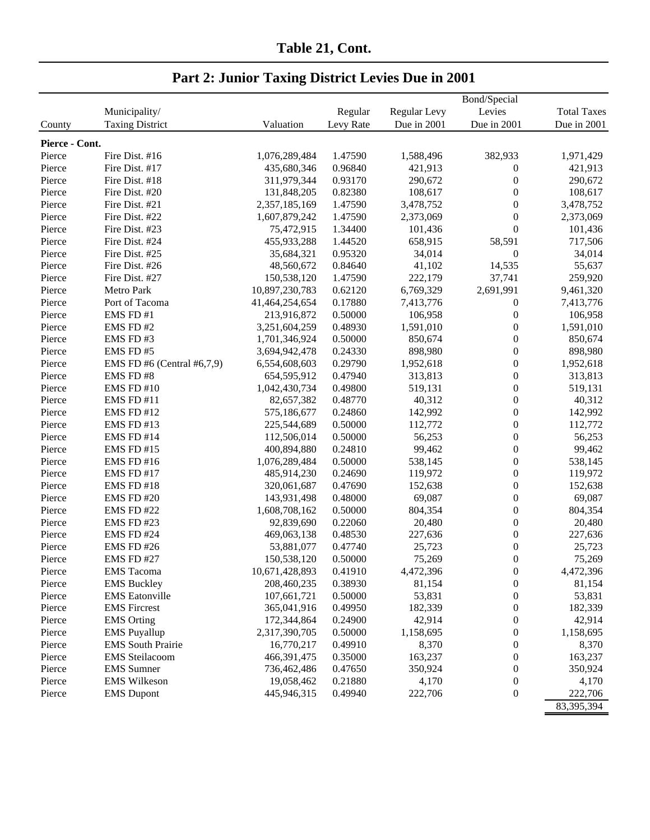| Table 21, Cont. |  |
|-----------------|--|
|                 |  |

|                | Municipality/              |                | Regular   | Regular Levy     | Bond/Special<br>Levies               | <b>Total Taxes</b> |
|----------------|----------------------------|----------------|-----------|------------------|--------------------------------------|--------------------|
| County         | <b>Taxing District</b>     | Valuation      | Levy Rate | Due in 2001      | Due in 2001                          | Due in 2001        |
|                |                            |                |           |                  |                                      |                    |
| Pierce - Cont. |                            |                |           |                  |                                      |                    |
| Pierce         | Fire Dist. #16             | 1,076,289,484  | 1.47590   | 1,588,496        | 382,933                              | 1,971,429          |
| Pierce         | Fire Dist. #17             | 435,680,346    | 0.96840   | 421,913          | $\boldsymbol{0}$                     | 421,913            |
| Pierce         | Fire Dist. #18             | 311,979,344    | 0.93170   | 290,672          | $\boldsymbol{0}$                     | 290,672            |
| Pierce         | Fire Dist. #20             | 131,848,205    | 0.82380   | 108,617          | $\boldsymbol{0}$                     | 108,617            |
| Pierce         | Fire Dist. #21             | 2,357,185,169  | 1.47590   | 3,478,752        | $\boldsymbol{0}$                     | 3,478,752          |
| Pierce         | Fire Dist. #22             | 1,607,879,242  | 1.47590   | 2,373,069        | $\boldsymbol{0}$                     | 2,373,069          |
| Pierce         | Fire Dist. #23             | 75,472,915     | 1.34400   | 101,436          | $\boldsymbol{0}$                     | 101,436            |
| Pierce         | Fire Dist. #24             | 455,933,288    | 1.44520   | 658,915          | 58,591                               | 717,506            |
| Pierce         | Fire Dist. #25             | 35,684,321     | 0.95320   | 34,014           | $\boldsymbol{0}$                     | 34,014             |
| Pierce         | Fire Dist. #26             | 48,560,672     | 0.84640   | 41,102           | 14,535                               | 55,637             |
| Pierce         | Fire Dist. #27             | 150,538,120    | 1.47590   | 222,179          | 37,741                               | 259,920            |
| Pierce         | Metro Park                 | 10,897,230,783 | 0.62120   | 6,769,329        | 2,691,991                            | 9,461,320          |
| Pierce         | Port of Tacoma             | 41,464,254,654 | 0.17880   | 7,413,776        | $\boldsymbol{0}$                     | 7,413,776          |
| Pierce         | EMS FD #1                  | 213,916,872    | 0.50000   | 106,958          | $\boldsymbol{0}$                     | 106,958            |
| Pierce         | EMS FD#2                   | 3,251,604,259  | 0.48930   | 1,591,010        | $\boldsymbol{0}$                     | 1,591,010          |
| Pierce         | EMS FD#3                   | 1,701,346,924  | 0.50000   | 850,674          | $\boldsymbol{0}$                     | 850,674            |
| Pierce         | EMS FD#5                   | 3,694,942,478  | 0.24330   | 898,980          | $\boldsymbol{0}$                     | 898,980            |
| Pierce         | EMS FD #6 (Central #6,7,9) | 6,554,608,603  | 0.29790   | 1,952,618        | $\boldsymbol{0}$                     | 1,952,618          |
| Pierce         | EMS FD#8                   | 654,595,912    | 0.47940   | 313,813          | $\boldsymbol{0}$                     | 313,813            |
| Pierce         | EMS FD #10                 | 1,042,430,734  | 0.49800   | 519,131          | $\boldsymbol{0}$                     | 519,131            |
| Pierce         | EMS FD #11                 | 82,657,382     | 0.48770   | 40,312           | $\boldsymbol{0}$                     | 40,312             |
| Pierce         | EMS FD #12                 | 575,186,677    | 0.24860   | 142,992          | $\boldsymbol{0}$                     | 142,992            |
| Pierce         | EMS FD #13                 | 225,544,689    | 0.50000   | 112,772          | $\boldsymbol{0}$                     | 112,772            |
| Pierce         | EMS FD #14                 | 112,506,014    | 0.50000   | 56,253           | $\boldsymbol{0}$                     | 56,253             |
| Pierce         | <b>EMS FD #15</b>          | 400,894,880    | 0.24810   | 99,462           | $\boldsymbol{0}$                     | 99,462             |
| Pierce         | <b>EMS FD #16</b>          | 1,076,289,484  | 0.50000   | 538,145          | $\boldsymbol{0}$                     | 538,145            |
| Pierce         | EMS FD #17                 | 485,914,230    | 0.24690   | 119,972          | $\boldsymbol{0}$                     | 119,972            |
| Pierce         | EMS FD #18                 | 320,061,687    | 0.47690   | 152,638          | $\boldsymbol{0}$                     | 152,638            |
| Pierce         | <b>EMS FD #20</b>          | 143,931,498    | 0.48000   | 69,087           | $\boldsymbol{0}$                     | 69,087             |
| Pierce         | <b>EMS FD #22</b>          | 1,608,708,162  | 0.50000   | 804,354          | $\boldsymbol{0}$                     | 804,354            |
| Pierce         | EMS FD #23                 | 92,839,690     | 0.22060   | 20,480           | $\boldsymbol{0}$                     | 20,480             |
| Pierce         | EMS FD #24                 | 469,063,138    | 0.48530   | 227,636          | $\boldsymbol{0}$                     | 227,636            |
| Pierce         | EMS FD #26                 | 53,881,077     | 0.47740   | 25,723           | $\boldsymbol{0}$                     | 25,723             |
| Pierce         | <b>EMS FD#27</b>           | 150,538,120    | 0.50000   | 75,269           | $\boldsymbol{0}$                     | 75,269             |
| Pierce         | <b>EMS</b> Tacoma          | 10,671,428,893 | 0.41910   | 4,472,396        | $\boldsymbol{0}$                     | 4,472,396          |
| Pierce         | <b>EMS Buckley</b>         | 208,460,235    | 0.38930   | 81,154           | $\boldsymbol{0}$                     | 81,154             |
| Pierce         | <b>EMS</b> Eatonville      | 107,661,721    | 0.50000   | 53,831           | $\boldsymbol{0}$                     | 53,831             |
| Pierce         | <b>EMS</b> Fircrest        | 365,041,916    | 0.49950   | 182,339          | $\boldsymbol{0}$                     | 182,339            |
| Pierce         | <b>EMS</b> Orting          | 172,344,864    | 0.24900   | 42,914           | $\boldsymbol{0}$                     | 42,914             |
| Pierce         | <b>EMS</b> Puyallup        | 2,317,390,705  | 0.50000   | 1,158,695        | $\boldsymbol{0}$                     | 1,158,695          |
| Pierce         | <b>EMS</b> South Prairie   | 16,770,217     | 0.49910   | 8,370            | $\boldsymbol{0}$                     | 8,370              |
| Pierce         | <b>EMS</b> Steilacoom      | 466,391,475    | 0.35000   | 163,237          | $\boldsymbol{0}$                     | 163,237            |
| Pierce         | <b>EMS</b> Sumner          | 736,462,486    | 0.47650   | 350,924          | $\boldsymbol{0}$                     | 350,924            |
| Pierce         | <b>EMS</b> Wilkeson        | 19,058,462     | 0.21880   |                  |                                      |                    |
|                |                            | 445,946,315    | 0.49940   | 4,170<br>222,706 | $\boldsymbol{0}$<br>$\boldsymbol{0}$ | 4,170<br>222,706   |
| Pierce         | <b>EMS</b> Dupont          |                |           |                  |                                      |                    |
|                |                            |                |           |                  |                                      | 83,395,394         |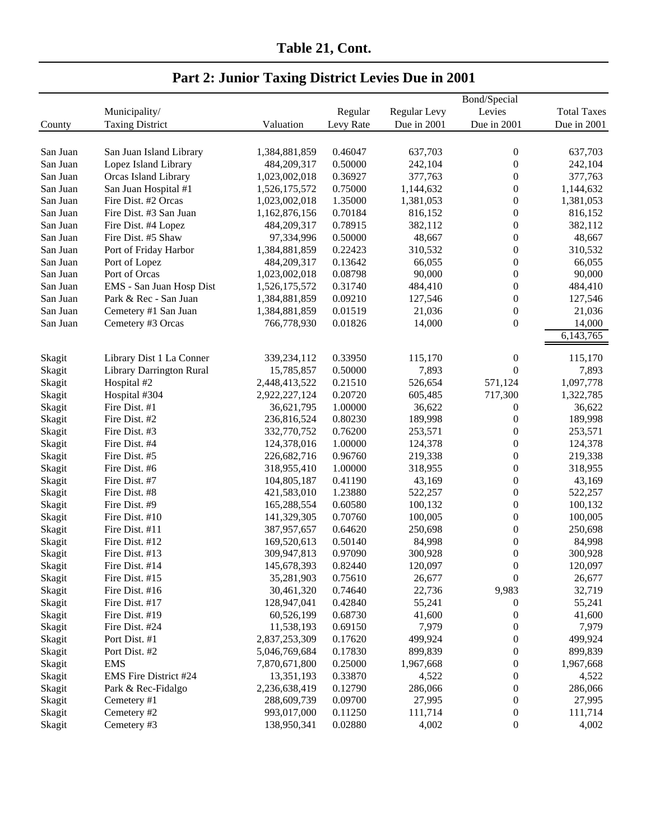| Table 21, Cont. |  |
|-----------------|--|
|                 |  |

| <b>Part 2: Junior Taxing District Levies Due in 2001</b> |  |  |
|----------------------------------------------------------|--|--|
|                                                          |  |  |

|          |                                 |               |           |              | Bond/Special     |                    |
|----------|---------------------------------|---------------|-----------|--------------|------------------|--------------------|
|          | Municipality/                   |               | Regular   | Regular Levy | Levies           | <b>Total Taxes</b> |
| County   | <b>Taxing District</b>          | Valuation     | Levy Rate | Due in 2001  | Due in 2001      | Due in 2001        |
|          |                                 |               |           |              |                  |                    |
| San Juan | San Juan Island Library         | 1,384,881,859 | 0.46047   | 637,703      | $\boldsymbol{0}$ | 637,703            |
| San Juan | Lopez Island Library            | 484,209,317   | 0.50000   | 242,104      | $\boldsymbol{0}$ | 242,104            |
| San Juan | Orcas Island Library            | 1,023,002,018 | 0.36927   | 377,763      | $\boldsymbol{0}$ | 377,763            |
| San Juan | San Juan Hospital #1            | 1,526,175,572 | 0.75000   | 1,144,632    | $\boldsymbol{0}$ | 1,144,632          |
| San Juan | Fire Dist. #2 Orcas             | 1,023,002,018 | 1.35000   | 1,381,053    | $\boldsymbol{0}$ | 1,381,053          |
| San Juan | Fire Dist. #3 San Juan          | 1,162,876,156 | 0.70184   | 816,152      | $\mathbf{0}$     | 816,152            |
| San Juan | Fire Dist. #4 Lopez             | 484,209,317   | 0.78915   | 382,112      | $\boldsymbol{0}$ | 382,112            |
| San Juan | Fire Dist. #5 Shaw              | 97,334,996    | 0.50000   | 48,667       | $\boldsymbol{0}$ | 48,667             |
| San Juan | Port of Friday Harbor           | 1,384,881,859 | 0.22423   | 310,532      | $\boldsymbol{0}$ | 310,532            |
| San Juan | Port of Lopez                   | 484,209,317   | 0.13642   | 66,055       | $\boldsymbol{0}$ | 66,055             |
| San Juan | Port of Orcas                   | 1,023,002,018 | 0.08798   | 90,000       | $\boldsymbol{0}$ | 90,000             |
| San Juan | EMS - San Juan Hosp Dist        | 1,526,175,572 | 0.31740   | 484,410      | $\boldsymbol{0}$ | 484,410            |
| San Juan | Park & Rec - San Juan           | 1,384,881,859 | 0.09210   | 127,546      | $\boldsymbol{0}$ | 127,546            |
| San Juan | Cemetery #1 San Juan            | 1,384,881,859 | 0.01519   | 21,036       | $\boldsymbol{0}$ | 21,036             |
| San Juan | Cemetery #3 Orcas               | 766,778,930   | 0.01826   | 14,000       | $\boldsymbol{0}$ | 14,000             |
|          |                                 |               |           |              |                  | 6,143,765          |
|          |                                 |               |           |              |                  |                    |
| Skagit   | Library Dist 1 La Conner        | 339,234,112   | 0.33950   | 115,170      | $\boldsymbol{0}$ | 115,170            |
| Skagit   | <b>Library Darrington Rural</b> | 15,785,857    | 0.50000   | 7,893        | $\overline{0}$   | 7,893              |
| Skagit   | Hospital #2                     | 2,448,413,522 | 0.21510   | 526,654      | 571,124          | 1,097,778          |
| Skagit   | Hospital #304                   | 2,922,227,124 | 0.20720   | 605,485      | 717,300          | 1,322,785          |
| Skagit   | Fire Dist. #1                   | 36,621,795    | 1.00000   | 36,622       | $\boldsymbol{0}$ | 36,622             |
| Skagit   | Fire Dist. #2                   | 236,816,524   | 0.80230   | 189,998      | $\boldsymbol{0}$ | 189,998            |
| Skagit   | Fire Dist. #3                   | 332,770,752   | 0.76200   | 253,571      | $\boldsymbol{0}$ | 253,571            |
| Skagit   | Fire Dist. #4                   | 124,378,016   | 1.00000   | 124,378      | $\boldsymbol{0}$ | 124,378            |
| Skagit   | Fire Dist. #5                   | 226,682,716   | 0.96760   | 219,338      | $\boldsymbol{0}$ | 219,338            |
| Skagit   | Fire Dist. #6                   | 318,955,410   | 1.00000   | 318,955      | $\boldsymbol{0}$ | 318,955            |
| Skagit   | Fire Dist. #7                   | 104,805,187   | 0.41190   | 43,169       | $\mathbf{0}$     | 43,169             |
| Skagit   | Fire Dist. #8                   | 421,583,010   | 1.23880   | 522,257      | $\mathbf{0}$     | 522,257            |
| Skagit   | Fire Dist. #9                   | 165,288,554   | 0.60580   | 100,132      | $\boldsymbol{0}$ | 100,132            |
| Skagit   | Fire Dist. #10                  | 141,329,305   | 0.70760   | 100,005      | $\boldsymbol{0}$ | 100,005            |
| Skagit   | Fire Dist. #11                  | 387,957,657   | 0.64620   | 250,698      | $\overline{0}$   | 250,698            |
| Skagit   | Fire Dist. #12                  | 169,520,613   | 0.50140   | 84,998       | $\boldsymbol{0}$ | 84,998             |
| Skagit   | Fire Dist. #13                  | 309,947,813   | 0.97090   | 300,928      | $\boldsymbol{0}$ | 300,928            |
| Skagit   | Fire Dist. #14                  | 145,678,393   | 0.82440   | 120,097      | $\boldsymbol{0}$ | 120,097            |
| Skagit   | Fire Dist. #15                  | 35,281,903    | 0.75610   | 26,677       | $\boldsymbol{0}$ | 26,677             |
| Skagit   | Fire Dist. #16                  | 30,461,320    | 0.74640   | 22,736       | 9,983            | 32,719             |
| Skagit   | Fire Dist. #17                  | 128,947,041   | 0.42840   | 55,241       | 0                | 55,241             |
| Skagit   | Fire Dist. #19                  | 60,526,199    | 0.68730   | 41,600       | $\boldsymbol{0}$ | 41,600             |
| Skagit   | Fire Dist. #24                  | 11,538,193    | 0.69150   | 7,979        | $\boldsymbol{0}$ | 7,979              |
| Skagit   | Port Dist. #1                   | 2,837,253,309 | 0.17620   | 499,924      | $\boldsymbol{0}$ | 499,924            |
| Skagit   | Port Dist. #2                   | 5,046,769,684 | 0.17830   | 899,839      | $\boldsymbol{0}$ | 899,839            |
| Skagit   | <b>EMS</b>                      | 7,870,671,800 | 0.25000   | 1,967,668    | $\boldsymbol{0}$ | 1,967,668          |
| Skagit   | EMS Fire District #24           | 13,351,193    | 0.33870   | 4,522        | $\boldsymbol{0}$ | 4,522              |
| Skagit   | Park & Rec-Fidalgo              | 2,236,638,419 | 0.12790   | 286,066      | $\boldsymbol{0}$ | 286,066            |
| Skagit   | Cemetery #1                     | 288,609,739   | 0.09700   | 27,995       | $\boldsymbol{0}$ | 27,995             |
| Skagit   | Cemetery #2                     | 993,017,000   | 0.11250   | 111,714      | $\boldsymbol{0}$ | 111,714            |
| Skagit   | Cemetery #3                     | 138,950,341   | 0.02880   | 4,002        | $\boldsymbol{0}$ | 4,002              |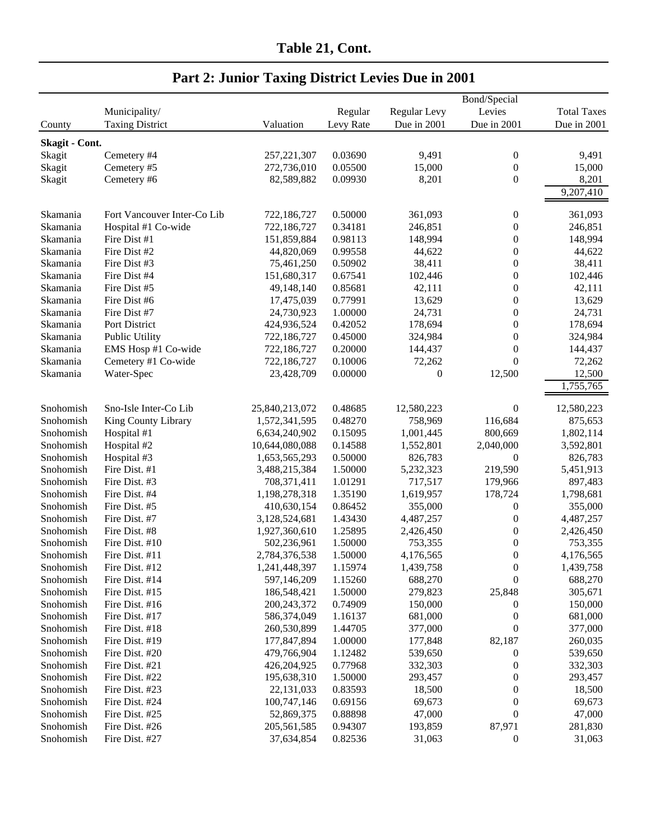|                |                             |                |           |                     | Bond/Special     |                    |
|----------------|-----------------------------|----------------|-----------|---------------------|------------------|--------------------|
|                | Municipality/               |                | Regular   | <b>Regular Levy</b> | Levies           | <b>Total Taxes</b> |
| County         | <b>Taxing District</b>      | Valuation      | Levy Rate | Due in 2001         | Due in 2001      | Due in 2001        |
| Skagit - Cont. |                             |                |           |                     |                  |                    |
| Skagit         | Cemetery #4                 | 257, 221, 307  | 0.03690   | 9,491               | $\boldsymbol{0}$ | 9,491              |
| Skagit         | Cemetery #5                 | 272,736,010    | 0.05500   | 15,000              | $\boldsymbol{0}$ | 15,000             |
| Skagit         | Cemetery #6                 | 82,589,882     | 0.09930   | 8,201               | $\boldsymbol{0}$ | 8,201              |
|                |                             |                |           |                     |                  | 9,207,410          |
|                |                             |                |           |                     |                  |                    |
| Skamania       | Fort Vancouver Inter-Co Lib | 722,186,727    | 0.50000   | 361,093             | 0                | 361,093            |
| Skamania       | Hospital #1 Co-wide         | 722,186,727    | 0.34181   | 246,851             | 0                | 246,851            |
| Skamania       | Fire Dist #1                | 151,859,884    | 0.98113   | 148,994             | 0                | 148,994            |
| Skamania       | Fire Dist #2                | 44,820,069     | 0.99558   | 44,622              | $\boldsymbol{0}$ | 44,622             |
| Skamania       | Fire Dist #3                | 75,461,250     | 0.50902   | 38,411              | $\boldsymbol{0}$ | 38,411             |
| Skamania       | Fire Dist #4                | 151,680,317    | 0.67541   | 102,446             | 0                | 102,446            |
| Skamania       | Fire Dist #5                | 49,148,140     | 0.85681   | 42,111              | $\boldsymbol{0}$ | 42,111             |
| Skamania       | Fire Dist #6                | 17,475,039     | 0.77991   | 13,629              | $\boldsymbol{0}$ | 13,629             |
| Skamania       | Fire Dist #7                | 24,730,923     | 1.00000   | 24,731              | $\boldsymbol{0}$ | 24,731             |
| Skamania       | Port District               | 424,936,524    | 0.42052   | 178,694             | $\boldsymbol{0}$ | 178,694            |
| Skamania       | Public Utility              | 722,186,727    | 0.45000   | 324,984             | $\boldsymbol{0}$ | 324,984            |
| Skamania       | EMS Hosp #1 Co-wide         | 722,186,727    | 0.20000   | 144,437             | $\boldsymbol{0}$ | 144,437            |
| Skamania       | Cemetery #1 Co-wide         | 722,186,727    | 0.10006   | 72,262              | $\overline{0}$   | 72,262             |
| Skamania       | Water-Spec                  | 23,428,709     | 0.00000   | $\theta$            | 12,500           | 12,500             |
|                |                             |                |           |                     |                  | 1,755,765          |
| Snohomish      | Sno-Isle Inter-Co Lib       | 25,840,213,072 | 0.48685   | 12,580,223          | $\boldsymbol{0}$ | 12,580,223         |
| Snohomish      | King County Library         | 1,572,341,595  | 0.48270   | 758,969             | 116,684          | 875,653            |
| Snohomish      | Hospital #1                 | 6,634,240,902  | 0.15095   | 1,001,445           | 800,669          | 1,802,114          |
| Snohomish      | Hospital #2                 | 10,644,080,088 | 0.14588   | 1,552,801           | 2,040,000        | 3,592,801          |
| Snohomish      | Hospital #3                 | 1,653,565,293  | 0.50000   | 826,783             | $\boldsymbol{0}$ | 826,783            |
| Snohomish      | Fire Dist. #1               | 3,488,215,384  | 1.50000   | 5,232,323           | 219,590          | 5,451,913          |
| Snohomish      | Fire Dist. #3               | 708,371,411    | 1.01291   | 717,517             | 179,966          | 897,483            |
| Snohomish      | Fire Dist. #4               | 1,198,278,318  | 1.35190   | 1,619,957           | 178,724          | 1,798,681          |
| Snohomish      | Fire Dist. #5               | 410,630,154    | 0.86452   | 355,000             | 0                | 355,000            |
| Snohomish      | Fire Dist. #7               | 3,128,524,681  | 1.43430   | 4,487,257           | $\boldsymbol{0}$ | 4,487,257          |
| Snohomish      | Fire Dist. #8               | 1,927,360,610  | 1.25895   | 2,426,450           | 0                | 2,426,450          |
| Snohomish      | Fire Dist. #10              | 502,236,961    | 1.50000   | 753,355             | 0                | 753,355            |
| Snohomish      | Fire Dist. #11              | 2,784,376,538  | 1.50000   | 4,176,565           | $\boldsymbol{0}$ | 4,176,565          |
| Snohomish      | Fire Dist. #12              | 1,241,448,397  | 1.15974   | 1,439,758           | $\boldsymbol{0}$ | 1,439,758          |
| Snohomish      | Fire Dist. #14              | 597,146,209    | 1.15260   | 688,270             | $\boldsymbol{0}$ | 688,270            |
| Snohomish      | Fire Dist. #15              | 186,548,421    | 1.50000   | 279,823             | 25,848           | 305,671            |
| Snohomish      | Fire Dist. #16              | 200,243,372    | 0.74909   | 150,000             | $\boldsymbol{0}$ | 150,000            |
| Snohomish      | Fire Dist. #17              | 586,374,049    | 1.16137   | 681,000             | $\boldsymbol{0}$ | 681,000            |
| Snohomish      | Fire Dist. #18              | 260,530,899    | 1.44705   | 377,000             | $\boldsymbol{0}$ | 377,000            |
| Snohomish      | Fire Dist. #19              | 177,847,894    | 1.00000   | 177,848             | 82,187           | 260,035            |
| Snohomish      | Fire Dist. #20              | 479,766,904    | 1.12482   | 539,650             | $\boldsymbol{0}$ | 539,650            |
| Snohomish      | Fire Dist. #21              | 426, 204, 925  | 0.77968   | 332,303             | 0                | 332,303            |
| Snohomish      | Fire Dist. #22              | 195,638,310    | 1.50000   | 293,457             | 0                | 293,457            |
| Snohomish      | Fire Dist. #23              | 22, 131, 033   | 0.83593   | 18,500              | 0                | 18,500             |
| Snohomish      | Fire Dist. #24              | 100,747,146    | 0.69156   | 69,673              | 0                | 69,673             |
| Snohomish      | Fire Dist. #25              |                |           |                     | $\boldsymbol{0}$ | 47,000             |
|                |                             | 52,869,375     | 0.88898   | 47,000              |                  |                    |
| Snohomish      | Fire Dist. #26              | 205,561,585    | 0.94307   | 193,859             | 87,971           | 281,830            |
| Snohomish      | Fire Dist. #27              | 37,634,854     | 0.82536   | 31,063              | $\boldsymbol{0}$ | 31,063             |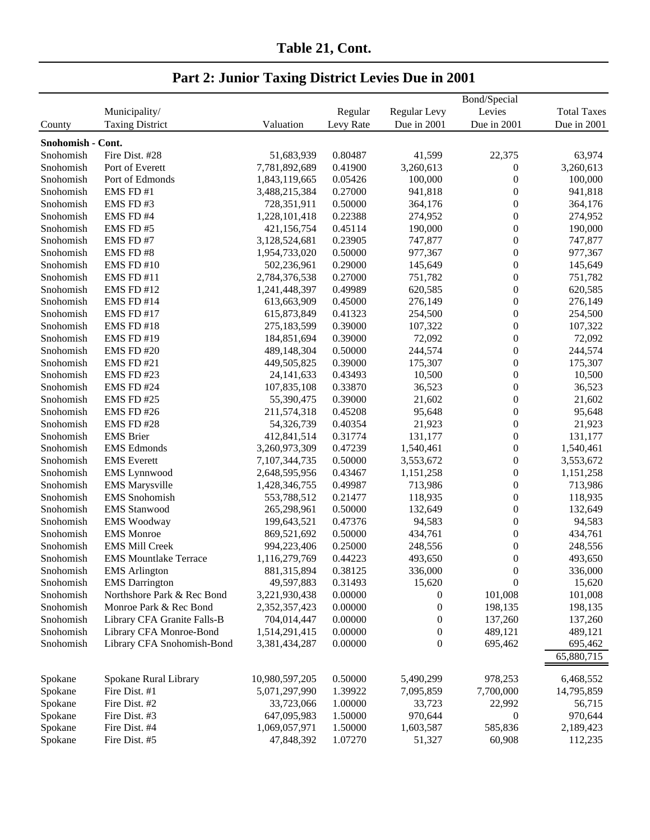|  |  | <b>Part 2: Junior Taxing District Levies Due in 2001</b> |
|--|--|----------------------------------------------------------|
|  |  |                                                          |

| Bond/Special<br>Municipality/<br>Regular<br>Regular Levy<br>Levies<br><b>Taxing District</b><br>Due in 2001<br>Due in 2001<br>Valuation<br>Levy Rate<br>County<br>Snohomish - Cont. | <b>Total Taxes</b><br>Due in 2001 |
|-------------------------------------------------------------------------------------------------------------------------------------------------------------------------------------|-----------------------------------|
|                                                                                                                                                                                     |                                   |
|                                                                                                                                                                                     |                                   |
|                                                                                                                                                                                     |                                   |
| Fire Dist. #28<br>51,683,939<br>0.80487<br>22,375<br>Snohomish<br>41,599                                                                                                            | 63,974                            |
| Snohomish<br>Port of Everett<br>0.41900<br>3,260,613<br>0<br>7,781,892,689                                                                                                          | 3,260,613                         |
| $\boldsymbol{0}$<br>Snohomish<br>Port of Edmonds<br>0.05426<br>100,000<br>1,843,119,665                                                                                             | 100,000                           |
| EMS FD #1<br>0.27000<br>$\boldsymbol{0}$<br>Snohomish<br>941,818<br>3,488,215,384                                                                                                   | 941,818                           |
| $\boldsymbol{0}$<br>Snohomish<br>EMS FD#3<br>728,351,911<br>0.50000<br>364,176                                                                                                      | 364,176                           |
| $\boldsymbol{0}$<br>EMS FD #4<br>0.22388<br>Snohomish<br>1,228,101,418<br>274,952                                                                                                   | 274,952                           |
| 190,000<br>$\boldsymbol{0}$<br>Snohomish<br>EMS FD#5<br>421,156,754<br>0.45114                                                                                                      | 190,000                           |
| $\boldsymbol{0}$<br>Snohomish<br>EMS FD#7<br>3,128,524,681<br>0.23905<br>747,877                                                                                                    | 747,877                           |
| 977,367<br>$\boldsymbol{0}$<br>Snohomish<br>EMS FD#8<br>1,954,733,020<br>0.50000                                                                                                    | 977,367                           |
| 0.29000<br>145,649<br>$\boldsymbol{0}$<br>Snohomish<br>EMS FD #10<br>502,236,961                                                                                                    | 145,649                           |
| 0.27000<br>$\boldsymbol{0}$<br>Snohomish<br>EMS FD #11<br>2,784,376,538<br>751,782                                                                                                  | 751,782                           |
| 0.49989<br>620,585<br>$\boldsymbol{0}$<br>Snohomish<br><b>EMS FD #12</b><br>1,241,448,397                                                                                           | 620,585                           |
| $\boldsymbol{0}$<br>Snohomish<br>EMS FD #14<br>613,663,909<br>0.45000<br>276,149                                                                                                    | 276,149                           |
| $\boldsymbol{0}$<br>Snohomish<br>EMS FD #17<br>615,873,849<br>0.41323<br>254,500                                                                                                    | 254,500                           |
| 0.39000<br>$\boldsymbol{0}$<br>Snohomish<br>EMS FD #18<br>275,183,599<br>107,322                                                                                                    | 107,322                           |
| 0.39000<br>$\boldsymbol{0}$<br>Snohomish<br><b>EMS FD #19</b><br>184,851,694<br>72,092                                                                                              | 72,092                            |
| $\boldsymbol{0}$<br>Snohomish<br>EMS FD #20<br>489,148,304<br>0.50000<br>244,574                                                                                                    | 244,574                           |
| $\boldsymbol{0}$<br>Snohomish<br>0.39000<br>175,307<br>EMS FD#21<br>449,505,825                                                                                                     | 175,307                           |
| $\boldsymbol{0}$<br>EMS FD #23<br>0.43493<br>10,500<br>Snohomish<br>24, 141, 633                                                                                                    | 10,500                            |
| $\boldsymbol{0}$<br>107,835,108<br>0.33870<br>Snohomish<br>EMS FD #24<br>36,523                                                                                                     | 36,523                            |
| 55,390,475<br>0.39000<br>21,602<br>$\boldsymbol{0}$<br>Snohomish<br>EMS FD#25                                                                                                       | 21,602                            |
| EMS FD#26<br>211,574,318<br>0.45208<br>95,648<br>$\boldsymbol{0}$<br>Snohomish                                                                                                      | 95,648                            |
| EMS FD #28<br>0.40354<br>21,923<br>$\boldsymbol{0}$<br>Snohomish<br>54,326,739                                                                                                      | 21,923                            |
| <b>EMS</b> Brier<br>0.31774<br>131,177<br>$\boldsymbol{0}$<br>Snohomish<br>412,841,514                                                                                              | 131,177                           |
| <b>EMS</b> Edmonds<br>3,260,973,309<br>0.47239<br>$\boldsymbol{0}$<br>Snohomish<br>1,540,461                                                                                        | 1,540,461                         |
| 0.50000<br>$\boldsymbol{0}$<br>Snohomish<br><b>EMS</b> Everett<br>7,107,344,735<br>3,553,672                                                                                        | 3,553,672                         |
| $\boldsymbol{0}$<br>Snohomish<br><b>EMS</b> Lynnwood<br>0.43467<br>2,648,595,956<br>1,151,258                                                                                       | 1,151,258                         |
| <b>EMS Marysville</b><br>$\boldsymbol{0}$<br>Snohomish<br>0.49987<br>713,986<br>1,428,346,755                                                                                       | 713,986                           |
| <b>EMS</b> Snohomish<br>$\boldsymbol{0}$<br>Snohomish<br>0.21477<br>118,935<br>553,788,512                                                                                          | 118,935                           |
| $\boldsymbol{0}$<br>Snohomish<br><b>EMS</b> Stanwood<br>0.50000<br>265,298,961<br>132,649                                                                                           | 132,649                           |
| 94,583<br>$\boldsymbol{0}$<br>Snohomish<br><b>EMS Woodway</b><br>0.47376<br>199,643,521                                                                                             | 94,583                            |
| <b>EMS</b> Monroe<br>0.50000<br>$\boldsymbol{0}$<br>Snohomish<br>869,521,692<br>434,761                                                                                             | 434,761                           |
| $\boldsymbol{0}$<br>Snohomish<br><b>EMS Mill Creek</b><br>994,223,406<br>0.25000<br>248,556                                                                                         | 248,556                           |
| $\boldsymbol{0}$<br>Snohomish<br><b>EMS Mountlake Terrace</b><br>1,116,279,769<br>0.44223<br>493,650                                                                                | 493,650                           |
| <b>EMS</b> Arlington<br>881,315,894<br>0.38125<br>336,000<br>Snohomish<br>$\boldsymbol{0}$                                                                                          | 336,000                           |
| $\overline{0}$<br>Snohomish<br><b>EMS</b> Darrington<br>49,597,883<br>0.31493<br>15,620                                                                                             | 15,620                            |
| Snohomish<br>Northshore Park & Rec Bond<br>3,221,930,438<br>0.00000<br>101,008<br>$\boldsymbol{0}$                                                                                  | 101,008                           |
| 0.00000<br>$\boldsymbol{0}$<br>198,135<br>Snohomish<br>Monroe Park & Rec Bond<br>2,352,357,423                                                                                      | 198,135                           |
| Snohomish<br>704,014,447<br>0.00000<br>$\boldsymbol{0}$<br>137,260<br>Library CFA Granite Falls-B                                                                                   | 137,260                           |
| Snohomish<br>Library CFA Monroe-Bond<br>1,514,291,415<br>0.00000<br>$\boldsymbol{0}$<br>489,121                                                                                     | 489,121                           |
| $\theta$<br>0.00000<br>Snohomish<br>Library CFA Snohomish-Bond<br>3,381,434,287<br>695,462                                                                                          | 695,462                           |
|                                                                                                                                                                                     | 65,880,715                        |
| Spokane Rural Library<br>10,980,597,205<br>0.50000<br>978,253<br>Spokane<br>5,490,299                                                                                               | 6,468,552                         |
| 5,071,297,990<br>1.39922<br>7,095,859<br>7,700,000<br>Spokane<br>Fire Dist. #1                                                                                                      | 14,795,859                        |
| Spokane<br>22,992<br>Fire Dist. #2<br>33,723,066<br>1.00000<br>33,723                                                                                                               | 56,715                            |
| Spokane<br>1.50000<br>970,644<br>Fire Dist. #3<br>647,095,983<br>0                                                                                                                  | 970,644                           |
| Spokane<br>Fire Dist. #4<br>1.50000<br>585,836<br>1,069,057,971<br>1,603,587                                                                                                        | 2,189,423                         |
| Spokane<br>Fire Dist. #5<br>1.07270<br>47,848,392<br>51,327<br>60,908                                                                                                               | 112,235                           |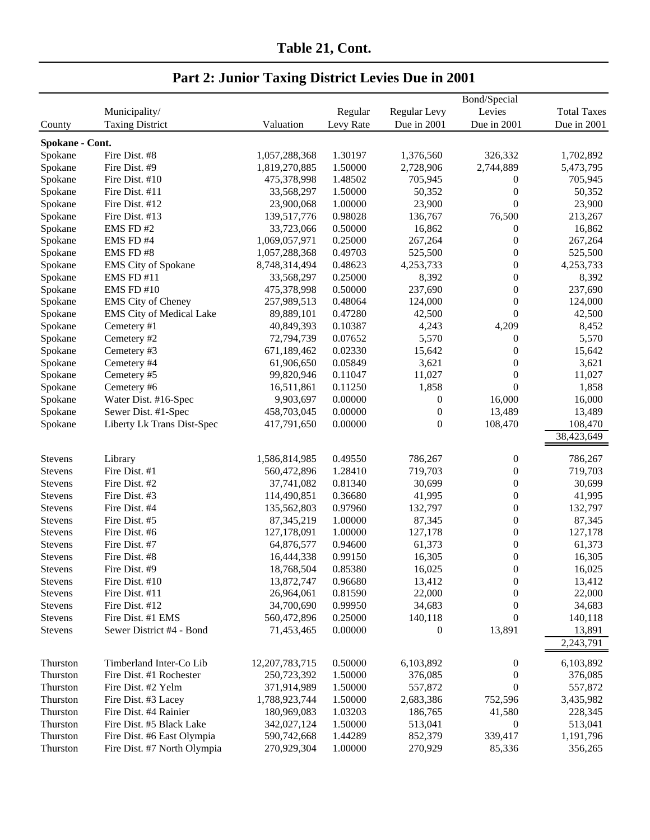| Municipality/<br>Regular<br>Regular Levy<br>Levies<br><b>Total Taxes</b><br><b>Taxing District</b><br>Levy Rate<br>Due in 2001<br>Due in 2001<br>Valuation<br>Due in 2001<br>County<br>Spokane - Cont.<br>Fire Dist. #8<br>1,057,288,368<br>1.30197<br>326,332<br>Spokane<br>1,376,560<br>1,702,892<br>Spokane<br>Fire Dist. #9<br>1,819,270,885<br>1.50000<br>2,728,906<br>2,744,889<br>5,473,795<br>Spokane<br>Fire Dist. #10<br>1.48502<br>705,945<br>705,945<br>475,378,998<br>$\boldsymbol{0}$<br>1.50000<br>Spokane<br>Fire Dist. #11<br>33,568,297<br>50,352<br>$\boldsymbol{0}$<br>50,352<br>$\boldsymbol{0}$<br>1.00000<br>23,900<br>23,900<br>Spokane<br>Fire Dist. #12<br>23,900,068<br>0.98028<br>76,500<br>Spokane<br>Fire Dist. #13<br>139,517,776<br>136,767<br>213,267<br>EMS FD#2<br>0.50000<br>Spokane<br>33,723,066<br>16,862<br>$\boldsymbol{0}$<br>16,862<br>1,069,057,971<br>0.25000<br>267,264<br>$\boldsymbol{0}$<br>267,264<br>Spokane<br>EMS FD#4<br>$\boldsymbol{0}$<br>525,500<br>Spokane<br>EMS FD#8<br>1,057,288,368<br>0.49703<br>525,500<br>4,253,733<br><b>EMS</b> City of Spokane<br>8,748,314,494<br>0.48623<br>$\mathbf{0}$<br>4,253,733<br>Spokane<br>0.25000<br>8,392<br>8,392<br>Spokane<br><b>EMS FD #11</b><br>33,568,297<br>$\theta$<br>0.50000<br>237,690<br>$\boldsymbol{0}$<br>Spokane<br>EMS FD #10<br>475,378,998<br>237,690<br>$\boldsymbol{0}$<br>Spokane<br><b>EMS</b> City of Cheney<br>257,989,513<br>0.48064<br>124,000<br>124,000<br>$\theta$<br>Spokane<br><b>EMS City of Medical Lake</b><br>89,889,101<br>0.47280<br>42,500<br>42,500<br>Spokane<br>Cemetery #1<br>0.10387<br>4,243<br>4,209<br>8,452<br>40,849,393<br>5,570<br>5,570<br>Spokane<br>Cemetery #2<br>72,794,739<br>0.07652<br>$\boldsymbol{0}$<br>0.02330<br>15,642<br>$\theta$<br>15,642<br>Spokane<br>Cemetery #3<br>671,189,462<br>0.05849<br>Spokane<br>Cemetery #4<br>61,906,650<br>3,621<br>$\theta$<br>3,621<br>99,820,946<br>0.11047<br>11,027<br>$\boldsymbol{0}$<br>11,027<br>Spokane<br>Cemetery #5<br>$\mathbf{0}$<br>1,858<br>1,858<br>Spokane<br>16,511,861<br>0.11250<br>Cemetery #6<br>16,000<br>Spokane<br>Water Dist. #16-Spec<br>9,903,697<br>0.00000<br>$\boldsymbol{0}$<br>16,000<br>458,703,045<br>0.00000<br>$\boldsymbol{0}$<br>13,489<br>13,489<br>Spokane<br>Sewer Dist. #1-Spec<br>0.00000<br>$\boldsymbol{0}$<br>108,470<br>108,470<br>Spokane<br>Liberty Lk Trans Dist-Spec<br>417,791,650<br>38,423,649<br>1,586,814,985<br>0.49550<br>786,267<br>Stevens<br>$\boldsymbol{0}$<br>786,267<br>Library<br>1.28410<br>Fire Dist. #1<br>560,472,896<br>719,703<br>$\boldsymbol{0}$<br>719,703<br><b>Stevens</b><br>$\boldsymbol{0}$<br>Fire Dist. #2<br>37,741,082<br>0.81340<br>30,699<br>30,699<br>Stevens<br>0.36680<br>41,995<br>$\boldsymbol{0}$<br>Fire Dist. #3<br>114,490,851<br>41,995<br><b>Stevens</b><br>0.97960<br>132,797<br>$\boldsymbol{0}$<br>132,797<br>Fire Dist. #4<br>135,562,803<br>Stevens<br>$\boldsymbol{0}$<br>Fire Dist. #5<br>87, 345, 219<br>1.00000<br>87,345<br>87,345<br>Stevens<br>127,178<br>$\boldsymbol{0}$<br>Fire Dist. #6<br>127,178,091<br>1.00000<br>127,178<br>Stevens<br>$\boldsymbol{0}$<br>Fire Dist. #7<br>64,876,577<br>0.94600<br>61,373<br>61,373<br>Stevens<br>$\boldsymbol{0}$<br>Fire Dist. #8<br>0.99150<br>16,305<br>16,305<br><b>Stevens</b><br>16,444,338<br>Fire Dist. #9<br>18,768,504<br>0.85380<br>16,025<br>16,025<br>Stevens<br>$\boldsymbol{0}$<br>Fire Dist. #10<br>13,872,747<br>0.96680<br>$\mathbf{0}$<br>13,412<br>Stevens<br>13,412<br>Fire Dist. #11<br>26,964,061<br>0.81590<br>22,000<br>$\boldsymbol{0}$<br>22,000<br>Stevens<br>$\boldsymbol{0}$<br>Fire Dist. #12<br>34,700,690<br>0.99950<br>34,683<br>34,683<br>Stevens<br>$\boldsymbol{0}$<br>Fire Dist. #1 EMS<br>0.25000<br>Stevens<br>560,472,896<br>140,118<br>140,118<br>13,891<br>Sewer District #4 - Bond<br>0.00000<br>$\boldsymbol{0}$<br><b>Stevens</b><br>71,453,465<br>13,891<br>2,243,791<br>Timberland Inter-Co Lib<br>12, 207, 783, 715<br>0.50000<br>6,103,892<br>6,103,892<br>Thurston<br>$\boldsymbol{0}$<br>Fire Dist. #1 Rochester<br>1.50000<br>$\boldsymbol{0}$<br>Thurston<br>250,723,392<br>376,085<br>376,085<br>$\boldsymbol{0}$<br>Fire Dist. #2 Yelm<br>371,914,989<br>557,872<br>557,872<br>Thurston<br>1.50000<br>752,596<br>Fire Dist. #3 Lacey<br>1,788,923,744<br>1.50000<br>2,683,386<br>3,435,982<br>Thurston<br>Fire Dist. #4 Rainier<br>180,969,083<br>1.03203<br>186,765<br>41,580<br>228,345<br>Thurston<br>Fire Dist. #5 Black Lake<br>513,041<br>Thurston<br>342,027,124<br>1.50000<br>$\boldsymbol{0}$<br>513,041<br>Fire Dist. #6 East Olympia<br>590,742,668<br>339,417<br>Thurston<br>1.44289<br>852,379<br>1,191,796<br>Fire Dist. #7 North Olympia<br>270,929,304<br>1.00000<br>270,929<br>85,336<br>356,265<br>Thurston |  |  | Bond/Special |  |
|-------------------------------------------------------------------------------------------------------------------------------------------------------------------------------------------------------------------------------------------------------------------------------------------------------------------------------------------------------------------------------------------------------------------------------------------------------------------------------------------------------------------------------------------------------------------------------------------------------------------------------------------------------------------------------------------------------------------------------------------------------------------------------------------------------------------------------------------------------------------------------------------------------------------------------------------------------------------------------------------------------------------------------------------------------------------------------------------------------------------------------------------------------------------------------------------------------------------------------------------------------------------------------------------------------------------------------------------------------------------------------------------------------------------------------------------------------------------------------------------------------------------------------------------------------------------------------------------------------------------------------------------------------------------------------------------------------------------------------------------------------------------------------------------------------------------------------------------------------------------------------------------------------------------------------------------------------------------------------------------------------------------------------------------------------------------------------------------------------------------------------------------------------------------------------------------------------------------------------------------------------------------------------------------------------------------------------------------------------------------------------------------------------------------------------------------------------------------------------------------------------------------------------------------------------------------------------------------------------------------------------------------------------------------------------------------------------------------------------------------------------------------------------------------------------------------------------------------------------------------------------------------------------------------------------------------------------------------------------------------------------------------------------------------------------------------------------------------------------------------------------------------------------------------------------------------------------------------------------------------------------------------------------------------------------------------------------------------------------------------------------------------------------------------------------------------------------------------------------------------------------------------------------------------------------------------------------------------------------------------------------------------------------------------------------------------------------------------------------------------------------------------------------------------------------------------------------------------------------------------------------------------------------------------------------------------------------------------------------------------------------------------------------------------------------------------------------------------------------------------------------------------------------------------------------------------------------------------------------------------------------------------------------------------------------------------------------------------------------------------------------------------------------------------------------------------------------------------------------------------------------------------------------------------------------------------------------------------------------------------------------------------------------------------------------------------------------------------------------------------------------------------------------------------------------------------------------------------------------|--|--|--------------|--|
|                                                                                                                                                                                                                                                                                                                                                                                                                                                                                                                                                                                                                                                                                                                                                                                                                                                                                                                                                                                                                                                                                                                                                                                                                                                                                                                                                                                                                                                                                                                                                                                                                                                                                                                                                                                                                                                                                                                                                                                                                                                                                                                                                                                                                                                                                                                                                                                                                                                                                                                                                                                                                                                                                                                                                                                                                                                                                                                                                                                                                                                                                                                                                                                                                                                                                                                                                                                                                                                                                                                                                                                                                                                                                                                                                                                                                                                                                                                                                                                                                                                                                                                                                                                                                                                                                                                                                                                                                                                                                                                                                                                                                                                                                                                                                                                                                                                       |  |  |              |  |
|                                                                                                                                                                                                                                                                                                                                                                                                                                                                                                                                                                                                                                                                                                                                                                                                                                                                                                                                                                                                                                                                                                                                                                                                                                                                                                                                                                                                                                                                                                                                                                                                                                                                                                                                                                                                                                                                                                                                                                                                                                                                                                                                                                                                                                                                                                                                                                                                                                                                                                                                                                                                                                                                                                                                                                                                                                                                                                                                                                                                                                                                                                                                                                                                                                                                                                                                                                                                                                                                                                                                                                                                                                                                                                                                                                                                                                                                                                                                                                                                                                                                                                                                                                                                                                                                                                                                                                                                                                                                                                                                                                                                                                                                                                                                                                                                                                                       |  |  |              |  |
|                                                                                                                                                                                                                                                                                                                                                                                                                                                                                                                                                                                                                                                                                                                                                                                                                                                                                                                                                                                                                                                                                                                                                                                                                                                                                                                                                                                                                                                                                                                                                                                                                                                                                                                                                                                                                                                                                                                                                                                                                                                                                                                                                                                                                                                                                                                                                                                                                                                                                                                                                                                                                                                                                                                                                                                                                                                                                                                                                                                                                                                                                                                                                                                                                                                                                                                                                                                                                                                                                                                                                                                                                                                                                                                                                                                                                                                                                                                                                                                                                                                                                                                                                                                                                                                                                                                                                                                                                                                                                                                                                                                                                                                                                                                                                                                                                                                       |  |  |              |  |
|                                                                                                                                                                                                                                                                                                                                                                                                                                                                                                                                                                                                                                                                                                                                                                                                                                                                                                                                                                                                                                                                                                                                                                                                                                                                                                                                                                                                                                                                                                                                                                                                                                                                                                                                                                                                                                                                                                                                                                                                                                                                                                                                                                                                                                                                                                                                                                                                                                                                                                                                                                                                                                                                                                                                                                                                                                                                                                                                                                                                                                                                                                                                                                                                                                                                                                                                                                                                                                                                                                                                                                                                                                                                                                                                                                                                                                                                                                                                                                                                                                                                                                                                                                                                                                                                                                                                                                                                                                                                                                                                                                                                                                                                                                                                                                                                                                                       |  |  |              |  |
|                                                                                                                                                                                                                                                                                                                                                                                                                                                                                                                                                                                                                                                                                                                                                                                                                                                                                                                                                                                                                                                                                                                                                                                                                                                                                                                                                                                                                                                                                                                                                                                                                                                                                                                                                                                                                                                                                                                                                                                                                                                                                                                                                                                                                                                                                                                                                                                                                                                                                                                                                                                                                                                                                                                                                                                                                                                                                                                                                                                                                                                                                                                                                                                                                                                                                                                                                                                                                                                                                                                                                                                                                                                                                                                                                                                                                                                                                                                                                                                                                                                                                                                                                                                                                                                                                                                                                                                                                                                                                                                                                                                                                                                                                                                                                                                                                                                       |  |  |              |  |
|                                                                                                                                                                                                                                                                                                                                                                                                                                                                                                                                                                                                                                                                                                                                                                                                                                                                                                                                                                                                                                                                                                                                                                                                                                                                                                                                                                                                                                                                                                                                                                                                                                                                                                                                                                                                                                                                                                                                                                                                                                                                                                                                                                                                                                                                                                                                                                                                                                                                                                                                                                                                                                                                                                                                                                                                                                                                                                                                                                                                                                                                                                                                                                                                                                                                                                                                                                                                                                                                                                                                                                                                                                                                                                                                                                                                                                                                                                                                                                                                                                                                                                                                                                                                                                                                                                                                                                                                                                                                                                                                                                                                                                                                                                                                                                                                                                                       |  |  |              |  |
|                                                                                                                                                                                                                                                                                                                                                                                                                                                                                                                                                                                                                                                                                                                                                                                                                                                                                                                                                                                                                                                                                                                                                                                                                                                                                                                                                                                                                                                                                                                                                                                                                                                                                                                                                                                                                                                                                                                                                                                                                                                                                                                                                                                                                                                                                                                                                                                                                                                                                                                                                                                                                                                                                                                                                                                                                                                                                                                                                                                                                                                                                                                                                                                                                                                                                                                                                                                                                                                                                                                                                                                                                                                                                                                                                                                                                                                                                                                                                                                                                                                                                                                                                                                                                                                                                                                                                                                                                                                                                                                                                                                                                                                                                                                                                                                                                                                       |  |  |              |  |
|                                                                                                                                                                                                                                                                                                                                                                                                                                                                                                                                                                                                                                                                                                                                                                                                                                                                                                                                                                                                                                                                                                                                                                                                                                                                                                                                                                                                                                                                                                                                                                                                                                                                                                                                                                                                                                                                                                                                                                                                                                                                                                                                                                                                                                                                                                                                                                                                                                                                                                                                                                                                                                                                                                                                                                                                                                                                                                                                                                                                                                                                                                                                                                                                                                                                                                                                                                                                                                                                                                                                                                                                                                                                                                                                                                                                                                                                                                                                                                                                                                                                                                                                                                                                                                                                                                                                                                                                                                                                                                                                                                                                                                                                                                                                                                                                                                                       |  |  |              |  |
|                                                                                                                                                                                                                                                                                                                                                                                                                                                                                                                                                                                                                                                                                                                                                                                                                                                                                                                                                                                                                                                                                                                                                                                                                                                                                                                                                                                                                                                                                                                                                                                                                                                                                                                                                                                                                                                                                                                                                                                                                                                                                                                                                                                                                                                                                                                                                                                                                                                                                                                                                                                                                                                                                                                                                                                                                                                                                                                                                                                                                                                                                                                                                                                                                                                                                                                                                                                                                                                                                                                                                                                                                                                                                                                                                                                                                                                                                                                                                                                                                                                                                                                                                                                                                                                                                                                                                                                                                                                                                                                                                                                                                                                                                                                                                                                                                                                       |  |  |              |  |
|                                                                                                                                                                                                                                                                                                                                                                                                                                                                                                                                                                                                                                                                                                                                                                                                                                                                                                                                                                                                                                                                                                                                                                                                                                                                                                                                                                                                                                                                                                                                                                                                                                                                                                                                                                                                                                                                                                                                                                                                                                                                                                                                                                                                                                                                                                                                                                                                                                                                                                                                                                                                                                                                                                                                                                                                                                                                                                                                                                                                                                                                                                                                                                                                                                                                                                                                                                                                                                                                                                                                                                                                                                                                                                                                                                                                                                                                                                                                                                                                                                                                                                                                                                                                                                                                                                                                                                                                                                                                                                                                                                                                                                                                                                                                                                                                                                                       |  |  |              |  |
|                                                                                                                                                                                                                                                                                                                                                                                                                                                                                                                                                                                                                                                                                                                                                                                                                                                                                                                                                                                                                                                                                                                                                                                                                                                                                                                                                                                                                                                                                                                                                                                                                                                                                                                                                                                                                                                                                                                                                                                                                                                                                                                                                                                                                                                                                                                                                                                                                                                                                                                                                                                                                                                                                                                                                                                                                                                                                                                                                                                                                                                                                                                                                                                                                                                                                                                                                                                                                                                                                                                                                                                                                                                                                                                                                                                                                                                                                                                                                                                                                                                                                                                                                                                                                                                                                                                                                                                                                                                                                                                                                                                                                                                                                                                                                                                                                                                       |  |  |              |  |
|                                                                                                                                                                                                                                                                                                                                                                                                                                                                                                                                                                                                                                                                                                                                                                                                                                                                                                                                                                                                                                                                                                                                                                                                                                                                                                                                                                                                                                                                                                                                                                                                                                                                                                                                                                                                                                                                                                                                                                                                                                                                                                                                                                                                                                                                                                                                                                                                                                                                                                                                                                                                                                                                                                                                                                                                                                                                                                                                                                                                                                                                                                                                                                                                                                                                                                                                                                                                                                                                                                                                                                                                                                                                                                                                                                                                                                                                                                                                                                                                                                                                                                                                                                                                                                                                                                                                                                                                                                                                                                                                                                                                                                                                                                                                                                                                                                                       |  |  |              |  |
|                                                                                                                                                                                                                                                                                                                                                                                                                                                                                                                                                                                                                                                                                                                                                                                                                                                                                                                                                                                                                                                                                                                                                                                                                                                                                                                                                                                                                                                                                                                                                                                                                                                                                                                                                                                                                                                                                                                                                                                                                                                                                                                                                                                                                                                                                                                                                                                                                                                                                                                                                                                                                                                                                                                                                                                                                                                                                                                                                                                                                                                                                                                                                                                                                                                                                                                                                                                                                                                                                                                                                                                                                                                                                                                                                                                                                                                                                                                                                                                                                                                                                                                                                                                                                                                                                                                                                                                                                                                                                                                                                                                                                                                                                                                                                                                                                                                       |  |  |              |  |
|                                                                                                                                                                                                                                                                                                                                                                                                                                                                                                                                                                                                                                                                                                                                                                                                                                                                                                                                                                                                                                                                                                                                                                                                                                                                                                                                                                                                                                                                                                                                                                                                                                                                                                                                                                                                                                                                                                                                                                                                                                                                                                                                                                                                                                                                                                                                                                                                                                                                                                                                                                                                                                                                                                                                                                                                                                                                                                                                                                                                                                                                                                                                                                                                                                                                                                                                                                                                                                                                                                                                                                                                                                                                                                                                                                                                                                                                                                                                                                                                                                                                                                                                                                                                                                                                                                                                                                                                                                                                                                                                                                                                                                                                                                                                                                                                                                                       |  |  |              |  |
|                                                                                                                                                                                                                                                                                                                                                                                                                                                                                                                                                                                                                                                                                                                                                                                                                                                                                                                                                                                                                                                                                                                                                                                                                                                                                                                                                                                                                                                                                                                                                                                                                                                                                                                                                                                                                                                                                                                                                                                                                                                                                                                                                                                                                                                                                                                                                                                                                                                                                                                                                                                                                                                                                                                                                                                                                                                                                                                                                                                                                                                                                                                                                                                                                                                                                                                                                                                                                                                                                                                                                                                                                                                                                                                                                                                                                                                                                                                                                                                                                                                                                                                                                                                                                                                                                                                                                                                                                                                                                                                                                                                                                                                                                                                                                                                                                                                       |  |  |              |  |
|                                                                                                                                                                                                                                                                                                                                                                                                                                                                                                                                                                                                                                                                                                                                                                                                                                                                                                                                                                                                                                                                                                                                                                                                                                                                                                                                                                                                                                                                                                                                                                                                                                                                                                                                                                                                                                                                                                                                                                                                                                                                                                                                                                                                                                                                                                                                                                                                                                                                                                                                                                                                                                                                                                                                                                                                                                                                                                                                                                                                                                                                                                                                                                                                                                                                                                                                                                                                                                                                                                                                                                                                                                                                                                                                                                                                                                                                                                                                                                                                                                                                                                                                                                                                                                                                                                                                                                                                                                                                                                                                                                                                                                                                                                                                                                                                                                                       |  |  |              |  |
|                                                                                                                                                                                                                                                                                                                                                                                                                                                                                                                                                                                                                                                                                                                                                                                                                                                                                                                                                                                                                                                                                                                                                                                                                                                                                                                                                                                                                                                                                                                                                                                                                                                                                                                                                                                                                                                                                                                                                                                                                                                                                                                                                                                                                                                                                                                                                                                                                                                                                                                                                                                                                                                                                                                                                                                                                                                                                                                                                                                                                                                                                                                                                                                                                                                                                                                                                                                                                                                                                                                                                                                                                                                                                                                                                                                                                                                                                                                                                                                                                                                                                                                                                                                                                                                                                                                                                                                                                                                                                                                                                                                                                                                                                                                                                                                                                                                       |  |  |              |  |
|                                                                                                                                                                                                                                                                                                                                                                                                                                                                                                                                                                                                                                                                                                                                                                                                                                                                                                                                                                                                                                                                                                                                                                                                                                                                                                                                                                                                                                                                                                                                                                                                                                                                                                                                                                                                                                                                                                                                                                                                                                                                                                                                                                                                                                                                                                                                                                                                                                                                                                                                                                                                                                                                                                                                                                                                                                                                                                                                                                                                                                                                                                                                                                                                                                                                                                                                                                                                                                                                                                                                                                                                                                                                                                                                                                                                                                                                                                                                                                                                                                                                                                                                                                                                                                                                                                                                                                                                                                                                                                                                                                                                                                                                                                                                                                                                                                                       |  |  |              |  |
|                                                                                                                                                                                                                                                                                                                                                                                                                                                                                                                                                                                                                                                                                                                                                                                                                                                                                                                                                                                                                                                                                                                                                                                                                                                                                                                                                                                                                                                                                                                                                                                                                                                                                                                                                                                                                                                                                                                                                                                                                                                                                                                                                                                                                                                                                                                                                                                                                                                                                                                                                                                                                                                                                                                                                                                                                                                                                                                                                                                                                                                                                                                                                                                                                                                                                                                                                                                                                                                                                                                                                                                                                                                                                                                                                                                                                                                                                                                                                                                                                                                                                                                                                                                                                                                                                                                                                                                                                                                                                                                                                                                                                                                                                                                                                                                                                                                       |  |  |              |  |
|                                                                                                                                                                                                                                                                                                                                                                                                                                                                                                                                                                                                                                                                                                                                                                                                                                                                                                                                                                                                                                                                                                                                                                                                                                                                                                                                                                                                                                                                                                                                                                                                                                                                                                                                                                                                                                                                                                                                                                                                                                                                                                                                                                                                                                                                                                                                                                                                                                                                                                                                                                                                                                                                                                                                                                                                                                                                                                                                                                                                                                                                                                                                                                                                                                                                                                                                                                                                                                                                                                                                                                                                                                                                                                                                                                                                                                                                                                                                                                                                                                                                                                                                                                                                                                                                                                                                                                                                                                                                                                                                                                                                                                                                                                                                                                                                                                                       |  |  |              |  |
|                                                                                                                                                                                                                                                                                                                                                                                                                                                                                                                                                                                                                                                                                                                                                                                                                                                                                                                                                                                                                                                                                                                                                                                                                                                                                                                                                                                                                                                                                                                                                                                                                                                                                                                                                                                                                                                                                                                                                                                                                                                                                                                                                                                                                                                                                                                                                                                                                                                                                                                                                                                                                                                                                                                                                                                                                                                                                                                                                                                                                                                                                                                                                                                                                                                                                                                                                                                                                                                                                                                                                                                                                                                                                                                                                                                                                                                                                                                                                                                                                                                                                                                                                                                                                                                                                                                                                                                                                                                                                                                                                                                                                                                                                                                                                                                                                                                       |  |  |              |  |
|                                                                                                                                                                                                                                                                                                                                                                                                                                                                                                                                                                                                                                                                                                                                                                                                                                                                                                                                                                                                                                                                                                                                                                                                                                                                                                                                                                                                                                                                                                                                                                                                                                                                                                                                                                                                                                                                                                                                                                                                                                                                                                                                                                                                                                                                                                                                                                                                                                                                                                                                                                                                                                                                                                                                                                                                                                                                                                                                                                                                                                                                                                                                                                                                                                                                                                                                                                                                                                                                                                                                                                                                                                                                                                                                                                                                                                                                                                                                                                                                                                                                                                                                                                                                                                                                                                                                                                                                                                                                                                                                                                                                                                                                                                                                                                                                                                                       |  |  |              |  |
|                                                                                                                                                                                                                                                                                                                                                                                                                                                                                                                                                                                                                                                                                                                                                                                                                                                                                                                                                                                                                                                                                                                                                                                                                                                                                                                                                                                                                                                                                                                                                                                                                                                                                                                                                                                                                                                                                                                                                                                                                                                                                                                                                                                                                                                                                                                                                                                                                                                                                                                                                                                                                                                                                                                                                                                                                                                                                                                                                                                                                                                                                                                                                                                                                                                                                                                                                                                                                                                                                                                                                                                                                                                                                                                                                                                                                                                                                                                                                                                                                                                                                                                                                                                                                                                                                                                                                                                                                                                                                                                                                                                                                                                                                                                                                                                                                                                       |  |  |              |  |
|                                                                                                                                                                                                                                                                                                                                                                                                                                                                                                                                                                                                                                                                                                                                                                                                                                                                                                                                                                                                                                                                                                                                                                                                                                                                                                                                                                                                                                                                                                                                                                                                                                                                                                                                                                                                                                                                                                                                                                                                                                                                                                                                                                                                                                                                                                                                                                                                                                                                                                                                                                                                                                                                                                                                                                                                                                                                                                                                                                                                                                                                                                                                                                                                                                                                                                                                                                                                                                                                                                                                                                                                                                                                                                                                                                                                                                                                                                                                                                                                                                                                                                                                                                                                                                                                                                                                                                                                                                                                                                                                                                                                                                                                                                                                                                                                                                                       |  |  |              |  |
|                                                                                                                                                                                                                                                                                                                                                                                                                                                                                                                                                                                                                                                                                                                                                                                                                                                                                                                                                                                                                                                                                                                                                                                                                                                                                                                                                                                                                                                                                                                                                                                                                                                                                                                                                                                                                                                                                                                                                                                                                                                                                                                                                                                                                                                                                                                                                                                                                                                                                                                                                                                                                                                                                                                                                                                                                                                                                                                                                                                                                                                                                                                                                                                                                                                                                                                                                                                                                                                                                                                                                                                                                                                                                                                                                                                                                                                                                                                                                                                                                                                                                                                                                                                                                                                                                                                                                                                                                                                                                                                                                                                                                                                                                                                                                                                                                                                       |  |  |              |  |
|                                                                                                                                                                                                                                                                                                                                                                                                                                                                                                                                                                                                                                                                                                                                                                                                                                                                                                                                                                                                                                                                                                                                                                                                                                                                                                                                                                                                                                                                                                                                                                                                                                                                                                                                                                                                                                                                                                                                                                                                                                                                                                                                                                                                                                                                                                                                                                                                                                                                                                                                                                                                                                                                                                                                                                                                                                                                                                                                                                                                                                                                                                                                                                                                                                                                                                                                                                                                                                                                                                                                                                                                                                                                                                                                                                                                                                                                                                                                                                                                                                                                                                                                                                                                                                                                                                                                                                                                                                                                                                                                                                                                                                                                                                                                                                                                                                                       |  |  |              |  |
|                                                                                                                                                                                                                                                                                                                                                                                                                                                                                                                                                                                                                                                                                                                                                                                                                                                                                                                                                                                                                                                                                                                                                                                                                                                                                                                                                                                                                                                                                                                                                                                                                                                                                                                                                                                                                                                                                                                                                                                                                                                                                                                                                                                                                                                                                                                                                                                                                                                                                                                                                                                                                                                                                                                                                                                                                                                                                                                                                                                                                                                                                                                                                                                                                                                                                                                                                                                                                                                                                                                                                                                                                                                                                                                                                                                                                                                                                                                                                                                                                                                                                                                                                                                                                                                                                                                                                                                                                                                                                                                                                                                                                                                                                                                                                                                                                                                       |  |  |              |  |
|                                                                                                                                                                                                                                                                                                                                                                                                                                                                                                                                                                                                                                                                                                                                                                                                                                                                                                                                                                                                                                                                                                                                                                                                                                                                                                                                                                                                                                                                                                                                                                                                                                                                                                                                                                                                                                                                                                                                                                                                                                                                                                                                                                                                                                                                                                                                                                                                                                                                                                                                                                                                                                                                                                                                                                                                                                                                                                                                                                                                                                                                                                                                                                                                                                                                                                                                                                                                                                                                                                                                                                                                                                                                                                                                                                                                                                                                                                                                                                                                                                                                                                                                                                                                                                                                                                                                                                                                                                                                                                                                                                                                                                                                                                                                                                                                                                                       |  |  |              |  |
|                                                                                                                                                                                                                                                                                                                                                                                                                                                                                                                                                                                                                                                                                                                                                                                                                                                                                                                                                                                                                                                                                                                                                                                                                                                                                                                                                                                                                                                                                                                                                                                                                                                                                                                                                                                                                                                                                                                                                                                                                                                                                                                                                                                                                                                                                                                                                                                                                                                                                                                                                                                                                                                                                                                                                                                                                                                                                                                                                                                                                                                                                                                                                                                                                                                                                                                                                                                                                                                                                                                                                                                                                                                                                                                                                                                                                                                                                                                                                                                                                                                                                                                                                                                                                                                                                                                                                                                                                                                                                                                                                                                                                                                                                                                                                                                                                                                       |  |  |              |  |
|                                                                                                                                                                                                                                                                                                                                                                                                                                                                                                                                                                                                                                                                                                                                                                                                                                                                                                                                                                                                                                                                                                                                                                                                                                                                                                                                                                                                                                                                                                                                                                                                                                                                                                                                                                                                                                                                                                                                                                                                                                                                                                                                                                                                                                                                                                                                                                                                                                                                                                                                                                                                                                                                                                                                                                                                                                                                                                                                                                                                                                                                                                                                                                                                                                                                                                                                                                                                                                                                                                                                                                                                                                                                                                                                                                                                                                                                                                                                                                                                                                                                                                                                                                                                                                                                                                                                                                                                                                                                                                                                                                                                                                                                                                                                                                                                                                                       |  |  |              |  |
|                                                                                                                                                                                                                                                                                                                                                                                                                                                                                                                                                                                                                                                                                                                                                                                                                                                                                                                                                                                                                                                                                                                                                                                                                                                                                                                                                                                                                                                                                                                                                                                                                                                                                                                                                                                                                                                                                                                                                                                                                                                                                                                                                                                                                                                                                                                                                                                                                                                                                                                                                                                                                                                                                                                                                                                                                                                                                                                                                                                                                                                                                                                                                                                                                                                                                                                                                                                                                                                                                                                                                                                                                                                                                                                                                                                                                                                                                                                                                                                                                                                                                                                                                                                                                                                                                                                                                                                                                                                                                                                                                                                                                                                                                                                                                                                                                                                       |  |  |              |  |
|                                                                                                                                                                                                                                                                                                                                                                                                                                                                                                                                                                                                                                                                                                                                                                                                                                                                                                                                                                                                                                                                                                                                                                                                                                                                                                                                                                                                                                                                                                                                                                                                                                                                                                                                                                                                                                                                                                                                                                                                                                                                                                                                                                                                                                                                                                                                                                                                                                                                                                                                                                                                                                                                                                                                                                                                                                                                                                                                                                                                                                                                                                                                                                                                                                                                                                                                                                                                                                                                                                                                                                                                                                                                                                                                                                                                                                                                                                                                                                                                                                                                                                                                                                                                                                                                                                                                                                                                                                                                                                                                                                                                                                                                                                                                                                                                                                                       |  |  |              |  |
|                                                                                                                                                                                                                                                                                                                                                                                                                                                                                                                                                                                                                                                                                                                                                                                                                                                                                                                                                                                                                                                                                                                                                                                                                                                                                                                                                                                                                                                                                                                                                                                                                                                                                                                                                                                                                                                                                                                                                                                                                                                                                                                                                                                                                                                                                                                                                                                                                                                                                                                                                                                                                                                                                                                                                                                                                                                                                                                                                                                                                                                                                                                                                                                                                                                                                                                                                                                                                                                                                                                                                                                                                                                                                                                                                                                                                                                                                                                                                                                                                                                                                                                                                                                                                                                                                                                                                                                                                                                                                                                                                                                                                                                                                                                                                                                                                                                       |  |  |              |  |
|                                                                                                                                                                                                                                                                                                                                                                                                                                                                                                                                                                                                                                                                                                                                                                                                                                                                                                                                                                                                                                                                                                                                                                                                                                                                                                                                                                                                                                                                                                                                                                                                                                                                                                                                                                                                                                                                                                                                                                                                                                                                                                                                                                                                                                                                                                                                                                                                                                                                                                                                                                                                                                                                                                                                                                                                                                                                                                                                                                                                                                                                                                                                                                                                                                                                                                                                                                                                                                                                                                                                                                                                                                                                                                                                                                                                                                                                                                                                                                                                                                                                                                                                                                                                                                                                                                                                                                                                                                                                                                                                                                                                                                                                                                                                                                                                                                                       |  |  |              |  |
|                                                                                                                                                                                                                                                                                                                                                                                                                                                                                                                                                                                                                                                                                                                                                                                                                                                                                                                                                                                                                                                                                                                                                                                                                                                                                                                                                                                                                                                                                                                                                                                                                                                                                                                                                                                                                                                                                                                                                                                                                                                                                                                                                                                                                                                                                                                                                                                                                                                                                                                                                                                                                                                                                                                                                                                                                                                                                                                                                                                                                                                                                                                                                                                                                                                                                                                                                                                                                                                                                                                                                                                                                                                                                                                                                                                                                                                                                                                                                                                                                                                                                                                                                                                                                                                                                                                                                                                                                                                                                                                                                                                                                                                                                                                                                                                                                                                       |  |  |              |  |
|                                                                                                                                                                                                                                                                                                                                                                                                                                                                                                                                                                                                                                                                                                                                                                                                                                                                                                                                                                                                                                                                                                                                                                                                                                                                                                                                                                                                                                                                                                                                                                                                                                                                                                                                                                                                                                                                                                                                                                                                                                                                                                                                                                                                                                                                                                                                                                                                                                                                                                                                                                                                                                                                                                                                                                                                                                                                                                                                                                                                                                                                                                                                                                                                                                                                                                                                                                                                                                                                                                                                                                                                                                                                                                                                                                                                                                                                                                                                                                                                                                                                                                                                                                                                                                                                                                                                                                                                                                                                                                                                                                                                                                                                                                                                                                                                                                                       |  |  |              |  |
|                                                                                                                                                                                                                                                                                                                                                                                                                                                                                                                                                                                                                                                                                                                                                                                                                                                                                                                                                                                                                                                                                                                                                                                                                                                                                                                                                                                                                                                                                                                                                                                                                                                                                                                                                                                                                                                                                                                                                                                                                                                                                                                                                                                                                                                                                                                                                                                                                                                                                                                                                                                                                                                                                                                                                                                                                                                                                                                                                                                                                                                                                                                                                                                                                                                                                                                                                                                                                                                                                                                                                                                                                                                                                                                                                                                                                                                                                                                                                                                                                                                                                                                                                                                                                                                                                                                                                                                                                                                                                                                                                                                                                                                                                                                                                                                                                                                       |  |  |              |  |
|                                                                                                                                                                                                                                                                                                                                                                                                                                                                                                                                                                                                                                                                                                                                                                                                                                                                                                                                                                                                                                                                                                                                                                                                                                                                                                                                                                                                                                                                                                                                                                                                                                                                                                                                                                                                                                                                                                                                                                                                                                                                                                                                                                                                                                                                                                                                                                                                                                                                                                                                                                                                                                                                                                                                                                                                                                                                                                                                                                                                                                                                                                                                                                                                                                                                                                                                                                                                                                                                                                                                                                                                                                                                                                                                                                                                                                                                                                                                                                                                                                                                                                                                                                                                                                                                                                                                                                                                                                                                                                                                                                                                                                                                                                                                                                                                                                                       |  |  |              |  |
|                                                                                                                                                                                                                                                                                                                                                                                                                                                                                                                                                                                                                                                                                                                                                                                                                                                                                                                                                                                                                                                                                                                                                                                                                                                                                                                                                                                                                                                                                                                                                                                                                                                                                                                                                                                                                                                                                                                                                                                                                                                                                                                                                                                                                                                                                                                                                                                                                                                                                                                                                                                                                                                                                                                                                                                                                                                                                                                                                                                                                                                                                                                                                                                                                                                                                                                                                                                                                                                                                                                                                                                                                                                                                                                                                                                                                                                                                                                                                                                                                                                                                                                                                                                                                                                                                                                                                                                                                                                                                                                                                                                                                                                                                                                                                                                                                                                       |  |  |              |  |
|                                                                                                                                                                                                                                                                                                                                                                                                                                                                                                                                                                                                                                                                                                                                                                                                                                                                                                                                                                                                                                                                                                                                                                                                                                                                                                                                                                                                                                                                                                                                                                                                                                                                                                                                                                                                                                                                                                                                                                                                                                                                                                                                                                                                                                                                                                                                                                                                                                                                                                                                                                                                                                                                                                                                                                                                                                                                                                                                                                                                                                                                                                                                                                                                                                                                                                                                                                                                                                                                                                                                                                                                                                                                                                                                                                                                                                                                                                                                                                                                                                                                                                                                                                                                                                                                                                                                                                                                                                                                                                                                                                                                                                                                                                                                                                                                                                                       |  |  |              |  |
|                                                                                                                                                                                                                                                                                                                                                                                                                                                                                                                                                                                                                                                                                                                                                                                                                                                                                                                                                                                                                                                                                                                                                                                                                                                                                                                                                                                                                                                                                                                                                                                                                                                                                                                                                                                                                                                                                                                                                                                                                                                                                                                                                                                                                                                                                                                                                                                                                                                                                                                                                                                                                                                                                                                                                                                                                                                                                                                                                                                                                                                                                                                                                                                                                                                                                                                                                                                                                                                                                                                                                                                                                                                                                                                                                                                                                                                                                                                                                                                                                                                                                                                                                                                                                                                                                                                                                                                                                                                                                                                                                                                                                                                                                                                                                                                                                                                       |  |  |              |  |
|                                                                                                                                                                                                                                                                                                                                                                                                                                                                                                                                                                                                                                                                                                                                                                                                                                                                                                                                                                                                                                                                                                                                                                                                                                                                                                                                                                                                                                                                                                                                                                                                                                                                                                                                                                                                                                                                                                                                                                                                                                                                                                                                                                                                                                                                                                                                                                                                                                                                                                                                                                                                                                                                                                                                                                                                                                                                                                                                                                                                                                                                                                                                                                                                                                                                                                                                                                                                                                                                                                                                                                                                                                                                                                                                                                                                                                                                                                                                                                                                                                                                                                                                                                                                                                                                                                                                                                                                                                                                                                                                                                                                                                                                                                                                                                                                                                                       |  |  |              |  |
|                                                                                                                                                                                                                                                                                                                                                                                                                                                                                                                                                                                                                                                                                                                                                                                                                                                                                                                                                                                                                                                                                                                                                                                                                                                                                                                                                                                                                                                                                                                                                                                                                                                                                                                                                                                                                                                                                                                                                                                                                                                                                                                                                                                                                                                                                                                                                                                                                                                                                                                                                                                                                                                                                                                                                                                                                                                                                                                                                                                                                                                                                                                                                                                                                                                                                                                                                                                                                                                                                                                                                                                                                                                                                                                                                                                                                                                                                                                                                                                                                                                                                                                                                                                                                                                                                                                                                                                                                                                                                                                                                                                                                                                                                                                                                                                                                                                       |  |  |              |  |
|                                                                                                                                                                                                                                                                                                                                                                                                                                                                                                                                                                                                                                                                                                                                                                                                                                                                                                                                                                                                                                                                                                                                                                                                                                                                                                                                                                                                                                                                                                                                                                                                                                                                                                                                                                                                                                                                                                                                                                                                                                                                                                                                                                                                                                                                                                                                                                                                                                                                                                                                                                                                                                                                                                                                                                                                                                                                                                                                                                                                                                                                                                                                                                                                                                                                                                                                                                                                                                                                                                                                                                                                                                                                                                                                                                                                                                                                                                                                                                                                                                                                                                                                                                                                                                                                                                                                                                                                                                                                                                                                                                                                                                                                                                                                                                                                                                                       |  |  |              |  |
|                                                                                                                                                                                                                                                                                                                                                                                                                                                                                                                                                                                                                                                                                                                                                                                                                                                                                                                                                                                                                                                                                                                                                                                                                                                                                                                                                                                                                                                                                                                                                                                                                                                                                                                                                                                                                                                                                                                                                                                                                                                                                                                                                                                                                                                                                                                                                                                                                                                                                                                                                                                                                                                                                                                                                                                                                                                                                                                                                                                                                                                                                                                                                                                                                                                                                                                                                                                                                                                                                                                                                                                                                                                                                                                                                                                                                                                                                                                                                                                                                                                                                                                                                                                                                                                                                                                                                                                                                                                                                                                                                                                                                                                                                                                                                                                                                                                       |  |  |              |  |
|                                                                                                                                                                                                                                                                                                                                                                                                                                                                                                                                                                                                                                                                                                                                                                                                                                                                                                                                                                                                                                                                                                                                                                                                                                                                                                                                                                                                                                                                                                                                                                                                                                                                                                                                                                                                                                                                                                                                                                                                                                                                                                                                                                                                                                                                                                                                                                                                                                                                                                                                                                                                                                                                                                                                                                                                                                                                                                                                                                                                                                                                                                                                                                                                                                                                                                                                                                                                                                                                                                                                                                                                                                                                                                                                                                                                                                                                                                                                                                                                                                                                                                                                                                                                                                                                                                                                                                                                                                                                                                                                                                                                                                                                                                                                                                                                                                                       |  |  |              |  |
|                                                                                                                                                                                                                                                                                                                                                                                                                                                                                                                                                                                                                                                                                                                                                                                                                                                                                                                                                                                                                                                                                                                                                                                                                                                                                                                                                                                                                                                                                                                                                                                                                                                                                                                                                                                                                                                                                                                                                                                                                                                                                                                                                                                                                                                                                                                                                                                                                                                                                                                                                                                                                                                                                                                                                                                                                                                                                                                                                                                                                                                                                                                                                                                                                                                                                                                                                                                                                                                                                                                                                                                                                                                                                                                                                                                                                                                                                                                                                                                                                                                                                                                                                                                                                                                                                                                                                                                                                                                                                                                                                                                                                                                                                                                                                                                                                                                       |  |  |              |  |
|                                                                                                                                                                                                                                                                                                                                                                                                                                                                                                                                                                                                                                                                                                                                                                                                                                                                                                                                                                                                                                                                                                                                                                                                                                                                                                                                                                                                                                                                                                                                                                                                                                                                                                                                                                                                                                                                                                                                                                                                                                                                                                                                                                                                                                                                                                                                                                                                                                                                                                                                                                                                                                                                                                                                                                                                                                                                                                                                                                                                                                                                                                                                                                                                                                                                                                                                                                                                                                                                                                                                                                                                                                                                                                                                                                                                                                                                                                                                                                                                                                                                                                                                                                                                                                                                                                                                                                                                                                                                                                                                                                                                                                                                                                                                                                                                                                                       |  |  |              |  |
|                                                                                                                                                                                                                                                                                                                                                                                                                                                                                                                                                                                                                                                                                                                                                                                                                                                                                                                                                                                                                                                                                                                                                                                                                                                                                                                                                                                                                                                                                                                                                                                                                                                                                                                                                                                                                                                                                                                                                                                                                                                                                                                                                                                                                                                                                                                                                                                                                                                                                                                                                                                                                                                                                                                                                                                                                                                                                                                                                                                                                                                                                                                                                                                                                                                                                                                                                                                                                                                                                                                                                                                                                                                                                                                                                                                                                                                                                                                                                                                                                                                                                                                                                                                                                                                                                                                                                                                                                                                                                                                                                                                                                                                                                                                                                                                                                                                       |  |  |              |  |
|                                                                                                                                                                                                                                                                                                                                                                                                                                                                                                                                                                                                                                                                                                                                                                                                                                                                                                                                                                                                                                                                                                                                                                                                                                                                                                                                                                                                                                                                                                                                                                                                                                                                                                                                                                                                                                                                                                                                                                                                                                                                                                                                                                                                                                                                                                                                                                                                                                                                                                                                                                                                                                                                                                                                                                                                                                                                                                                                                                                                                                                                                                                                                                                                                                                                                                                                                                                                                                                                                                                                                                                                                                                                                                                                                                                                                                                                                                                                                                                                                                                                                                                                                                                                                                                                                                                                                                                                                                                                                                                                                                                                                                                                                                                                                                                                                                                       |  |  |              |  |
|                                                                                                                                                                                                                                                                                                                                                                                                                                                                                                                                                                                                                                                                                                                                                                                                                                                                                                                                                                                                                                                                                                                                                                                                                                                                                                                                                                                                                                                                                                                                                                                                                                                                                                                                                                                                                                                                                                                                                                                                                                                                                                                                                                                                                                                                                                                                                                                                                                                                                                                                                                                                                                                                                                                                                                                                                                                                                                                                                                                                                                                                                                                                                                                                                                                                                                                                                                                                                                                                                                                                                                                                                                                                                                                                                                                                                                                                                                                                                                                                                                                                                                                                                                                                                                                                                                                                                                                                                                                                                                                                                                                                                                                                                                                                                                                                                                                       |  |  |              |  |
|                                                                                                                                                                                                                                                                                                                                                                                                                                                                                                                                                                                                                                                                                                                                                                                                                                                                                                                                                                                                                                                                                                                                                                                                                                                                                                                                                                                                                                                                                                                                                                                                                                                                                                                                                                                                                                                                                                                                                                                                                                                                                                                                                                                                                                                                                                                                                                                                                                                                                                                                                                                                                                                                                                                                                                                                                                                                                                                                                                                                                                                                                                                                                                                                                                                                                                                                                                                                                                                                                                                                                                                                                                                                                                                                                                                                                                                                                                                                                                                                                                                                                                                                                                                                                                                                                                                                                                                                                                                                                                                                                                                                                                                                                                                                                                                                                                                       |  |  |              |  |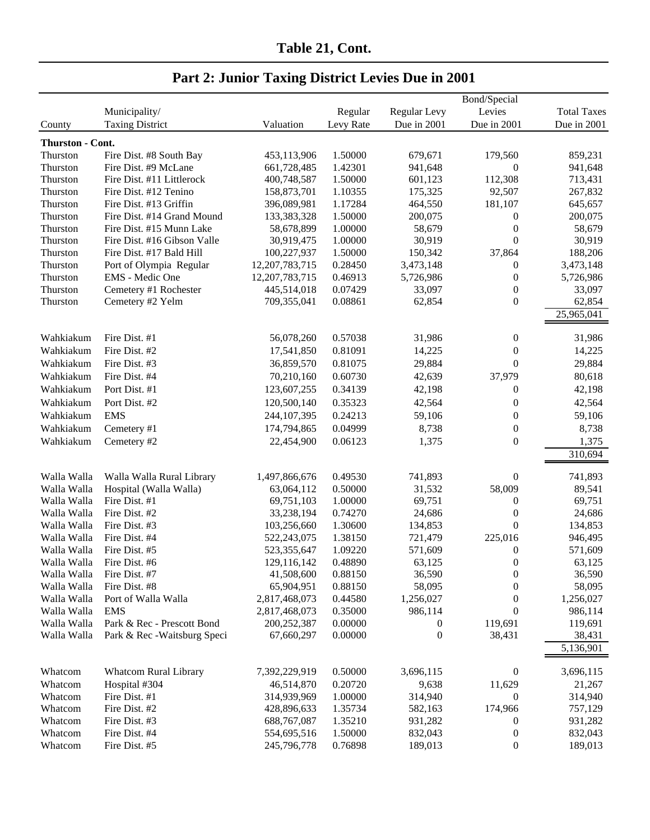|                  |                              |                   |           |                  | Bond/Special     |                    |  |
|------------------|------------------------------|-------------------|-----------|------------------|------------------|--------------------|--|
|                  | Municipality/                |                   | Regular   | Regular Levy     | Levies           | <b>Total Taxes</b> |  |
| County           | <b>Taxing District</b>       | Valuation         | Levy Rate | Due in 2001      | Due in 2001      | Due in 2001        |  |
| Thurston - Cont. |                              |                   |           |                  |                  |                    |  |
| Thurston         | Fire Dist. #8 South Bay      | 453,113,906       | 1.50000   | 679,671          | 179,560          | 859,231            |  |
| Thurston         | Fire Dist. #9 McLane         | 661,728,485       | 1.42301   | 941,648          | $\theta$         | 941,648            |  |
| Thurston         | Fire Dist. #11 Littlerock    | 400,748,587       | 1.50000   | 601,123          | 112,308          | 713,431            |  |
| Thurston         | Fire Dist. #12 Tenino        | 158,873,701       | 1.10355   | 175,325          | 92,507           | 267,832            |  |
| Thurston         | Fire Dist. #13 Griffin       | 396,089,981       | 1.17284   | 464,550          | 181,107          | 645,657            |  |
| Thurston         | Fire Dist. #14 Grand Mound   | 133,383,328       | 1.50000   | 200,075          | $\mathbf{0}$     | 200,075            |  |
| Thurston         | Fire Dist. #15 Munn Lake     | 58,678,899        | 1.00000   | 58,679           | $\boldsymbol{0}$ | 58,679             |  |
| Thurston         | Fire Dist. #16 Gibson Valle  | 30,919,475        | 1.00000   | 30,919           | $\boldsymbol{0}$ | 30,919             |  |
|                  | Fire Dist. #17 Bald Hill     | 100,227,937       | 1.50000   | 150,342          | 37,864           | 188,206            |  |
| Thurston         |                              |                   | 0.28450   | 3,473,148        |                  |                    |  |
| Thurston         | Port of Olympia Regular      | 12, 207, 783, 715 |           |                  | $\boldsymbol{0}$ | 3,473,148          |  |
| Thurston         | EMS - Medic One              | 12, 207, 783, 715 | 0.46913   | 5,726,986        | $\boldsymbol{0}$ | 5,726,986          |  |
| Thurston         | Cemetery #1 Rochester        | 445,514,018       | 0.07429   | 33,097           | $\boldsymbol{0}$ | 33,097             |  |
| Thurston         | Cemetery #2 Yelm             | 709,355,041       | 0.08861   | 62,854           | $\boldsymbol{0}$ | 62,854             |  |
|                  |                              |                   |           |                  |                  | 25,965,041         |  |
| Wahkiakum        | Fire Dist. #1                | 56,078,260        | 0.57038   | 31,986           | $\boldsymbol{0}$ | 31,986             |  |
| Wahkiakum        | Fire Dist. #2                | 17,541,850        | 0.81091   | 14,225           | $\boldsymbol{0}$ | 14,225             |  |
| Wahkiakum        | Fire Dist. #3                | 36,859,570        | 0.81075   | 29,884           | $\boldsymbol{0}$ | 29,884             |  |
| Wahkiakum        | Fire Dist. #4                | 70,210,160        | 0.60730   | 42,639           | 37,979           | 80,618             |  |
| Wahkiakum        | Port Dist. #1                | 123,607,255       | 0.34139   | 42,198           | $\boldsymbol{0}$ | 42,198             |  |
|                  |                              |                   | 0.35323   |                  |                  |                    |  |
| Wahkiakum        | Port Dist. #2                | 120,500,140       |           | 42,564           | $\mathbf{0}$     | 42,564             |  |
| Wahkiakum        | <b>EMS</b>                   | 244, 107, 395     | 0.24213   | 59,106           | $\boldsymbol{0}$ | 59,106             |  |
| Wahkiakum        | Cemetery #1                  | 174,794,865       | 0.04999   | 8,738            | $\boldsymbol{0}$ | 8,738              |  |
| Wahkiakum        | Cemetery #2                  | 22,454,900        | 0.06123   | 1,375            | $\boldsymbol{0}$ | 1,375              |  |
|                  |                              |                   |           |                  |                  | 310,694            |  |
| Walla Walla      | Walla Walla Rural Library    | 1,497,866,676     | 0.49530   | 741,893          | $\boldsymbol{0}$ | 741,893            |  |
| Walla Walla      | Hospital (Walla Walla)       | 63,064,112        | 0.50000   | 31,532           | 58,009           | 89,541             |  |
| Walla Walla      | Fire Dist. #1                | 69,751,103        | 1.00000   | 69,751           | $\boldsymbol{0}$ | 69,751             |  |
| Walla Walla      | Fire Dist. #2                | 33,238,194        | 0.74270   | 24,686           | $\boldsymbol{0}$ | 24,686             |  |
| Walla Walla      | Fire Dist. #3                | 103,256,660       | 1.30600   | 134,853          | $\overline{0}$   | 134,853            |  |
| Walla Walla      | Fire Dist. #4                | 522,243,075       | 1.38150   | 721,479          | 225,016          | 946,495            |  |
| Walla Walla      | Fire Dist. #5                | 523,355,647       | 1.09220   | 571,609          | $\boldsymbol{0}$ | 571,609            |  |
| Walla Walla      | Fire Dist. #6                | 129,116,142       | 0.48890   | 63,125           | $\overline{0}$   | 63,125             |  |
| Walla Walla      | Fire Dist. #7                | 41,508,600        | 0.88150   | 36,590           | $\boldsymbol{0}$ | 36,590             |  |
| Walla Walla      | Fire Dist. #8                | 65,904,951        | 0.88150   | 58,095           | $\overline{0}$   | 58,095             |  |
| Walla Walla      | Port of Walla Walla          | 2,817,468,073     | 0.44580   | 1,256,027        | $\boldsymbol{0}$ | 1,256,027          |  |
| Walla Walla      | <b>EMS</b>                   | 2,817,468,073     | 0.35000   | 986,114          | $\theta$         | 986,114            |  |
| Walla Walla      | Park & Rec - Prescott Bond   | 200,252,387       | 0.00000   | $\boldsymbol{0}$ | 119,691          | 119,691            |  |
| Walla Walla      | Park & Rec - Waitsburg Speci | 67,660,297        | 0.00000   | $\boldsymbol{0}$ | 38,431           | 38,431             |  |
|                  |                              |                   |           |                  |                  | 5,136,901          |  |
|                  |                              |                   |           |                  |                  |                    |  |
| Whatcom          | Whatcom Rural Library        | 7,392,229,919     | 0.50000   | 3,696,115        | $\mathbf{0}$     | 3,696,115          |  |
| Whatcom          | Hospital #304                | 46,514,870        | 0.20720   | 9,638            | 11,629           | 21,267             |  |
| Whatcom          | Fire Dist. #1                | 314,939,969       | 1.00000   | 314,940          | $\boldsymbol{0}$ | 314,940            |  |
| Whatcom          | Fire Dist. #2                | 428,896,633       | 1.35734   | 582,163          | 174,966          | 757,129            |  |
| Whatcom          | Fire Dist. #3                | 688, 767, 087     | 1.35210   | 931,282          | 0                | 931,282            |  |
| Whatcom          | Fire Dist. #4                | 554,695,516       | 1.50000   | 832,043          | $\mathbf{0}$     | 832,043            |  |
| Whatcom          | Fire Dist. #5                | 245,796,778       | 0.76898   | 189,013          | $\boldsymbol{0}$ | 189,013            |  |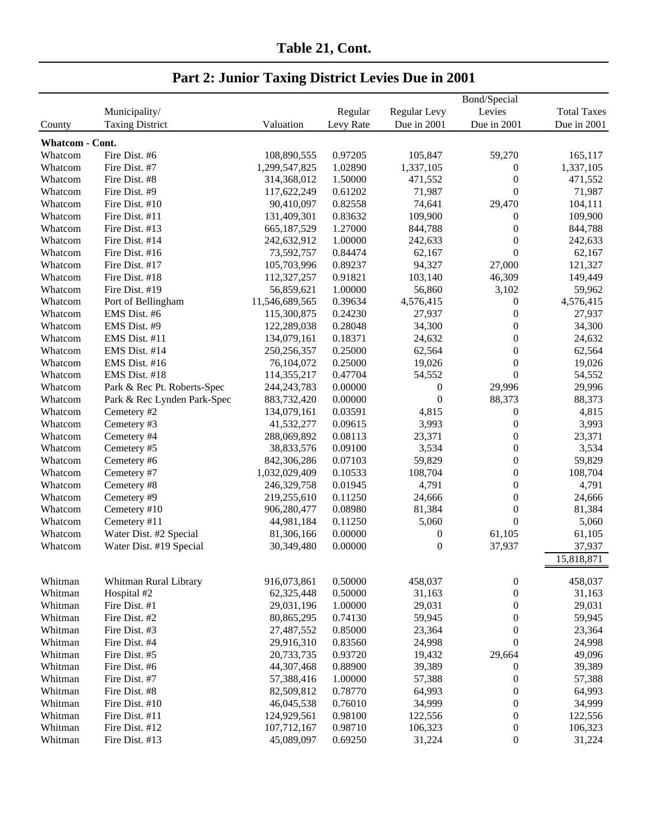| Table 21, Cont. |  |
|-----------------|--|
|                 |  |

|                        |                             |                |           | Bond/Special     |                  |                    |  |  |
|------------------------|-----------------------------|----------------|-----------|------------------|------------------|--------------------|--|--|
|                        | Municipality/               |                | Regular   | Regular Levy     | Levies           | <b>Total Taxes</b> |  |  |
| County                 | <b>Taxing District</b>      | Valuation      | Levy Rate | Due in 2001      | Due in 2001      | Due in 2001        |  |  |
| <b>Whatcom - Cont.</b> |                             |                |           |                  |                  |                    |  |  |
| Whatcom                | Fire Dist. #6               | 108,890,555    | 0.97205   | 105,847          | 59,270           | 165,117            |  |  |
| Whatcom                | Fire Dist. #7               | 1,299,547,825  | 1.02890   | 1,337,105        | 0                | 1,337,105          |  |  |
| Whatcom                | Fire Dist. #8               | 314,368,012    | 1.50000   | 471,552          | $\boldsymbol{0}$ | 471,552            |  |  |
| Whatcom                | Fire Dist. #9               | 117,622,249    | 0.61202   | 71,987           | $\boldsymbol{0}$ | 71,987             |  |  |
| Whatcom                | Fire Dist. #10              | 90,410,097     | 0.82558   | 74,641           | 29,470           | 104,111            |  |  |
| Whatcom                | Fire Dist. #11              | 131,409,301    | 0.83632   | 109,900          | $\boldsymbol{0}$ | 109,900            |  |  |
| Whatcom                | Fire Dist. #13              | 665, 187, 529  | 1.27000   | 844,788          | $\boldsymbol{0}$ | 844,788            |  |  |
| Whatcom                | Fire Dist. #14              | 242,632,912    | 1.00000   | 242,633          | $\boldsymbol{0}$ | 242,633            |  |  |
| Whatcom                | Fire Dist. #16              | 73,592,757     | 0.84474   | 62,167           | $\boldsymbol{0}$ | 62,167             |  |  |
| Whatcom                | Fire Dist. #17              | 105,703,996    | 0.89237   | 94,327           | 27,000           | 121,327            |  |  |
| Whatcom                | Fire Dist. #18              | 112,327,257    | 0.91821   | 103,140          | 46,309           | 149,449            |  |  |
| Whatcom                | Fire Dist. #19              | 56,859,621     | 1.00000   | 56,860           | 3,102            | 59,962             |  |  |
| Whatcom                | Port of Bellingham          | 11,546,689,565 | 0.39634   | 4,576,415        | $\boldsymbol{0}$ | 4,576,415          |  |  |
| Whatcom                | EMS Dist. #6                | 115,300,875    | 0.24230   | 27,937           | $\boldsymbol{0}$ | 27,937             |  |  |
| Whatcom                | EMS Dist. #9                | 122,289,038    | 0.28048   | 34,300           | 0                | 34,300             |  |  |
| Whatcom                | EMS Dist. #11               | 134,079,161    | 0.18371   | 24,632           | $\boldsymbol{0}$ | 24,632             |  |  |
| Whatcom                | EMS Dist. #14               | 250, 256, 357  | 0.25000   | 62,564           | $\boldsymbol{0}$ | 62,564             |  |  |
| Whatcom                | EMS Dist. #16               | 76,104,072     | 0.25000   | 19,026           | $\overline{0}$   | 19,026             |  |  |
| Whatcom                | EMS Dist. #18               | 114,355,217    | 0.47704   | 54,552           | $\overline{0}$   | 54,552             |  |  |
| Whatcom                | Park & Rec Pt. Roberts-Spec | 244, 243, 783  | 0.00000   | $\boldsymbol{0}$ | 29,996           | 29,996             |  |  |
| Whatcom                | Park & Rec Lynden Park-Spec | 883,732,420    | 0.00000   | $\boldsymbol{0}$ | 88,373           | 88,373             |  |  |
| Whatcom                | Cemetery #2                 | 134,079,161    | 0.03591   | 4,815            | $\boldsymbol{0}$ | 4,815              |  |  |
| Whatcom                | Cemetery #3                 | 41,532,277     | 0.09615   | 3,993            | $\boldsymbol{0}$ | 3,993              |  |  |
| Whatcom                | Cemetery #4                 | 288,069,892    | 0.08113   | 23,371           | $\boldsymbol{0}$ | 23,371             |  |  |
| Whatcom                | Cemetery #5                 | 38,833,576     | 0.09100   | 3,534            | $\boldsymbol{0}$ | 3,534              |  |  |
| Whatcom                | Cemetery #6                 | 842,306,286    | 0.07103   | 59,829           | $\boldsymbol{0}$ | 59,829             |  |  |
| Whatcom                | Cemetery #7                 | 1,032,029,409  | 0.10533   | 108,704          | $\boldsymbol{0}$ | 108,704            |  |  |
| Whatcom                | Cemetery #8                 | 246,329,758    | 0.01945   | 4,791            | $\boldsymbol{0}$ | 4,791              |  |  |
| Whatcom                | Cemetery #9                 | 219,255,610    | 0.11250   | 24,666           | $\boldsymbol{0}$ | 24,666             |  |  |
| Whatcom                | Cemetery #10                | 906,280,477    | 0.08980   | 81,384           | $\boldsymbol{0}$ | 81,384             |  |  |
| Whatcom                | Cemetery #11                | 44,981,184     | 0.11250   | 5,060            | $\boldsymbol{0}$ | 5,060              |  |  |
| Whatcom                | Water Dist. #2 Special      | 81,306,166     | 0.00000   | $\boldsymbol{0}$ | 61,105           | 61,105             |  |  |
| Whatcom                | Water Dist. #19 Special     | 30,349,480     | 0.00000   | $\boldsymbol{0}$ | 37,937           | 37,937             |  |  |
|                        |                             |                |           |                  |                  | 15,818,871         |  |  |
|                        |                             |                |           |                  |                  |                    |  |  |
| Whitman                | Whitman Rural Library       | 916,073,861    | 0.50000   | 458,037          | $\boldsymbol{0}$ | 458,037            |  |  |
| Whitman                | Hospital #2                 | 62,325,448     | 0.50000   | 31,163           | $\boldsymbol{0}$ | 31,163             |  |  |
| Whitman                | Fire Dist. #1               | 29,031,196     | 1.00000   | 29,031           | $\boldsymbol{0}$ | 29,031             |  |  |
| Whitman                | Fire Dist. #2               | 80,865,295     | 0.74130   | 59,945           | $\boldsymbol{0}$ | 59,945             |  |  |
| Whitman                | Fire Dist. #3               | 27,487,552     | 0.85000   | 23,364           | $\boldsymbol{0}$ | 23,364             |  |  |
| Whitman                | Fire Dist. #4               | 29,916,310     | 0.83560   | 24,998           | $\boldsymbol{0}$ | 24,998             |  |  |
| Whitman                | Fire Dist. #5               | 20,733,735     | 0.93720   | 19,432           | 29,664           | 49,096             |  |  |
| Whitman                | Fire Dist. #6               | 44,307,468     | 0.88900   | 39,389           | $\boldsymbol{0}$ | 39,389             |  |  |
| Whitman                | Fire Dist. #7               | 57,388,416     | 1.00000   | 57,388           | $\boldsymbol{0}$ | 57,388             |  |  |
| Whitman                | Fire Dist. #8               | 82,509,812     | 0.78770   | 64,993           | $\boldsymbol{0}$ | 64,993             |  |  |
| Whitman                | Fire Dist. #10              | 46,045,538     | 0.76010   | 34,999           | $\boldsymbol{0}$ | 34,999             |  |  |
| Whitman                | Fire Dist. #11              | 124,929,561    | 0.98100   | 122,556          | $\boldsymbol{0}$ | 122,556            |  |  |
| Whitman                | Fire Dist. #12              | 107,712,167    | 0.98710   | 106,323          | $\boldsymbol{0}$ | 106,323            |  |  |
| Whitman                | Fire Dist. #13              | 45,089,097     | 0.69250   | 31,224           | $\boldsymbol{0}$ | 31,224             |  |  |